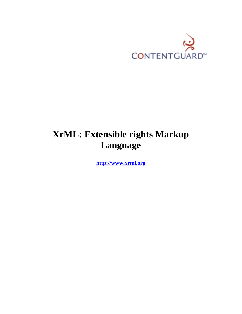

# **XrML: Extensible rights Markup Language**

**[http://www.xrml.org](http://www.xrml.org/)**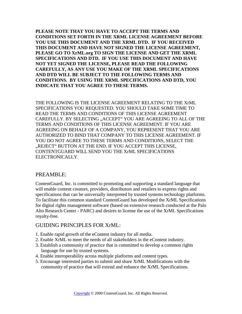**PLEASE NOTE THAT YOU HAVE TO ACCEPT THE TERMS AND CONDITIONS SET FORTH IN THE XRML LICENSE AGREEMENT BEFORE YOU USE THIS DOCUMENT AND THE XRML DTD. IF YOU RECEIVED THIS DOCUMENT AND HAVE NOT SIGNED THE LICENSE AGREEMENT, PLEASE GO TO XrML.org TO SIGN THE LICENSE AND GET THE XRML SPECIFICATIONS AND DTD. IF YOU USE THIS DOCUMENT AND HAVE NOT YET SIGNED THE LICENSE, PLEASE READ THE FOLLOWING CAREFULLY, AS ANY USE YOU MAKE OF THE XRML SPECIFICATIONS AND DTD WILL BE SUBJECT TO THE FOLLOWING TERMS AND CONDITIONS. BY USING THE XRML SPECIFICATIONS AND DTD, YOU INDICATE THAT YOU AGREE TO THESE TERMS.**

THE FOLLOWING IS THE LICENSE AGREEMENT RELATING TO THE XrML SPECIFICATIONS YOU REQUESTED. YOU SHOULD TAKE SOME TIME TO READ THE TERMS AND CONDITIONS OF THIS LICENSE AGREEMENT CAREFULLY. BY SELECTING "ACCEPT" YOU ARE AGREEING TO ALL OF THE TERMS AND CONDITIONS OF THIS LICENSE AGREEMENT. IF YOU ARE AGREEING ON BEHALF OF A COMPANY, YOU REPRESENT THAT YOU ARE AUTHORIZED TO BIND THAT COMPANY TO THIS LICENSE AGREEMENT. IF YOU DO NOT AGREE TO THESE TERMS AND CONDITIONS, SELECT THE "REJECT" BUTTON AT THE END. IF YOU ACCEPT THIS LICENSE, CONTENTGUARD WILL SEND YOU THE XrML SPECIFICATIONS ELECTRONICALLY.

# PREAMBLE:

ContentGuard, Inc. is committed to promoting and supporting a standard language that will enable content creators, providers, distributors and retailers to express rights and specifications that can be universally interpreted by trusted systems technology platforms. To facilitate this common standard ContentGuard has developed the XrML Specifications for digital rights management software (based on extensive research conducted at the Palo Alto Research Center - PARC) and desires to license the use of the XrML Specifications royalty-free.

# GUIDING PRINCIPLES FOR XrML:

- 1. Enable rapid growth of the eContent industry for all media.
- 2. Enable XrML to meet the needs of all stakeholders in the eContent industry.
- 3. Establish a community of practice that is committed to develop a common rights language for use by trusted systems.
- 4. Enable interoperability across multiple platforms and content types.
- 5. Encourage interested parties to submit and share XrML Modifications with the community of practice that will extend and enhance the XrML Specifications.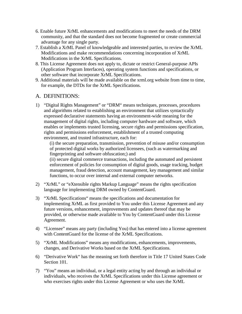- 6. Enable future XrML enhancements and modifications to meet the needs of the DRM community, and that the standard does not become fragmented or create commercial advantage for any single party.
- 7. Establish a XrML Panel of knowledgeable and interested parties, to review the XrML Modifications and make recommendations concerning incorporation of XrML Modifications in the XrML Specifications.
- 8. This License Agreement does not apply to, dictate or restrict General-purpose APIs (Application Program Interfaces), operating system functions and specifications, or other software that incorporate XrML Specifications.
- 9. Additional materials will be made available on the xrml.org website from time to time, for example, the DTDs for the XrML Specifications.

# A. DEFINITIONS:

1) "Digital Rights Management" or "DRM" means techniques, processes, procedures and algorithms related to establishing an environment that utilizes syntactically expressed declarative statements having an environment-wide meaning for the management of digital rights, including computer hardware and software, which enables or implements trusted licensing, secure rights and permissions specification, rights and permissions enforcement, establishment of a trusted computing environment, and trusted infrastructure, each for:

(i) the secure preparation, transmission, prevention of misuse and/or consumption of protected digital works by authorized licensees, (such as watermarking and fingerprinting and software obfuscation;) and

(ii) secure digital commerce transactions, including the automated and persistent enforcement of policies for consumption of digital goods, usage tracking, budget management, fraud detection, account management, key management and similar functions, to occur over internal and external computer networks.

- 2) "XrML" or "eXtensible rights Markup Language" means the rights specification language for implementing DRM owned by ContentGuard.
- 3) "XrML Specifications" means the specifications and documentation for implementing XrML as first provided to You under this License Agreement and any future versions, enhancement, improvements and updates thereof that may be provided, or otherwise made available to You by ContentGuard under this License Agreement.
- 4) "Licensee" means any party (including You) that has entered into a license agreement with ContentGuard for the license of the XrML Specifications.
- 5) "XrML Modifications" means any modifications, enhancements, improvements, changes, and Derivative Works based on the XrML Specifications.
- 6) "Derivative Work" has the meaning set forth therefore in Title 17 United States Code Section 101.
- 7) "You" means an individual, or a legal entity acting by and through an individual or individuals, who receives the XrML Specifications under this License agreement or who exercises rights under this License Agreement or who uses the XrML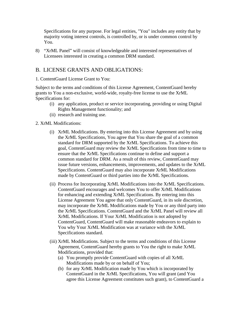Specifications for any purpose. For legal entities, "You" includes any entity that by majority voting interest controls, is controlled by, or is under common control by You.

8) "XrML Panel" will consist of knowledgeable and interested representatives of Licensees interested in creating a common DRM standard.

# B. LICENSE GRANTS AND OBLIGATIONS:

1. ContentGuard License Grant to You:

Subject to the terms and conditions of this License Agreement, ContentGuard hereby grants to You a non-exclusive, world-wide, royalty-free license to use the XrML Specifications for:

- (i) any application, product or service incorporating, providing or using Digital Rights Management functionality; and
- (ii) research and training use.

## 2. XrML Modifications:

- (i) XrML Modifications. By entering into this License Agreement and by using the XrML Specifications, You agree that You share the goal of a common standard for DRM supported by the XrML Specifications. To achieve this goal, ContentGuard may review the XrML Specifications from time to time to ensure that the XrML Specifications continue to define and support a common standard for DRM. As a result of this review, ContentGuard may issue future versions, enhancements, improvements, and updates to the XrML Specifications. ContentGuard may also incorporate XrML Modifications made by ContentGuard or third parties into the XrML Specifications.
- (ii) Process for Incorporating XrML Modifications into the XrML Specifications. ContentGuard encourages and welcomes You to offer XrML Modifications for enhancing and extending XrML Specifications. By entering into this License Agreement You agree that only ContentGuard, in its sole discretion, may incorporate the XrML Modifications made by You or any third party into the XrML Specifications. ContentGuard and the XrML Panel will review all XrML Modifications. If Your XrML Modification is not adopted by ContentGuard, ContentGuard will make reasonable endeavors to explain to You why Your XrML Modification was at variance with the XrML Specifications standard.
- (iii) XrML Modifications. Subject to the terms and conditions of this License Agreement, ContentGuard hereby grants to You the right to make XrML Modifications, provided that:
	- (a) You promptly provide ContentGuard with copies of all XrML Modifications made by or on behalf of You;
	- (b) for any XrML Modification made by You which is incorporated by ContentGuard in the XrML Specifications, You will grant (and You agree this License Agreement constitutes such grant), to ContentGuard a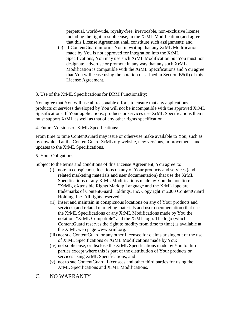perpetual, world-wide, royalty-free, irrevocable, non-exclusive license, including the right to sublicense, in the XrML Modification (and agree that this License Agreement shall constitute such assignment); and

(c) If ContentGuard informs You in writing that any XrML Modification made by You is not approved for integration into the XrML Specifications, You may use such XrML Modification but You must not designate, advertise or promote in any way that any such XrML Modification is compatible with the XrML Specifications and You agree that You will cease using the notation described in Section B5(ii) of this License Agreement.

## 3. Use of the XrML Specifications for DRM Functionality:

You agree that You will use all reasonable efforts to ensure that any applications, products or services developed by You will not be incompatible with the approved XrML Specifications. If Your applications, products or services use XrML Specifications then it must support XrML as well as that of any other rights specification.

4. Future Versions of XrML Specifications:

From time to time ContentGuard may issue or otherwise make available to You, such as by download at the ContentGuard XrML.org website, new versions, improvements and updates to the XrML Specifications.

## 5. Your Obligations:

Subject to the terms and conditions of this License Agreement, You agree to:

- (i) note in conspicuous locations on any of Your products and services (and related marketing materials and user documentation) that use the XrML Specifications or any XrML Modifications made by You the notation: "XrML, eXtensible Rights Markup Language and the XrML logo are trademarks of ContentGuard Holdings, Inc. Copyright © 2000 ContentGuard Holding, Inc. All rights reserved;"
- (ii) Insert and maintain in conspicuous locations on any of Your products and services (and related marketing materials and user documentation) that use the XrML Specifications or any XrML Modifications made by You the notation: "XrML Compatible" and the XrML logo. The logo (which ContentGuard reserves the right to modify from time to time) is available at the XrML web page www.xrml.org.
- (iii) not sue ContentGuard or any other Licensee for claims arising out of the use of XrML Specifications or XrML Modifications made by You;
- (iv) not sublicense, or disclose the XrML Specifications made by You to third parties except where this is part of the distribution of Your products or services using XrML Specifications; and
- (v) not to sue ContentGuard, Licensees and other third parties for using the XrML Specifications and XrML Modifications.
- C. NO WARRANTY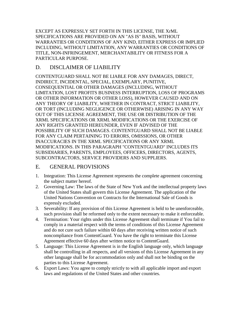EXCEPT AS EXPRESSLY SET FORTH IN THIS LICENSE, THE XrML SPECIFICATIONS ARE PROVIDED ON AN "AS IS" BASIS, WITHOUT WARRANTIES OR CONDITIONS OF ANY KIND, EITHER EXPRESS OR IMPLIED INCLUDING, WITHOUT LIMITATION, ANY WARRANTIES OR CONDITIONS OF TITLE, NON-INFRINGEMENT, MERCHANTABILITY OR FITNESS FOR A PARTICULAR PURPOSE.

# D. DISCLAIMER OF LIABILITY

CONTENTGUARD SHALL NOT BE LIABLE FOR ANY DAMAGES, DIRECT, INDIRECT, INCIDENTAL, SPECIAL, EXEMPLARY, PUNITIVE, CONSEQUENTIAL OR OTHER DAMAGES (INCLUDING, WITHOUT LIMITATION, LOST PROFITS BUSINESS INTERRUPTION, LOSS OF PROGRAMS OR OTHER INFORMATION OR OTHER LOSS), HOWEVER CAUSED AND ON ANY THEORY OF LIABILITY, WHETHER IN CONTRACT, STRICT LIABILITY, OR TORT (INCLUDING NEGLIGENCE OR OTHERWISE) ARISING IN ANY WAY OUT OF THIS LICENSE AGREEMENT, THE USE OR DISTRIBUTION OF THE XRML SPECIFICATIONS OR XRML MODIFICATIONS OR THE EXERCISE OF ANY RIGHTS GRANTED HEREUNDER, EVEN IF ADVISED OF THE POSSIBILITY OF SUCH DAMAGES. CONTENTGUARD SHALL NOT BE LIABLE FOR ANY CLAIM PERTAINING TO ERRORS, OMISSIONS, OR OTHER INACCURACIES IN THE XRML SPECIFICATIONS OR ANY XRML MODIFICATIONS. IN THIS PARAGRAPH "CONTENTGUARD" INCLUDES ITS SUBSIDIARIES, PARENTS, EMPLOYEES, OFFICERS, DIRECTORS, AGENTS, SUBCONTRACTORS, SERVICE PROVIDERS AND SUPPLIERS.

# E. GENERAL PROVISIONS

- 1. Integration: This License Agreement represents the complete agreement concerning the subject matter hereof.
- 2. Governing Law: The laws of the State of New York and the intellectual property laws of the United States shall govern this License Agreement. The application of the United Nations Convention on Contracts for the International Sale of Goods is expressly excluded.
- 3. Severability: If any provision of this License Agreement is held to be unenforceable, such provision shall be reformed only to the extent necessary to make it enforceable.
- 4. Termination: Your rights under this License Agreement shall terminate if You fail to comply in a material respect with the terms of conditions of this License Agreement and do not cure such failure within 60 days after receiving written notice of such noncompliance from ContentGuard. You have the right to terminate this License Agreement effective 60 days after written notice to ContentGuard.
- 5. Language: This License Agreement is in the English language only, which language shall be controlling in all respects, and all versions of this License Agreement in any other language shall be for accommodation only and shall not be binding on the parties to this License Agreement.
- 6. Export Laws: You agree to comply strictly to with all applicable import and export laws and regulations of the United States and other countries.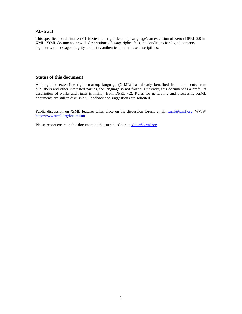#### **Abstract**

This specification defines XrML (eXtensible rights Markup Language), an extension of Xerox DPRL 2.0 in XML. XrML documents provide descriptions of usage rights, fees and conditions for digital contents, together with message integrity and entity authentication in these descriptions.

### **Status of this document**

Although the extensible rights markup language (XrML) has already benefited from comments from publishers and other interested parties, the language is not frozen. Currently, this document is a draft. Its description of works and rights is mainly from DPRL v.2. Rules for generating and processing XrML documents are still in discussion. Feedback and suggestions are solicited.

Public discussion on XrML features takes place on the discussion forum, email: [xrml@xrml.org,](mailto:xrml@xrml.org) WWW <http://www.xrml.org/forum.stm>

Please report errors in this document to the current editor at [editor@xrml.org.](mailto:editor@xrml.org)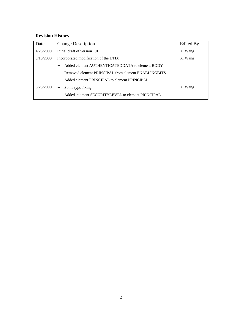# **Revision History**

| Date      | <b>Change Description</b>                           | Edited By |
|-----------|-----------------------------------------------------|-----------|
| 4/28/2000 | Initial draft of version 1.0                        | X. Wang   |
| 5/10/2000 | Incorporated modification of the DTD:               | X. Wang   |
|           | Added element AUTHENTICATEDDATA to element BODY     |           |
|           | Removed element PRINCIPAL from element ENABLINGBITS |           |
|           | Added element PRINCIPAL to element PRINCIPAL        |           |
| 6/23/2000 | Some typo fixing                                    | X. Wang   |
|           | Added element SECURITYLEVEL to element PRINCIPAL    |           |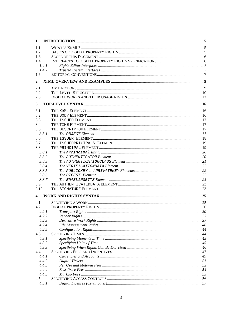| 1            |       |  |
|--------------|-------|--|
| 1.1          |       |  |
| 1.2          |       |  |
| 1.3          |       |  |
| 1.4          |       |  |
|              | 1.4.1 |  |
|              | 1.4.2 |  |
| 1.5          |       |  |
|              |       |  |
| $\mathbf{2}$ |       |  |
|              |       |  |
| 2.1          |       |  |
| 2.2          |       |  |
| 2.3          |       |  |
| 3            |       |  |
|              |       |  |
| 3.1          |       |  |
| 3.2          |       |  |
| 3.3          |       |  |
| 3.4          |       |  |
| 3.5          |       |  |
|              | 3.5.1 |  |
| 3.6          |       |  |
| 3.7          |       |  |
| 3.8          |       |  |
|              | 3.8.1 |  |
|              | 3.8.2 |  |
|              | 3.8.3 |  |
|              | 3.8.4 |  |
|              | 3.8.5 |  |
|              | 3.8.6 |  |
|              | 3.8.7 |  |
| 3.9          |       |  |
| 3.10         |       |  |
|              |       |  |
| 4            |       |  |
| 4.1          |       |  |
| 4.2          |       |  |
|              | 4.2.1 |  |
|              | 4.2.2 |  |
|              | 4.2.3 |  |
|              | 4.2.4 |  |
|              | 4.2.5 |  |
| 4.3          |       |  |
|              | 4.3.1 |  |
|              | 4.3.2 |  |
|              | 4.3.3 |  |
| 4.4          |       |  |
|              | 4.4.1 |  |
|              | 4.4.2 |  |
|              | 4.4.3 |  |
|              | 4.4.4 |  |
|              | 4.4.5 |  |
| 4.5          |       |  |
|              | 4.5.1 |  |
|              |       |  |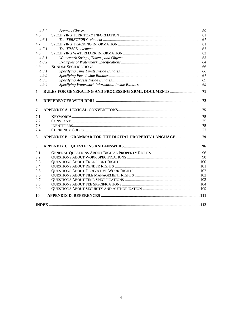| 4.5.2      |                                                          |  |
|------------|----------------------------------------------------------|--|
| 4.6        |                                                          |  |
| 4.6.1      |                                                          |  |
| 4.7        |                                                          |  |
| 4.7.1      |                                                          |  |
| 4.8        |                                                          |  |
| 4.8.1      |                                                          |  |
| 4.8.2      |                                                          |  |
| 4.9        |                                                          |  |
| 4.9.1      |                                                          |  |
| 4.9.2      |                                                          |  |
| 4.9.3      |                                                          |  |
| 4.9.4      |                                                          |  |
| 5          |                                                          |  |
| 6          |                                                          |  |
| 7          |                                                          |  |
|            |                                                          |  |
| 7.1        |                                                          |  |
| 7.2        |                                                          |  |
| 7.3<br>7.4 |                                                          |  |
|            |                                                          |  |
| 8          | APPENDIX B. GRAMMAR FOR THE DIGITAL PROPERTY LANGUAGE 79 |  |
| 9          |                                                          |  |
| 9.1        |                                                          |  |
| 9.2        |                                                          |  |
| 9.3        |                                                          |  |
| 9.4        |                                                          |  |
| 9.5        |                                                          |  |
| 9.6        |                                                          |  |
| 9.7        |                                                          |  |
| 9.8        |                                                          |  |
| 9.9        |                                                          |  |
| 10         |                                                          |  |
|            |                                                          |  |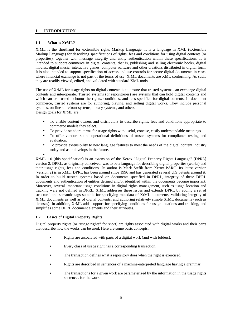#### <span id="page-10-0"></span>**1 INTRODUCTION**

#### **1.1 What is XrML?**

XrML is the shorthand for eXtensible rights Markup Language. It is a language in XML (eXtensible Markup Language) for describing specifications of rights, fees and conditions for using digital contents (or properties), together with message integrity and entity authentication within these specifications. It is intended to support commerce in digital contents, that is, publishing and selling electronic books, digital movies, digital music, interactive games, computer software and other creations distributed in digital form. It is also intended to support specification of access and use controls for secure digital documents in cases where financial exchange is not part of the terms of use. XrML documents are XML conforming. As such, they are readily viewed, edited, and validated with standard XML tools.

The use of XrML for usage rights on digital contents is to ensure that trusted systems can exchange digital contents and interoperate. Trusted systems (or repositories) are systems that can hold digital contents and which can be trusted to honor the rights, conditions, and fees specified for digital contents. In document commerce, trusted systems are for authoring, playing, and selling digital works. They include personal systems, on-line storefront systems, library systems, and others. Design goals for XrML are:

- To enable content owners and distributors to describe rights, fees and conditions appropriate to commerce models they select.
- To provide standard terms for usage rights with useful, concise, easily understandable meanings.
- To offer vendors sound operational definitions of trusted systems for compliance testing and evaluation.
- To provide extensibility to new language features to meet the needs of the digital content industry today and as it develops in the future.
- •

XrML 1.0 (this specification) is an extension of the Xerox "Digital Property Rights Language" [DPRL] version 2. DPRL, as originally conceived, was to be a language for describing digital properties (works) and their usage rights, fees and conditions. Its author is Mark Stefik from Xerox PARC. Its latest version (version 2) is in XML. DPRL has been around since 1996 and has generated several U.S patents around it. In order to build trusted systems based on documents specified in DPRL, integrity of these DPRL documents and authentication of entities defined and/or identified within the documents become important. Moreover, several important usage conditions in digital rights management, such as usage location and tracking were not defined in DPRL. XrML addresses these issues and extends DPRL by adding a set of structural and semantic tags suitable for specifying metadata of XrML documents, validating integrity of XrML documents as well as of digital contents, and authoring relatively simple XrML documents (such as licenses). In addition, XrML adds support for specifying conditions for usage locations and tracking, and simplifies some DPRL document elements and their attributes.

#### **1.2 Basics of Digital Property Rights**

Digital property rights (or "usage rights" for short) are rights associated with digital works and their parts that describe how the works can be used. Here are some basic concepts:

- Rights are associated with parts of a digital work (and with folders).
- Every class of usage right has a corresponding transaction.
- The transaction defines what a repository does when the right is exercised.
- Rights are described in sentences of a machine-interpreted language having a grammar.
- The transactions for a given work are parameterized by the information in the usage rights sentences for the work.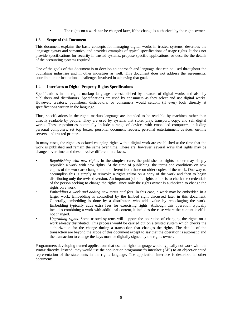• The rights on a work can be changed later, if the change is authorized by the rights owner.

#### <span id="page-11-0"></span>**1.3 Scope of this Document**

This document explains the basic concepts for managing digital works in trusted systems, describes the language syntax and semantics, and provides examples of typical specifications of usage rights. It does not provide specifications for security in trusted systems, propose specific applications, or describe the details of the accounting systems required.

One of the goals of this document is to develop an approach and language that can be used throughout the publishing industries and in other industries as well. This document does not address the agreements, coordination or institutional challenges involved in achieving that goal.

#### **1.4 Interfaces to Digital Property Rights Specifications**

Specifications in the rights markup language are established by creators of digital works and also by publishers and distributors. Specifications are used by consumers as they select and use digital works. However, creators, publishers, distributors, or consumers would seldom (if ever) look directly at specifications written in the language.

Thus, specifications in the rights markup language are intended to be readable by machines rather than directly readable by people. They are used by systems that store, play, transport, copy, and sell digital works. These repositories potentially include a range of devices with embedded computers, including personal computers, set top boxes, personal document readers, personal entertainment devices, on-line servers, and trusted printers.

In many cases, the rights associated changing rights with a digital work are established at the time that the work is published and remain the same over time. There are, however, several ways that rights may be changed over time, and these involve different interfaces.

- *Republishing with new rights*. In the simplest case, the publisher or rights holder may simply republish a work with new rights. At the time of publishing, the terms and conditions on new copies of the work are changed to be different from those on older copies of the work. One way to accomplish this is simply to reinvoke a rights editor on a copy of the work and then to begin distributing only the revised version. An important job of a rights editor is to check the credentials of the person seeking to change the rights, since only the rights owner is authorized to change the rights on a work.
- *Embedding a work and adding new terms and fees*. In this case, a work may be embedded in a larger work. Embedding is controlled by the Embed right discussed later in this document. Generally, embedding is done by a distributor, who adds value by repackaging the work. Embedding typically adds extra fees for exercising rights. Although this operation typically includes combining a work with additional content, it includes the case where the content itself is not changed.
	- *Upgrading rights*. Some trusted systems will support the operation of changing the rights on a work already distributed. This process would be carried out on a trusted system which checks the authorization for the change during a transaction that changes the rights. The details of the transaction are beyond the scope of this document except to say that the operation is automatic and the transaction to change the keys must be digitally signed by the rights owner.

Programmers developing trusted applications that use the rights language would typically not work with the syntax directly. Instead, they would use the application programmer's interface (API) to an object-oriented representation of the statements in the rights language. The application interface is described in other documents.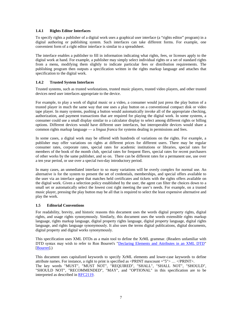#### <span id="page-12-0"></span>**1.4.1 Rights Editor Interfaces**

To specify rights a publisher of a digital work uses a graphical user interface (a "rights editor" program) in a digital authoring or publishing system. Such interfaces can take different forms. For example, one convenient form of a right editor interface is similar to a spreadsheet.

The interface enables a publisher to fill in information indicating what rights, fees, or licenses apply to the digital work at hand. For example, a publisher may simply select individual rights or a set of standard rights from a menu, modifying them slightly to indicate particular fees or distribution requirements. The publishing program then outputs a specification written in the rights markup language and attaches that specification to the digital work.

#### **1.4.2 Trusted System Interfaces**

Trusted systems, such as trusted workstations, trusted music players, trusted video players, and other trusted devices need user interfaces appropriate to the device.

For example, to play a work of digital music or a video, a consumer would just press the play button of a trusted player in much the same way that one uses a play button on a conventional compact disk or video tape player. In many systems, pushing a button would automatically invoke all of the appropriate checking, authorization, and payment transactions that are required for playing the digital work. In some systems, a consumer could use a small display similar to a calculator display to select among different rights or billing options. Different devices would have different user interfaces, but interoperable devices would share a common rights markup language — a *lingua franca* for systems dealing in permissions and fees.

In some cases, a digital work may be offered with hundreds of variations on the rights. For example, a publisher may offer variations on rights at different prices for different users. There may be regular consumer rates, corporate rates, special rates for academic institutions or libraries, special rates for members of the book of the month club, special rates for frequent fliers, special rates for recent purchasers of other works by the same publisher, and so on. There can be different rates for a permanent use, use over a ten year period, or use over a special two-day introductory period.

In many cases, an unmediated interface to so many variations will be overly complex for normal use. An alternative is for the system to present the set of credentials, memberships, and special offers available to the user via an interface agent that matches held certificates and tickets with the rights offers available on the digital work. Given a selection policy established by the user, the agent can filter the choices down to a small set or automatically select the lowest cost right meeting the user's needs. For example, on a trusted music player, pressing the play button may be all that is required to select the least expensive alternative and play the work.

#### **1.5 Editorial Conventions**

For readability, brevity, and historic reasons this document uses the words digital property rights, digital rights, and usage rights synonymously. Similarly, this document uses the words extensible rights markup language, rights markup language, digital property rights language, digital property language, digital rights language, and rights language synonymously. It also uses the terms digital publications, digital documents, digital property and digital works synonymously.

This specification uses XML DTDs as a main tool to define the XrML grammar. (Readers unfamiliar with DTD syntax may wish to refer to Ron Bourret's ["Declaring Elements and Attributes in an XML DTD"](http://www.informatik.tu-darmstadt.de/DVS1/staff/bourret/xml/xmldtd.html) [\[Bourret\]](http://www.w3.org/TR/2000/WD-xmldsig-core-20000228/#ref-Bourret).)

This document uses capitalized keywords to specify XrML elements and lower-case keywords to define attribute names. For instance, a right to print is specified as <PRINT maxcount ="5"> … </PRINT>. The key words "MUST", "MUST NOT", "REQUIRED", "SHALL", "SHALL NOT", "SHOULD", "SHOULD NOT", "RECOMMENDED", "MAY", and "OPTIONAL" in this specification are to be interpreted as described in [RFC2119.](http://www.ietf.org/rfc/rfc2119.txt)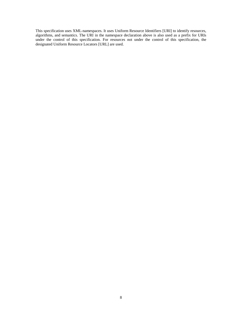This specification uses XML-namespaces. It uses Uniform Resource Identifiers [URI] to identify resources, algorithms, and semantics. The URI in the namespace declaration above is also used as a prefix for URIs under the control of this specification. For resources not under the control of this specification, the designated Uniform Resource Locators [URL] are used.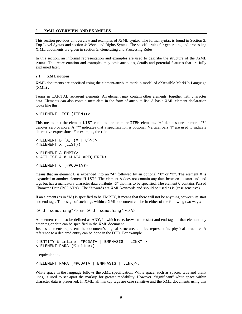#### <span id="page-14-0"></span>**2 XrML OVERVIEW AND EXAMPLES**

This section provides an overview and examples of XrML syntax. The formal syntax is found in Section 3: Top-Level Syntax and section 4: Work and Rights Syntax. The specific rules for generating and processing XrML documents are given in section 5: Generating and Processing Rules.

In this section, an informal representation and examples are used to describe the structure of the XrML syntax. This representation and examples may omit attributes, details and potential features that are fully explained later.

#### **2.1 XML notions**

XrML documents are specified using the element/attribute markup model of eXtensible MarkUp Language  $(XML)$ .

Terms in CAPITAL represent elements. An element may contain other elements, together with character data. Elements can also contain meta-data in the form of attribute list. A basic XML element declaration looks like this:

```
<!ELEMENT LIST (ITEM)+>
```
This means that the element LIST contains one or more ITEM elements. "+" denotes one or more. "\*" denotes zero or more. A "?" indicates that a specification is optional. Vertical bars "|" are used to indicate alternative expressions. For example, the rule

```
\leq!ELEMENT B (A, (X | C)?)<!ELEMENT X (LIST))
<!ELEMENT A EMPTY>
<!ATTLIST A d CDATA #REQUIRED>
<!ELEMENT C (#PCDATA)>
```
means that an element B is expanded into an "A" followed by an optional "X" or "C". The element X is expanded to another element "LIST". The element A does not contain any data between its start and end tags but has a mandatory character data attribute "d" that has to be specified. The element C contains Parsed Character Data (PCDATA) . The "#"words are XML keywords and should be used as is (case sensitive).

If an element (as in "A") is specified to be EMPTY, it means that there will not be anything between its start and end tags. The usage of such tags within a XML document can be in either of the following two ways:

```
<A d="something"/> or <A d="something"></A>
```
An element can also be defined as ANY, in which case, between the start and end tags of that element any other tag or data can be specified in the XML document.

Just as elements represent the document's logical structure, entities represent its physical structure. A reference to a declared entity can be done in the DTD. For example

```
<!ENTITY % inline "#PCDATA | EMPHASIS | LINK" >
<!ELEMENT PARA (%inline;)
```
is equivalent to

<!ELEMENT PARA (#PCDATA | EMPHASIS | LINK)>.

White space in the language follows the XML specification. White space, such as spaces, tabs and blank lines, is used to set apart the markup for greater readability. However, "significant" white space within character data is preserved. In XML, all markup tags are case sensitive and the XML documents using this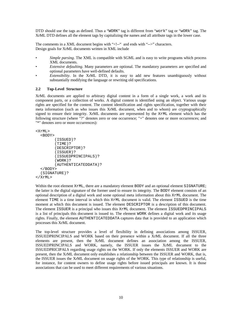<span id="page-15-0"></span>DTD should use the tags as defined. Thus a "WORK" tag is different from "work" tag or "wORk" tag. The XrML DTD defines all the element tags by capitalizing the names and all attribute tags in the lower case.

The comments in a XML document begins with "<!--" and ends with "-->" characters. Design goals for XrML documents written in XML include

- *Simple parsing*. The XML is compatible with SGML and is easy to write programs which process XML documents.
- *Extensive defaulting*. Many parameters are optional. The mandatory parameters are specified and optional parameters have well-defined defaults.
- *Extensibility*. In the XrML DTD, it is easy to add new features unambiguously without substantially modifying the language or rewriting old specifications.

#### **2.2 Top-Level Structure**

XrML documents are applied to arbitrary digital content in a form of a single work, a work and its component parts, or a collection of works. A digital content is identified using an object. Various usage rights are specified for the content. The content identification and rights specification, together with their meta information (such as who issues this XrML document, when and to whom) are cryptographically signed to ensure their integrity. XrML documents are represented by the XrML element which has the following structure (where "?" denotes zero or one occurrence; "+" denotes one or more occurrences; and "\*" denotes zero or more occurrences):

```
<XrML>
  <BODY>
        (ISSUED)?
        (TIME)?
        (DESCRIPTOR)?
        (ISSUER)?
        (ISSUEDPRINCIPALS)?
        (WORK)?
        (AUTHENTICATEDDATA)?
  </BODY>
  (SIGNATURE)?
</XrML>
```
Within the root element XrML, there are a mandatory element BODY and an optional element SIGNATURE; the latter is the digital signature of the former used to ensure its integrity. The BODY element consists of an optional description of a digital work and some optional meta information about this XrML document. The element TIME is a time interval in which this XrML document is valid. The element ISSUED is the time moment at which this document is issued. The element DESCRIPTOR is a description of this document. The element ISSUER is a principal who issues this XrML document. The element ISSUEDPRINCIPALS is a list of principals this document is issued to. The element WORK defines a digital work and its usage rights. Finally, the element AUTHENTICATEDDATA captures data that is provided to an application which processes this XrML document.

The top-level structure provides a level of flexibility in defining associations among ISSUER, ISSUEDPRINCIPALS and WORK based on their presence within a XrML document. If all the three elements are present, then the XrML document defines an association among the ISSUER, ISSUEDPRINCIPALS and WORK, namely, the ISSUER issues the XrML document to the ISSUEDPRICIPALS regarding usage rights on the WORK. If only the elements ISSUER and WORK are present, then the XrML document only establishes a relationship between the ISSUER and WORK, that is, the ISSUER issues the XrML document on usage rights of the WORK. This type of relationship is useful, for instance, for content owners to define usage rights before issued principals are known. It is those associations that can be used to meet different requirements of various situations.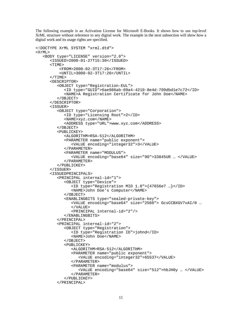The following example is an Activation License for Microsoft E-Books. It shows how to use top-level XrML structure without reference to any digital work. The example in the next subsection will show how a digital work and its usage rights are specified.

```
<!DOCTYPE XrML SYSTEM "xrml.dtd">
<XrML>
   <BODY type="LICENSE" version="2.0">
      <ISSUED>2000-01-27T15:30</ISSUED>
      <TIME><FROM>2000-02-3T17:26</FROM>
          <UNTIL>3000-02-3T17:26</UNTIL>
      </TIME>
      <DESCRIPTOR>
         <OBJECT type="Registration-EUL">
            <ID type="GUID">6ae986ab-09a4-4210-8e4d-709dbd1e7c72</ID>
            <NAME>A Registration Certificate for John Doe</NAME>
         </OBJECT>
      </DESCRIPTOR>
      <ISSUER>
         <OBJECT type="Corporation">
            <ID type="Licensing Root">2</ID>
            <NAME>xyz.com</NAME>
            <ADDRESS type="URL">www.xyz.com</ADDRESS>
         </OBJECT>
         <PUBLICKEY>
            <ALGORITHM>RSA-512</ALGORITHM>
            <PARAMETER name="public exponent">
               <VALUE encoding="integer32">3</VALUE>
            </PARAMETER>
            <PARAMETER name="MODULUS">
               <VALUE encoding="base64" size="90">33845UR … </VALUE>
            </PARAMETER>
         </PUBLICKEY>
      </ISSUER>
      <ISSUEDPRINCIPALS>
         <PRINCIPAL internal-id="1">
            <OBJECT type="Device">
               <ID type="Registration MID 1.0">{47656e7 …}</ID>
               <NAME>John Doe's Computer</NAME>
            </OBJECT>
            <ENABLINGBITS type="sealed-private-key">
               <VALUE encoding="base64" size="2560"> GcsCCBXGV7vAI/0 …
               </VALUE>
               <PRINCIPAL internal-id="2"/>
            </ENABLINGBITS>
         </PRINCIPAL>
         <PRINCIPAL internal-id="2">
            <OBJECT type="Registration">
               <ID type="Registration ID">johnd</ID>
               <NAME>John Doe</NAME>
            </OBJECT>
            <PUBLICKEY>
               <ALGORITHM>RSA-512</ALGORITHM>
               <PARAMETER name="public exponent">
                  <VALUE encoding="integer32">65537</VALUE>
               </PARAMETER>
               <PARAMETER name="modulus">
                  <VALUE encoding="base64" size="512">hbJH0y … </VALUE>
               </PARAMETER>
            </PUBLICKEY>
         </PRINCIPAL>
```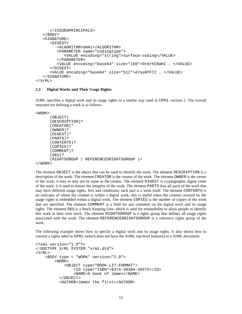```
</ISSUEDPRINCIPALS>
   </BODY>
   <SIGNATURE>
      <DIGEST>
         <ALGORITHM>SHA1</ALGORITHM>
         <PARAMETER name="codingtype">
            <VALUE encoding="string">surface-coding</VALUE>
         </PARAMETER>
         <VALUE encoding="base64" size="160">OtSrhCKWHI … </VALUE>
      </DIGEST>
      <VALUE encoding="base64" size="512">A7qsNTFT2 … </VALUE>
   </SIGNATURE>
</XrML>
```
#### **2.3 Digital Works and Their Usage Rights**

XrML specifies a digital work and its usage rights in a similar way used in DPRL version 2. The overall structure for defining a work is as follows.

<WORK>

```
(OBJECT)
      (DESCRIPTION)?
      (CREATOR)*
      (OWNER)?
      (DIGEST)*
      (PARTS)?
      (CONTENTS)?
      (COPIES)?
      (COMMENT)?
      (SKU)?
      (RIGHTSGROUP | REFERENCEDRIGHTSGROUP )+
</WORK>
```
The element OBJECT is the object that can be used to identify the work. The element DESCRIPTION is a description of the work. The element CREATOR is the creator of the work. The element OWNER is the owner of the work; it may or may not be same as the creator. The element DIGEST is cryptographic digest value of the work; it is used to ensure the integrity of the work. The element PARTS lists all parts of the work that may have different usage rights, fees and conditions; each part is a work itself. The element CONTENTS is an indicator of where the content is within a digital work; this is useful when the content covered by the usage rights is embedded within a digital work. The element COPIES is the number of copies of the work that are specified. The element COMMENT is a field for any comment on the digital work and its usage rights. The element SKU is a Stock Keeping Unit, which is used for extensibility to allow people to identify this work in their own stock. The element RIGHTSGROUP is a rights group that defines all usage rights associated with the work. The element REFERENCEDRIGHTSGROUP is a reference rights group of the work.

The following example shows how to specify a digital work and its usage rights. It also shows how to convert a rights label in DPRL (which does not have the XrML top-level features) to a XrML document.

```
<?xml version="1.0"?>
<!DOCTYPE XrML SYSTEM "xrml.dtd">
\timesX\timesMT\rightarrow<BODY type = "WORK" version="2.0">
         <WORK>
             <OBJECT type="BOOK-LIT-FORMAT">
                 <ID type="ISBN">8374-39384-38472</ID>
                 <NAME>A book of James</NAME>
           </OBJECT>
           <AUTHOR>James the first</AUTHOR>
```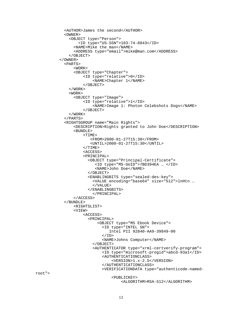```
<AUTHOR>James the second</AUTHOR>
 <OWNER>
    <OBJECT type="Person">
        <ID type="US-SSN">103-74-8843</ID>
      <NAME>Mike the man</NAME>
      <ADDRESS type="email">mike@man.com</ADDRESS>
    </OBJECT>
</OWNER>
 <PARTS>
      <WORK>
      <OBJECT type="Chapter">
          <ID type="relative">0</ID>
              <NAME>Chapter 1</NAME>
          </OBJECT>
    </WORK>
    <WORK>
      <OBJECT type="Image">
          <ID type="relative">1</ID>
              <NAME>Image 1: Photon Celebshots Dogs</NAME>
          </OBJECT>
    </WORK>
 </PARTS>
  <RIGHTSGROUP name="Main Rights">
      <DESCRIPTION>Rights granted to John Doe</DESCRIPTION>
      <BUNDLE>
          <TIME>
             <FROM>2000-01-27T15:30</FROM>
             <UNTIL>2000-01-27T15:30</UNTIL>
          </TIME><ACCESS>
          <PRINCIPAL>
            <OBJECT type="Principal-Certificate">
               <ID type="MS-GUID">7BD394EA … </ID>
               <NAME>John Doe</NAME>
            </OBJECT>
            <ENABLINGBITS type="sealed-des-key">
              <VALUE encoding="base64" size="512">lnHtn …
              </VALUE>
            </ENABLINGBITS>
              </PRINCIPAL>
      </ACCESS>
 </BUNDLE>
      <RIGHTSLIST>
      <VIEW>
          <ACCESS>
            <PRINCIPAL>
                <OBJECT type="MS Ebook Device">
                  <ID type="INTEL SN">
                     Intel PII 92840-AA9-39849-00
                  \langle/ID\rangle<NAME>Johns Computer</NAME>
              </OBJECT>
              <AUTHENTICATOR type="xrml-certverify-program">
                  <ID type="microsoft-progid">abcd-93a1</ID>
                  <AUTHENTICATIONCLASS>
                      <VERSION>1.x-2.5</VERSION>
                  </AUTHENTICATIONCLASS>
                  <VERIFICATIONDATA type="authenticode-named-
                      <PUBLICKEY>
                           <ALGORITHM>RSA-512</ALGORITHM>
```
13

root">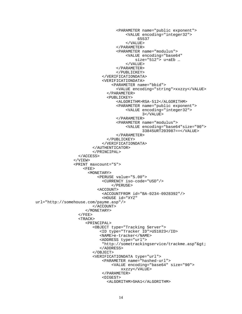```
<PARAMETER name="public exponent">
                                       <VALUE encoding="integer32">
                                            65537
                                       </VALUE>
                                   </PARAMETER>
                                   <PARAMETER name="modulus">
                                       <VALUE encoding="base64"
                                           size="512"> u+aEb …
                                       </VALUE>
                                   </PARAMETER>
                                   </PUBLICKEY>
                             </VERIFICATIONDATA>
                             <VERIFICATIONDATA>
                                 <PARAMETER name="bbid">
                                   <VALUE encoding="string">xxzzy</VALUE>
                               </PARAMETER>
                               <PUBLICKEY>
                                   <ALGORITHM>RSA-512</ALGORITHM>
                                   <PARAMETER name="public exponent">
                                       <VALUE encoding="integer32">
                                              3</VALUE>
                                   </PARAMETER>
                                   <PARAMETER name="modulus">
                                       <VALUE encoding="base64"size="90">
                                              33845URT203987==</VALUE>
                                   </PARAMETER>
                               </PUBLICKEY>
                             </VERIFICATIONDATA>
                        </AUTHENTICATOR>
                        </PRINCIPAL>
                  </ACCESS>
                </VIEW>
                <PRINT maxcount="5">
                    <FEE><MONETARY>
                           <PERUSE value="5.00">
                             <CURRENCY iso-code="USD"/>
                                 </PERUSE>
                           <ACCOUNT>
                             <ACCOUNTFROM id="BA-0234-0928392"/>
                             <HOUSE id="XYZ"
url="http://somehouse.com/payme.asp"/>
                         </ACCOUNT>
                     </MONETARY>
                  </FEE>
                  <TRACK>
                     <PRINCIPAL>
                         <OBJECT type="Tracking Server">
                            <ID type="Tracker ID">US1023</ID>
                            <NAME>e-tracker</NAME>
                            <ADDRESS type="url">
                             "http://sometrackingservice/trackme.ap">;</ADDRESS>
                         </OBJECT>
                         <VERIFICATIONDATA type="url">
                             <PARAMETER name="hashed-url">
                                 <VALUE encoding="base64" size="90">
                                     xxzzy</VALUE>
                             </PARAMETER>
                             <DIGEST>
                               <ALGORITHM>SHA1</ALGORITHM>
```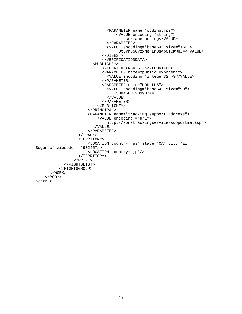```
<PARAMETER name="codingtype">
                                   <VALUE encoding="string">
                                      surface-coding</VALUE>
                              </PARAMETER>
                              <VALUE encoding="base64" size="160">
                                   OtSrhD5GrzxMeFEm8q4pQlCKWHI=</VALUE>
                            </DIGEST>
                            </VERIFICATIONDATA>
                        <PUBLICKEY>
                            <ALGORITHM>RSA-512</ALGORITHM>
                            <PARAMETER name="public exponent">
                              <VALUE encoding="integer32">3</VALUE>
                            </PARAMETER>
                            <PARAMETER name="MODULUS">
                              <VALUE encoding="base64" size="90">
                                  33845URT203987==
                              </VALUE>
                            </PARAMETER>
                          </PUBLICKEY>
                      </PRINCIPAL>
                      <PARAMETER name="tracking support address">
                          <VALUE encoding ="url">
                             "http://sometrackingservice/supportme.asp">
                        </VALUE>
                      </PARAMETER>
                  </TRACK>
                  <TERRITORY>
                      <LOCATION country="us" state="CA" city="El
Segundo" zipcode = "90245"/>
                      <LOCATION country="jp"/>
                  </TERRITORY>
                </PRINT>
            </RIGHTSLIST>
          </RIGHTSGROUP>
      </WORK>
    </BODY>
</XrML>
```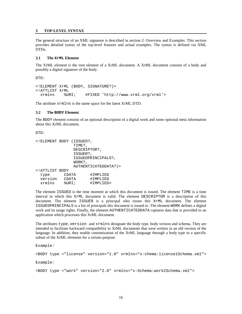#### <span id="page-21-0"></span>**3 TOP-LEVEL SYNTAX**

The general structure of an XML signature is described in section 2: Overview and Examples. This section provides detailed syntax of the top-level features and actual examples. The syntax is defined via XML DTDs.

#### **3.1 The XrML Element**

The XrML element is the root element of a XrML document. A XrML document consists of a body and possibly a digital signature of the body.

DTD:

```
<!ELEMENT XrML (BODY, SIGNATURE?)>
<!ATTLIST XrML
 xrmlns %URI; #FIXED 'http://www.xrml.org/xrml'>
```
The attribute xrmlns is the name space for the latest XrML DTD.

#### **3.2 The BODY Element**

The BODY element consists of an optional description of a digital work and some optional meta information about this XrML document.

DTD:

```
<!ELEMENT BODY (ISSUED?,
              TIME?,
              DESCRIPTOR?,
              ISSUER?,
              ISSUEDPRINCIPALS?,
              WORK?,
              AUTHENTICATEDDATA?)>
<!ATTLIST BODY
 type CDATA #IMPLIED
 version CDATA #IMPLIED
 xrmlns %URI; #IMPLIED>
```
The element ISSUED is the time moment at which this document is issued. The element TIME is a time interval in which this XrML document is valid. The element DESCRIPTOR is a description of this document. The element ISSUER is a principal who issues this XrML document. The element ISSUEDPRINCIPALS is a list of principals this document is issued to. The element WORK defines a digital work and its usage rights. Finally, the element AUTHENTICATEDDATA captures data that is provided to an application which processes this XrML document.

The attributes type, version and xrmlns designate the body type, body version and schema. They are intended to facilitate backward compatibility to XrML documents that were written in an old version of the language. In addition, they enable customization of the XrML language through a body type to a specific subset of the XrML elements for a certain purpose.

Example:

<BODY type ="license" version="1.0" xrmlns="x-chema:license1Schema.xml">

Example:

<BODY type ="work" version="2.0" xrmlns="x-Schema:work2Schema.xml">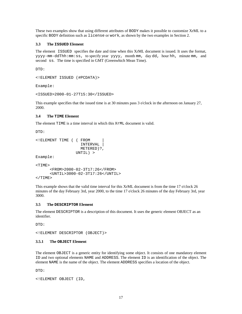<span id="page-22-0"></span>These two examples show that using different attributes of BODY makes it possible to customize XrML to a specific BODY definition such as license or work, as shown by the two examples in Section 2.

#### **3.3 The ISSUED Element**

The element ISSUED specifies the date and time when this XrML document is issued. It uses the format, yyyy-mm-ddThh:mm:ss, to specify year yyyy, month mm, day dd, hour hh, minute mm, and second ss. The time is specified in GMT (Greenwhich Mean Time).

DTD:

```
<!ELEMENT ISSUED (#PCDATA)>
```
Example:

```
<ISSUED>2000-01-27T15:30</ISSUED>
```
This example specifies that the issued time is at 30 minutes pass 3 o'clock in the afternoon on January 27, 2000.

#### **3.4 The TIME Element**

The element TIME is a time interval in which this XrML document is valid.

DTD:

```
<!ELEMENT TIME ( ( FROM |
                    INTERVAL |
                    METERED)?,
                  UNTIL) >
Example:
<TIME>
      <FROM>2000-02-3T17:26</FROM>
```

```
<UNTIL>3000-02-3T17:26</UNTIL>
</TIME>
```
This example shows that the valid time interval for this XrML document is from the time 17 o'clock 26 minutes of the day February 3rd, year 2000, to the time 17 o'clock 26 minutes of the day February 3rd, year 3000.

#### **3.5 The DESCRIPTOR Element**

The element DESCRIPTOR is a description of this document. It uses the generic element OBJECT as an identifier.

 $T$ DTD:

<!ELEMENT DESCRIPTOR (OBJECT)>

#### **3.5.1 The OBJECT Element**

The element OBJECT is a generic entity for identifying some object. It consists of one mandatory element ID and two optional elements NAME and ADDRESS. The element ID is an identification of the object. The element NAME is the name of the object. The element ADDRESS specifies a location of the object.

DTD:

```
<!ELEMENT OBJECT (ID,
```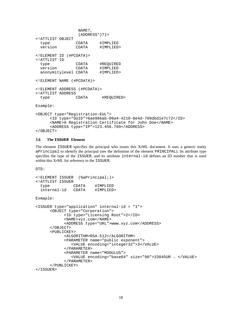<span id="page-23-0"></span>NAME?, (ADDRESS\*)?)> <!ATTLIST OBJECT type CDATA #IMPLIED version CDATA #IMPLIED> <!ELEMENT ID (#PCDATA)> <!ATTLIST ID type CDATA #REQUIRED<br>version CDATA #IMPLIED version CDATA #IMPLIED<br>anonymitylevel CDATA #IMPLIED> anonymitylevel CDATA <!ELEMENT NAME (#PCDATA)> <!ELEMENT ADDRESS (#PCDATA)> <!ATTLIST ADDRESS type CDATA #REQUIRED> Example: <OBJECT type="Registration-EUL">

```
<ID type="GUID">6ae986ab-09a4-4210-8e4d-709dbd1e7c72</ID>
      <NAME>A Registration Certificate for John Doe</NAME>
      <ADDRESS type="IP">123.456.789</ADDRESS>
</OBJECT>
```
#### **3.6 The ISSUER Element**

The element ISSUER specifies the principal who issues this XrML document. It uses a generic entity aPrincipal to identify the principal (see the definition of the element PRINCIPAL). Its attribute type specifies the type of the ISSUER, and its attribute internal-id defines an ID number that is used within this XrML for reference to the ISSUER.

DTD:

```
<!ELEMENT ISSUER (%aPrincipal;)>
<!ATTLIST ISSUER
 type CDATA #IMPLIED
 internal-id CDATA #IMPLIED>
Exmaple:
<ISSUER type="application" internal-id = "1">
     <OBJECT type="Corporation">
           <ID type="Licensing Root">2</ID>
            <NAME>xyz.com</NAME>
           <ADDRESS type="URL">www.xyz.com</ADDRESS>
     </OBJECT>
     <PUBLICKEY>
           <ALGORITHM>RSA-512</ALGORITHM>
           <PARAMETER name="public exponent">
              <VALUE encoding="integer32">3</VALUE>
           </PARAMETER>
           <PARAMETER name="MODULUS">
              <VALUE encoding="base64" size="90">33845UR … </VALUE>
           </PARAMETER>
     </PUBLICKEY>
</ISSUER>
```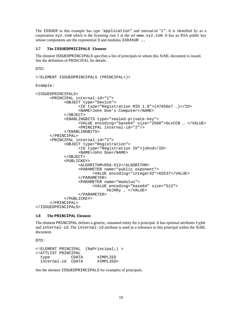<span id="page-24-0"></span>The ISSUER in this example has type "application" and internal-id "1". It is identified by as a corporation  $xyz$ , com which is the licensing root 2 at the url www. $xyz$ , com. It has an RSA public key whose components are the exponential 3 and modulus 33845UR ...

#### **3.7 The ISSUEDPRICIPALS Element**

The element ISSUEDPRINCIPALS specifies a list of principals to whom this XrML document is issued. See the definition of PRINCIPAL for details.

DTD:

```
<!ELEMENT ISSUEDPRINCIPALS (PRINCIPAL+)>
```
Example:

```
<ISSUEDPRINCIPALS>
      <PRINCIPAL internal-id="1">
            <OBJECT type="Device">
                  <ID type="Registration MID 1.0">{47656e7 …}</ID>
                  <NAME>John Doe's Computer</NAME>
            </OBJECT>
            <ENABLINGBITS type="sealed-private-key">
                  <VALUE encoding="base64" size="2560">GcsCCB … </VALUE>
                  <PRINCIPAL internal-id="2"/>
            </ENABLINGBITS>
      </PRINCIPAL>
      <PRINCIPAL internal-id="2">
            <OBJECT type="Registration">
                  <ID type="Registration ID">johnd</ID>
                  <NAME>John Doe</NAME>
            </OBJECT>
            <PUBLICKEY>
                  <ALGORITHM>RSA-512</ALGORITHM>
                  <PARAMETER name="public exponent">
                        <VALUE encoding="integer32">65537</VALUE>
                  </PARAMETER>
                  <PARAMETER name="modulus">
                         <VALUE encoding="base64" size="512">
                              hbJH0y … </VALUE>
                  </PARAMETER>
            </PUBLICKEY>
      </PRINCIPAL>
</ISSUEDPRINCIPALS>
```
#### **3.8 The PRINCIPAL Element**

The element PRINCIPAL defines a generic, unnamed entity for a principal. It has optional attributes type and internal-id. The internal-id attribute is used as a reference to this principal within the XrML document.

DTD:

```
<!ELEMENT PRINCIPAL (%aPrincipal;) >
<!ATTLIST PRINCIPAL
 type CDATA #IMPLIED
 internal-id CDATA
```
See the element ISSUEDPRINCIPALS for examples of principals.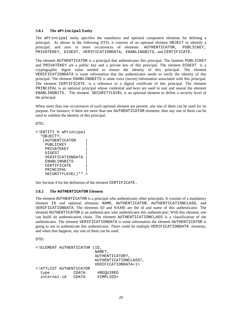#### <span id="page-25-0"></span>**3.8.1 The aPrincipal Entity**

The aPrincipal entity specifies the mandatory and optional component elements for defining a principal. As shown in the following DTD, it consists of an optional element OBJECT to identify a principal, and zero or more occurrences of elements AUTHENTICATOR, PUBLICKEY, PRIVATEKEY, DIGEST, VERIFICATIONDATA, ENABLINGBITS, and CERTIFICATE.

The element AUTHENTICATOR is a principal that authenticates this principal. The laments PUBLICKEY and PRIVATEKEY are a public key and a private key of this principal. The element DIGEST is a cryptographic digest value needed to ensure the identity of this principal. The element VERIFICATIONDATA is some information that the authenticator needs to verify the identity of this principal. The element ENABLINGBITS is some extra (secret) information associated with this principal. The element CERTIFICATE is a reference to a digital certificate of this principal. The element PRINCIPAL is an optional principal whose credential and keys are used to seal and unseal the element ENABLINGBITS. The element SECURITYLEVEL is an optional element to define a security level of the principal.

When more than one occurrences of each optional element are present, any one of them can be used for its purpose. For instance, if there are more than one AUTHENTICATOR elements, then any one of them can be used to validate the identity of this principal.

DTD:

```
<!ENTITY % aPrincipal
  "OBJECT?,
   (AUTHENTICATOR |
    PUBLICKEY |
    PRIVATEKEY
    DIGEST |
    VERIFICATIONDATA |
    ENABLINGBITS |
    CERTIFICATE |
    PRINCIPAL
    SECURITYLEVEL)*" >
```
See Section 4 for the definition of the element CERTIFICATE.

#### **3.8.2 The AUTHENTICATOR Element**

The element AUTHENTICATOR is a principal who authenticates other principals. It consists of a mandatory element ID and optional elements NAME, AUTHENTICATOR, AUTHENTICATIONCLASS, and VERIFICATIONDATA. The elements ID and NAME are the id and name of this authenticator. The element AUTHENTICATOR is an authenticator who authenticates this authenticator; With this element, one can build an authentication chain. The element AUTHENTICATIONCLASS is a classification of the authenticator. The element VERIFICATIONDATA is some information the element AUTHENTICATOR is going to use to authenticate this authenticator. There could be multiple VERIFICATIONDATA elements, and when that happens, any one of them can be used.

 $DTD$ :

```
<!ELEMENT AUTHENTICATOR (ID,
                           NAME?,
                            AUTHENTICATOR?,
                           AUTHENTICATIONCLASS?,
                           VERIFICATIONDATA+)>
<!ATTLIST AUTHENTICATOR
  type CDATA #REQUIRED<br>internal-id CDATA #IMPLIED>
  internal-id  CDATA
```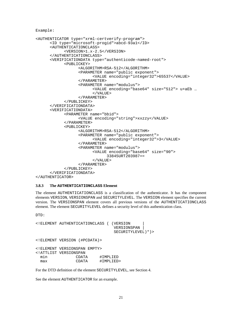<span id="page-26-0"></span>Example:

```
<AUTHENTICATOR type="xrml-certverify-program">
      <ID type="microsoft-progid">abcd-93a1</ID>
      <AUTHENTICATIONCLASS>
            <VERSION>1.x-2.5</VERSION>
      </AUTHENTICATIONCLASS>
      <VERIFICATIONDATA type="authenticode-named-root">
            <PUBLICKEY>
                  <ALGORITHM>RSA-512</ALGORITHM>
                  <PARAMETER name="public exponent">
                        <VALUE encoding="integer32">65537</VALUE>
                  </PARAMETER>
                  <PARAMETER name="modulus">
                        <VALUE encoding="base64" size="512"> u+aEb …
                        </VALUE>
                  </PARAMETER>
            </PUBLICKEY>
      </VERIFICATIONDATA>
      <VERIFICATIONDATA>
            <PARAMETER name="bbid">
                  <VALUE encoding="string">xxzzy</VALUE>
            </PARAMETER>
            <PUBLICKEY>
                  <ALGORITHM>RSA-512</ALGORITHM>
                  <PARAMETER name="public exponent">
                        <VALUE encoding="integer32">3</VALUE>
                  </PARAMETER>
                  <PARAMETER name="modulus">
                        <VALUE encoding="base64" size="90">
                              33845URT203987==
                        </VALUE>
                  </PARAMETER>
            </PUBLICKEY>
      </VERIFICATIONDATA>
```

```
</AUTHENTICATOR>
```
#### **3.8.3 The AUTHENTICATIONCLASS Element**

The element AUTHENTICATIONCLASS is a classification of the authenticator. It has the component elements VERSION, VERSIONSPAN and SECURITYLEVEL. The VERSION element specifies the current version. The VERSIONSPAN element covers all previous versions of the AUTHENTICATIONCLASS element. The element SECURITYLEVEL defines a security level of this authentication class.

 $DTD$ :

```
<!ELEMENT AUTHENTICATIONCLASS ( (VERSION |
                                   VERSIONSPAN |
                                   SECURITYLEVEL)*)>
<!ELEMENT VERSION (#PCDATA)>
<!ELEMENT VERSIONSPAN EMPTY>
<!ATTLIST VERSIONSPAN
  min CDATA #IMPLIED<br>max CDATA #IMPLIED
                            #IMPLIED>
```
For the DTD definition of the element SECURITYLEVEL, see Section 4.

See the element AUTHENTICATOR for an example.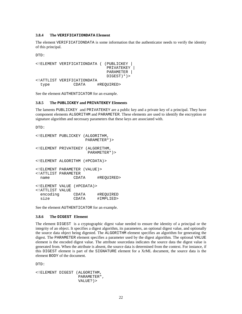#### <span id="page-27-0"></span>**3.8.4 The VERIFICATIONDATA Element**

The element VERIFICATIONDATA is some information that the authenticator needs to verify the identity of this principal.

DTD:

```
<!ELEMENT VERIFICATIONDATA ( (PUBLICKEY |
                            PRIVATEKEY |
                            PARAMETER |
                            DIGEST) *) >
<!ATTLIST VERIFICATIONDATA
 type CDATA #REQUIRED>
```
See the element AUTHENTICATOR for an example.

#### **3.8.5 The PUBLICKEY and PRIVATEKEY Elements**

The laments PUBLICKEY and PRIVATEKEY are a public key and a private key of a principal. They have component elements ALGORITHM and PARAMETER. These elements are used to identify the encryption or signature algorithm and necessary parameters that these keys are associated with.

DTD:

```
<!ELEMENT PUBLICKEY (ALGORITHM,
                   PARAMETER*)>
<!ELEMENT PRIVATEKEY (ALGORITHM,
                    PARAMETER*)>
<!ELEMENT ALGORITHM (#PCDATA)>
<!ELEMENT PARAMETER (VALUE)>
<!ATTLIST PARAMETER
 name CDATA #REQUIRED>
<!ELEMENT VALUE (#PCDATA)>
<!ATTLIST VALUE
 encoding CDATA #REQUIRED
 size CDATA #IMPLIED>
```
See the element AUTHENTICATOR for an example.

#### **3.8.6 The DIGEST Element**

The element DIGEST is a cryptographic digest value needed to ensure the identity of a principal or the integrity of an object. It specifies a digest algorithm, its parameters, an optional digest value, and optionally the source data object being digested. The ALGORITHM element specifies an algorithm for generating the digest. The PARAMETER element specifies a parameter used by the digest algorithm. The optional VALUE element is the encoded digest value. The attribute sourcedata indicates the source data the digest value is generated from. When the attribute is absent, the source data is determined from the context. For instance, if this DIGEST element is part of the SIGNATURE element for a XrML document, the source data is the element BODY of the document.

 $DTD:$ 

```
<!ELEMENT DIGEST (ALGORITHM,
                  PARAMETER*,
                  VALUE?)>
```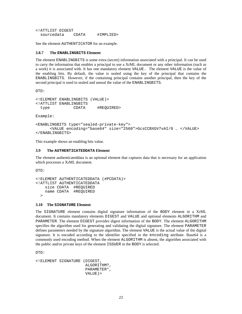<span id="page-28-0"></span><!ATTLIST DIGEST sourcedata CDATA #IMPLIED>

See the element AUTHENTICATOR for an example.

#### **3.8.7 The ENABLINGBITS Element**

The element ENABLINGBITS is some extra (secret) information associated with a principal. It can be used to carry the information that enables a principal to use a XrML document or any other information (such as a work) it is associated with. It has one mandatory element VALUE. The element VALUE is the value of the enabling bits. By default, the value is sealed using the key of the principal that contains the ENABLINGBITS. However, if the containing principal contains another principal, then the key of the second principal is used to sealed and unseal the value of the ENABLINGBITS.

DTD:

```
<!ELEMENT ENABLINGBITS (VALUE)>
<!ATTLIST ENABLINGBITS
 type CDATA #REQUIRED>
```
Example:

```
<ENABLINGBITS type="sealed-private-key">
      <VALUE encoding="base64" size="2560">GcsCCBXGV7vAI/0 … </VALUE>
</ENABLINGBITS>
```
This example shows an enabling bits value.

#### **3.9 The AUTHENTICATEDDATA Element**

The element authenticateddata is an optional element that captures data that is necessary for an application which processes a XrML document.

DTD:

```
<!ELEMENT AUTHENTICATEDDATA (#PCDATA)>
<!ATTLIST AUTHENTICATEDDATA
    size CDATA #REQUIRED
    name CDATA #REQUIRED
  \rightarrow
```
#### **3.10 The SIGNATURE Element**

The SIGNATURE element contains digital signature information of the BODY element in a XrML document. It contains mandatory elements DIGEST and VALUE and optional elements ALGORITHM and PARAMETER. The element DIGEST provides digest information of the BODY. The element ALGORITHM specifies the algorithm used for generating and validating the digital signature. The element PARAMETER defines parameters needed by the signature algorithm. The element VALUE is the actual value of the digital signature. It is encoded according to the identifier specified in the encoding attribute. Base64 is a commonly used encoding method. When the element ALGORITHM is absent, the algorithm associated with the public and/or private keys of the element ISSUER in the BODY is selected.

DTD:

```
<!ELEMENT SIGNATURE (DIGEST,
                     ALGORITHM?,
                     PARAMETER*,
                     VALUE)>
```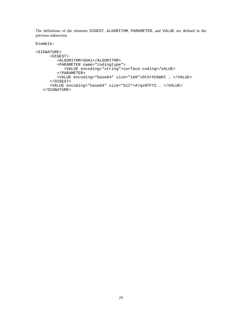The definitions of the elements DIGEST, ALGORITHM, PARAMETER, and VALUE are defined in the previous subsection.

Example:

```
<SIGNATURE>
      <DIGEST>
         <ALGORITHM>SHA1</ALGORITHM>
         <PARAMETER name="codingtype">
            <VALUE encoding="string">surface-coding</VALUE>
         </PARAMETER>
         <VALUE encoding="base64" size="160">OtSrhCKWHI … </VALUE>
      </DIGEST>
      <VALUE encoding="base64" size="512">A7qsNTFT2 … </VALUE>
   </SIGNATURE>
```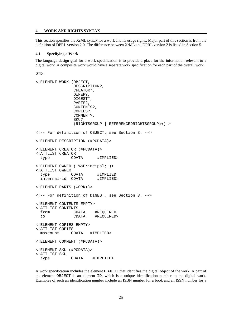#### <span id="page-30-0"></span>**4 WORK AND RIGHTS SYNTAX**

This section specifies the XrML syntax for a work and its usage rights. Major part of this section is from the definition of DPRL version 2.0. The difference between XrML and DPRL version 2 is listed in Section 5.

#### **4.1 Specifying a Work**

The language design goal for a work specification is to provide a place for the information relevant to a digital work. A composite work would have a separate work specification for each part of the overall work.

DTD:

```
<!ELEMENT WORK (OBJECT,
              DESCRIPTION?,
              CREATOR*,
              OWNER?,
              DIGEST*,
              PARTS?,
              CONTENTS?,
              COPIES?,
              COMMENT?,
              SKU?,
              (RIGHTSGROUP | REFERENCEDRIGHTSGROUP)+) >
<!-- For definition of OBJECT, see Section 3. -->
<!ELEMENT DESCRIPTION (#PCDATA)>
<!ELEMENT CREATOR (#PCDATA)>
<!ATTLIST CREATOR
 type CDATA #IMPLIED>
<!ELEMENT OWNER ( %aPrincipal; )>
<!ATTLIST OWNER
 type CDATA #IMPLIED
 internal-id CDATA #IMPLIED>
<!ELEMENT PARTS (WORK+)>
<!-- For definition of DIGEST, see Section 3. -->
<!ELEMENT CONTENTS EMPTY>
<!ATTLIST CONTENTS
 from CDATA #REQUIRED
 to CDATA #REQUIRED>
<!ELEMENT COPIES EMPTY>
<!ATTLIST COPIES
 maxcount CDATA #IMPLIED>
<!ELEMENT COMMENT (#PCDATA)>
<!ELEMENT SKU (#PCDATA)>
<!ATTLIST SKU
 type CDATA #IMPLIED>
```
A work specification includes the element OBJECT that identifies the digital object of the work. A part of the element OBJECT is an element ID, which is a unique identification number to the digital work. Examples of such an identification number include an ISBN number for a book and an ISSN number for a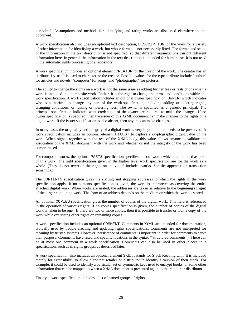periodical. Assumptions and methods for identifying and rating works are discussed elsewhere in this document.

A work specification also includes an optional text description, DESCRIPTION, of the work for a variety of other information for identifying a work, but whose format is not necessarily fixed. The format and scope of the information in the text description is not specified, so that different organizations can put different information here. In general, the information in the text description is intended for human use. It is not used in the automatic rights processing of a repository.

A work specification includes an optional element CREATOR for the creator of the work. The creator has an attribute, type. It is used to characterize the creator. Possible values for the type attribute include "author" for articles and novels, "composer" for songs, and "photographer" for pictures.

The ability to change the rights on a work is not the same issue as adding further fees or restrictions when a work is included in a composite work. Rather, it is the right to change the terms and conditions within the work specification. A work specification includes an optional owner specification, OWNER, which indicates who is authorized to change any part of the work-specification, including adding or deleting rights, changing conditions, or raising or lowering fees. The owner is specified as a generic principal. The principal specification indicates what credentials of the owner are required to make the changes. If no owner specification is specified, then the issuer of this XrML document can make changes to the rights on a digital work. If the issuer specification is also absent, then anyone can make changes.

In many cases the originality and integrity of a digital work is very important and needs to be preserved. A work specification includes an optional element DIGEST to capture a cryptographic digest value of the work. When signed together with the rest of the XrML body, this value allows anyone to validate the association of the XrML document with the work and whether or not the integrity of the work has been compromised.

For composite works, the optional PARTS specification specifies a list of works which are included as parts of this work. The right specifications given in the higher level work specification are for the work as a whole. (They do not override the rights on individual included works. See the appendix on transaction semantics.)

The CONTENTS specification gives the starting and stopping addresses to which the rights in the work specification apply. If no contents specification is given, the work is interpreted as covering the entire attached digital work. When works are nested, the addresses are taken as relative to the beginning (origin) of the larger containing work. The form of an address depends on the medium on which the work is stored.

An optional COPIES specification gives the number of copies of the digital work. This field is referenced in the operation of various rights. If no copies specification is given, the number of copies of the digital work is taken to be one. If there are two or more copies, then it is possible to transfer or loan a copy of the work while exercising other rights on remaining copies.

A work specification includes an optional COMMENT. Comments in XrML are intended for documentation, typically used by people creating and updating rights specifications. Comments are not interpreted for meaning by trusted systems. However, persistence of comments is important in order for comments to serve their purpose. Comments have fixed and specific locations in the syntax ("structured comments"). There can be at most one comment in a work specification. Comments can also be used in other places in a specification, such as in rights groups, as described later.

A work specification also includes an optional element SKU. It stands for Stock Keeping Unit. It is included mainly for extensibility to allow a content retailer or distributor to identify a version of their stock. For example, it could be used to identify a particular set of symmetric keys used to encrypt books, or some other information that can be mapped to when a XrML document is presented again to the retailer or distributor.

Finally, a work specification includes a list of named groups of rights.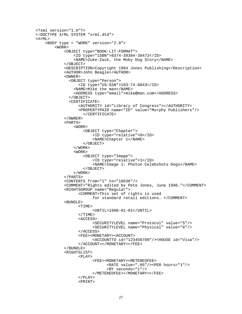```
<?xml version="1.0"?>
<!DOCTYPE XrML SYSTEM "xrml.dtd">
<XrML>
    <BODY type = "WORK" version="2.0">
        <WORK>
            <OBJECT type="BOOK-LIT-FORMAT">
                <ID type="ISBN">8374-39384-38472</ID>
                <NAME>Zuke-Zack, the Moby Dog Story</NAME>
            </OBJECT>
            <DESCRIPTION>Copyright 1994 Jones Publishing</Description>
            <AUTHOR>John Beagle</AUTHOR>
            <OWNER>
              <OBJECT type="Person">
                  <ID type="US-SSN">103-74-8843</ID>
                <NAME>Mike the man</NAME>
                <ADDRESS type="email">mike@man.com</ADDRESS>
              </OBJECT>
              <CERTIFICATE>
                  <AUTHORITY id="Library of Congress"></AUTHORITY>
                  <PROPERTYPAIR name="ID" value="Murphy Publishers"/>
                    </CERTIFICATE>
            </OWNER>
            <PARTS>
                <WORK>
                    <OBJECT type="Chapter">
                        <ID type="relative">0</ID>
                        <NAME>Chapter 1</NAME>
                    </OBJECT>
                </WORK>
                <WORK>
                    <OBJECT type="Image">
                        <ID type="relative">1</ID>
                        <NAME>Image 1: Photon Celebshots Dogs</NAME>
                    </OBJECT>
                </WORK>
            </PARTS>
            <CONTENTS from="1" to="16636"/>
            <COMMENT>"Rights edited by Pete Jones, June 1996."</COMMENT>
            <RIGHTSGROUP name="Regular">
                  <COMMENT>This set of rights is used
                        for standard retail editions. </COMMENT>
            <BUNDLE>
                  <TIME><UNTIL>1998-01-01</UNTIL>
                  </TIME><ACCESS>
                        <SECURITYLEVEL name="Protocol" value="5"/>
                        <SECURITYLEVEL name="Physical" value="6"/>
                  </ACCESS>
                  <FEE><MONETARY><ACCOUNT>
                        <ACCOUNTTO id="123456789"/><HOUSE id="Visa"/>
                  </ACCOUNT></MONETARY></FEE>
            </BUNDLE>
            <RIGHTSLIST>
                  <PLAY>
                        <FEE><MONETARY><METEREDFEE>
                              <RATE value=".05"/><PER hours="1"/>
                               <BY seconds="1"/>
                        </METEREDFEE></MONETARY></FEE>
                  </PLAY>
                  <PRINT>
```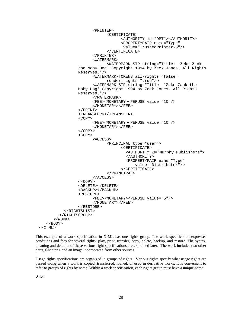```
<PRINTER>
                             <CERTIFICATE>
                                   <AUTHORITY id="DPT"></AUTHORITY>
                                   <PROPERTYPAIR name="Type"
                                    value="TrustedPrinter-6"/>
                             </CERTIFICATE>
                       </PRINTER>
                       <WATERMARK>
                             <WATERMARK-STR string="Title: 'Zeke Zack
                 the Moby Dog' Copyright 1994 by Zeck Jones. All Rights
                 Reserved."/>
                       <WATERMARK-TOKENS all-rights="false"
                             render-rights="true"/>
                       <WATERMARK-STR string="Title: 'Zeke Zack the
                Moby Dog' Copyright 1994 by Zeck Jones. All Rights
                 Reserved."/>
                       </WATERMARK>
                       <FEE><MONETARY><PERUSE value="10"/>
                       </MONETARY></FEE>
                 </PRINT>
                 <TREANSFER></TREANSFER>
                 <COPY><FEE><MONETARY><PERUSE value="10"/>
                       </MONETARY></FEE>
                 </COPY>
                 <COPY><ACCESS>
                             <PRINCIPAL type="user">
                                   <CERTIFICATE>
                                      <AUTHORITY id="Murphy Publishers">
                                      </AUTHORITY>
                                      <PROPERTYPAIR name="Type"
                                         value="Distributor"/>
                                   </CERTIFICATE>
                             </PRINCIPAL>
                       </ACCESS>
                 </COPY>
                 <DELETE></DELETE>
                 <BACKUP></BACKUP>
                 <RESTORE>
                       <FEE><MONETARY><PERUSE value="5"/>
                       </MONETARY></FEE>
                 </RESTORE>
          </RIGHTSLIST>
        </RIGHTSGROUP>
      </WORK>
   </BODY>
</XrML>
```
This example of a work specification in XrML has one rights group. The work specification expresses conditions and fees for several rights: play, print, transfer, copy, delete, backup, and restore. The syntax, meaning and defaults of these various right specifications are explained later. The work includes two other parts, Chapter 1 and an image incorporated from other sources.

Usage rights specifications are organized in groups of rights. Various rights specify what usage rights are passed along when a work is copied, transferred, loaned, or used in derivative works. It is convenient to refer to groups of rights by name. Within a work specification, each rights group must have a unique name.

DTD: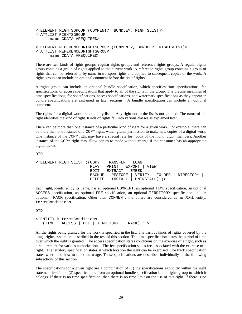```
<!ELEMENT RIGHTSGROUP (COMMENT?, BUNDLE?, RIGHTSLIST)>
<!ATTLIST RIGHTSGROUP
     name CDATA #REQUIRED>
<!ELEMENT REFERENCEDRIGHTSGROUP (COMMENT?, BUNDLE?, RIGHTSLIST)>
<!ATTLIST REFERENCEDRIGHTSGROUP
```
name CDATA #REQUIRED>

There are two kinds of rights groups: regular rights groups and reference rights groups. A regular rights group contains a group of rights applied to the current work. A reference rights group contains a group of rights that can be referred to by name in transport rights and applied to subsequent copies of the work. A rights group can include an optional comment before the list of rights.

A rights group can include an optional bundle specification, which specifies time specifications, fee specifications, or access specifications that apply to all of the rights in the group. The precise meanings of time specifications, fee specifications, access specifications, and watermark specifications as they appear in bundle specifications are explained in later sections. A bundle specification can include an optional comment.

The rights for a digital work are explicitly listed. Any right not in the list is not granted. The name of the right identifies the kind of right. Kinds of rights fall into various classes as explained later.

There can be more than one instance of a particular kind of right for a given work. For example, there can be more than one instance of a COPY right, which grants permission to make new copies of a digital work. One instance of the COPY right may have a special rate for "book of the month club" members. Another instance of the COPY right may allow copies to made without charge if the consumer has an appropriate digital ticket.

DTD:

```
<!ELEMENT RIGHTSLIST ((COPY | TRANSFER | LOAN |
                       PLAY | PRINT | EXPORT | VIEW |
                       EDIT | EXTRACT | EMBED |
                       BACKUP | RESTORE | VERIFY | FOLDER | DIRECTORY |
                       DELETE | INSTALL | UNINSTALL)+)>
```
Each right, identified by its name, has an optional COMMENT*,* an optional TIME specification, an optional ACCESS specification, an optional FEE specification, an optional TERRITORY specification and an optional TRACK specification. Other than COMMENT, the others are considered as an XML entity, termsConditions.

DTD:

```
<!ENTITY % termsConditions
  "(TIME | ACCESS | FEE | TERRITORY | TRACK)+" >
```
All the rights being granted for the work is specified in the list. The various kinds of rights covered by the usage rights system are described in the rest of this section. The time specification states the period of time over which the right is granted. The access specification states conditions on the exercise of a right, such as a requirement for various authorizations. The fee specification states fees associated with the exercise of a right. The territory specification states at which location the right can be exercised. The track specification states where and how to track the usage. These specifications are described individually in the following subsections of this section.

The specifications for a given right are a combination of (1) the specifications explicitly within the right statement itself, and (2) specifications from an optional bundle specification in the rights group to which it belongs. If there is no time specification, then there is no time limit on the use of this right. If there is no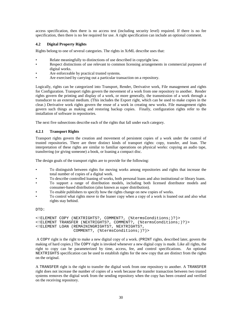<span id="page-35-0"></span>access specification, then there is no access test (including security level) required. If there is no fee specification, then there is no fee required for use. A right specification can include an optional comment.

#### **4.2 Digital Property Rights**

Rights belong to one of several categories. The rights in XrML describe uses that:

- Relate meaningfully to distinctions of use described in copyright law.
- Respect distinctions of use relevant to common licensing arrangements in commercial purposes of digital works.
- Are enforceable by practical trusted systems.
- Are exercised by carrying out a particular transaction on a repository.

Logically, rights can be categorized into Transport, Render, Derivative work, File management and rights for Configuration. Transport rights govern the movement of a work from one repository to another. Render rights govern the printing and display of a work, or more generally, the transmission of a work through a transducer to an external medium. (This includes the Export right, which can be used to make copies in the clear.) Derivative work rights govern the reuse of a work in creating new works. File management rights govern such things as making and restoring backup copies. Finally, configuration rights refer to the installation of software in repositories.

The next five subsections describe each of the rights that fall under each category.

#### **4.2.1 Transport Rights**

Transport rights govern the creation and movement of persistent copies of a work under the control of trusted repositories. There are three distinct kinds of transport rights: copy, transfer, and loan. The interpretation of these rights are similar to familiar operations on physical works: copying an audio tape, transferring (or giving someone) a book, or loaning a compact disc.

The design goals of the transport rights are to provide for the following:

- To distinguish between rights for moving works among repositories and rights that increase the total number of copies of a digital work.
- To describe controlled loaning of works, both personal loans and also institutional or library loans.
- To support a range of distribution models, including both licensed distributor models and consumer-based distribution (also known as super distribution).
- To enable publishers to specify how the rights change on new copies of works.
- To control what rights move to the loaner copy when a copy of a work is loaned out and also what rights stay behind.

DTD:

```
<!ELEMENT COPY (NEXTRIGHTS?, COMMENT?, (%termsConditions;)?)>
<!ELEMENT TRANSFER (NEXTRIGHTS?, COMMENT?, (%termsConditions;)?)>
<!ELEMENT LOAN (REMAININGRIGHTS?, NEXTRIGHTS?,
               COMMENT?, (%termsConditions;)?)>
```
 A COPY right is the right to make a new digital copy of a work. (PRINT rights, described later, govern the making of hard copies.) The COPY right is invoked whenever a new digital copy is made. Like all rights, the right to copy can be parameterized by time, access, fee, and control specifications. An optional NEXTRIGHTS specification can be used to establish rights for the new copy that are distinct from the rights on the original.

A TRANSFER right is the right to transfer the digital work from one repository to another. A TRANSFER right does not increase the number of copies of a work because the transfer transaction between two trusted systems removes the digital work from the sending repository when the copy has been created and verified on the receiving repository.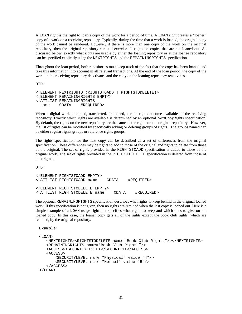A LOAN right is the right to loan a copy of the work for a period of time. A LOAN right creates a "loaner" copy of a work on a receiving repository. Typically, during the time that a work is loaned, the original copy of the work cannot be rendered. However, if there is more than one copy of the work on the original repository, then the original repository can still exercise all rights on copies that are not loaned out. As discussed below, exactly what rights are usable by either the loaning repository or at the loanee repository can be specified explicitly using the NEXTRIGHTS and the REMAININGRIGHTS specification.

Throughout the loan period, both repositories must keep track of the fact that the copy has been loaned and take this information into account in all relevant transactions. At the end of the loan period, the copy of the work on the receiving repository deactivates and the copy on the loaning repository reactivates.

DTD:

```
<!ELEMENT NEXTRIGHTS (RIGHTSTOADD | RIGHTSTODELETE)>
<!ELEMENT REMAININGRIGHTS EMPTY>
<!ATTLIST REMAININGRIGHTS
 name CDATA
```
When a digital work is copied, transferred, or loaned, certain rights become available on the receiving repository. Exactly which rights are available is determined by an optional NextCopyRights specification. By default, the rights on the new repository are the same as the rights on the original repository. However, the list of rights can be modified by specifically adding or deleting groups of rights. The groups named can be either regular rights groups or reference rights groups.

The rights specification for the next copy can be described as a set of differences from the original specification. These differences may be rights to add to those of the original and rights to delete from those of the original. The set of rights provided in the RIGHTSTOADD specification is added to those of the original work. The set of rights provided in the RIGHTSTODELETE specification is deleted from those of the original.

DTD:

<!ELEMENT RIGHTSTOADD EMPTY> <!ATTLIST RIGHTSTOADD name CDATA #REQUIRED> <!ELEMENT RIGHTSTODELETE EMPTY> <!ATTLIST RIGHTSTODELETE name CDATA #REQUIRED>

The optional REMAININGRIGHTS specification describes what rights to keep behind in the original loaned work. If this specification is not given, then no rights are retained when the last copy is loaned out. Here is a simple example of a LOAN usage right that specifies what rights to keep and which ones to give on the loaned copy. In this case, the loaner copy gets all of the rights except the book club rights, which are retained, by the original repository.

```
Example:
```

```
<LOAN>
   <NEXTRIGHTS><RIGHTSTODELETE name="Book-Club-Rights"/></NEXTRIGHTS>
   <REMAININGRIGHTS name="Book-Club-Rights"/>
   <ACCESS><SECURITYLEVEL></SECURITY></ACCESS>
   <ACCESS>
      <SECURITYLEVEL name="Physical" value="4"/>
      <SECURITYLEVEL name="Kernal" value="5"/>
   </ACCESS>
</LOAN>
```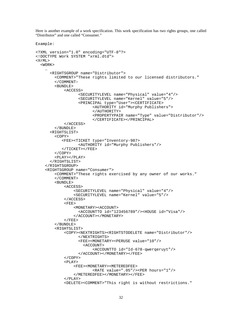Here is another example of a work specification. This work specification has two rights groups, one called "Distributor" and one called "Consumer."

```
Example:
```

```
<?XML version="1.0" encoding="UTF-8"?>
<!DOCTYPE Work SYSTEM "xrml.dtd">
<XrML>
  <WORK>
    …
      <RIGHTSGROUP name="Distributor">
        <COMMENT>"These rights limited to our licensed distributors."
        </COMMENT>
        <BUNDLE>
            <ACCESS>
                  <SECURITYLEVEL name="Physical" value="4"/>
                  <SECURITYLEVEL name="Kernel" value="5"/>
                  <PRINCIPAL type="User"><CERTIFICATE>
                        <AUTHORITY id="Murphy Publishers">
                        </AUTHORITY>
                        <PROPERTYPAIR name="Type" value="Distributor"/>
                        </CERTIFICATE></PRINCIPAL>
            </ACCESS>
        </BUNDLE>
      <RIGHTSLIST>
        <COPY><FEE><TICKET type="Inventory-987>
                  <AUTHORITY id="Murphy Publishers"/>
           </TICKET></FEE>
        </COPY>
        <PLAY></PLAY>
      </RIGHTSLIST>
    </RIGHTSGROUP>
    <RIGHTSGROUP name="Consumer">
        <COMMENT>"These rights exercised by any owner of our works."
        </COMMENT>
        <BUNDLE>
            <ACCESS>
                <SECURITYLEVEL name="Physical" value="4"/>
                <SECURITYLEVEL name="Kernel" value="5"/>
            </ACCESS>
            <FEE>
                <MONETARY><ACCOUNT>
                  <ACCOUNTTO id="123456789"/><HOUSE id="Visa"/>
                </ACCOUNT></MONETARY>
            </FEE>
        </BUNDLE>
        <RIGHTSLIST>
            <COPY><NEXTRIGHTS><RIGHTSTODELETE name="Distributor"/>
                  </NEXTRIGHTS>
                  <FEE><MONETARY><PERUSE value="10"/>
                    <ACCONINT><ACCOUNTTO id="Id-678-qwerqeruyt"/>
                  </ACCOUNT></MONETARY></FEE>
            </COPY>
            <PLAY><FEE><MONETARY><METEREDFEE>
                        <RATE value=".05"/><PER hours="1"/>
                </METEREDFEE></MONETARY></FEE>
            </PLAY>
            <DELETE><COMMENT>"This right is without restrictions."
```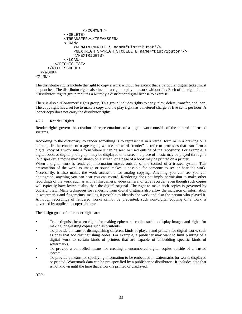```
</COMMENT>
            </DELETE>
            <TREANSFER></TREANSFER>
            <LOAN>
                <REMAININGRIGHTS name="Distributor"/>
                <NEXTRIGHTS><RIGHTSTODELETE name="Distributor"/>
                </NEXTRIGHTS>
            </LOAN>
        </RIGHTSLIST>
     </RIGHTSGROUP>
  </WORK>
<XrML>
```
The distributor rights include the right to copy a work without fee except that a particular digital ticket must be punched. The distributor rights also include a right to play the work without fee. Each of the rights in the "Distributor" rights group requires a Murphy's distributor digital license to exercise.

There is also a "Consumer" rights group. This group includes rights to copy, play, delete, transfer, and loan. The copy right has a set fee to make a copy and the play right has a metered charge of five cents per hour. A loaner copy does not carry the distributor rights.

# **4.2.2 Render Rights**

Render rights govern the creation of representations of a digital work outside of the control of trusted systems.

According to the dictionary, to render something is to represent it in a verbal form or in a drawing or a painting. In the context of usage rights, we use the word "render" to refer to processes that transform a digital copy of a work into a form where it can be seen or used outside of the repository. For example, a digital book or digital photograph may be displayed on a screen, a piece of music may be played through a loud speaker, a movie may be shown on a screen, or a page of a book may be printed on a printer.

When a digital work is rendered, information moves outside of the control of a trusted system. This presentation of the work as image or sound makes it possible for someone to see or hear the work. Necessarily, it also makes the work accessible for analog copying. Anything you can see you can photograph; anything you can hear you can record. Rendering does not imply permission to make other recordings of the work, such as with a film camera, video camera, or tape recorder, even though such copies will typically have lower quality than the digital original. The right to make such copies is governed by copyright law. Many techniques for rendering from digital originals also allow the inclusion of information in watermarks and fingerprints, making it possible to identify the work and also the person who played it. Although recordings of rendered works cannot be prevented, such non-digital copying of a work is governed by applicable copyright laws.

The design goals of the render rights are:

- To distinguish between rights for making ephemeral copies such as display images and rights for making long-lasting copies such as printouts.
- To provide a means of distinguishing different kinds of players and printers for digital works such as ones that add distinguishing codes. For example, a publisher may want to limit printing of a digital work to certain kinds of printers that are capable of embedding specific kinds of watermarks.
- To provide a controlled means for creating unencumbered digital copies outside of a trusted system.
- To provide a means for specifying information to be embedded in watermarks for works displayed or printed. Watermark data can be pre-specified by a publisher or distributor. It includes data that is not known until the time that a work is printed or displayed.

DTD: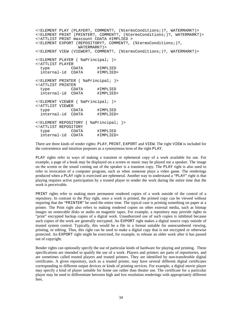<!ELEMENT PLAY (PLAYER?, COMMENT?, (%termsConditions;)?, WATERMARK?)> <!ELEMENT PRINT (PRINTER?, COMMENT?, (%termsConditions;)?, WATERMARK?)> <!ATTLIST PRINT maxcount CDATA #IMPLIED > <!ELEMENT EXPORT (REPOSITORY?, COMMENT?, (%termsConditions;)?, WATERMARK?)> <!ELEMENT VIEW (VIEWER?, COMMENT?, (%termsConditions;)?, WATERMARK?)> <!ELEMENT PLAYER ( %aPrincipal; )> <!ATTLIST PLAYER type CDATA #IMPLIED<br>internal-id CDATA #IMPLIED> internal-id CDATA <!ELEMENT PRINTER ( %aPrincipal; )> <!ATTLIST PRINTER type CDATA #IMPLIED internal-id CDATA #IMPLIED> <!ELEMENT VIEWER ( %aPrincipal; )> <!ATTLIST VIEWER type CDATA #IMPLIED<br>internal-id CDATA #IMPLIED> internal-id CDATA <!ELEMENT REPOSITORY ( %aPrincipal; )> <!ATTLIST REPOSITORY type CDATA #IMPLIED<br>internal-id CDATA #IMPLIED> internal-id CDATA

There are three kinds of render rights: PLAY, PRINT, EXPORT and VIEW. The right VIEW is included for the convenience and intuition purposes as a synonymous term of the right PLAY.

PLAY rights refer to ways of making a transient or ephemeral copy of a work available for use. For example, a page of a book may be displayed on a screen or music may be played out a speaker. The image on the screen or the sound coming out of the speaker is a transient copy. The PLAY right is also used to refer to invocation of a computer program, such as when someone plays a video game. The renderings produced when a PLAY right is exercised are ephemeral. Another way to understand a "PLAY" right is that playing requires active participation by a trusted player to render the work during the entire time that the work is perceivable.

PRINT rights refer to making more permanent rendered copies of a work outside of the control of a repository. In contrast to the Play right, once a work is printed, the printed copy can be viewed without requiring that the "PRINTER" be used the entire time. The typical case is printing something on paper at a printer. The Print right also refers to making rendered copies on other external media, such as bitmap images on removable disks or audio on magnetic tapes. For example, a repository may provide rights to "print" encrypted backup copies of a digital work. Unauthorized use of such copies is inhibited because such copies of the work are generally encrypted. An EXPORT right makes a digital source copy outside of trusted system control. Typically, this would be a file in a format suitable for unencumbered viewing, printing, or editing. Thus, this right can be used to make a digital copy that is not encrypted or otherwise protected. An EXPORT right might be exercised, for example, to release an older work after it has passed out of copyright.

Render rights can optionally specify the use of particular kinds of hardware for playing and printing. These specifications are intended to qualify the use of a work. Players and printers are parts of repositories, and are sometimes called trusted players and trusted printers. They are identified by non-transferable digital certificates. A given repository, such as a trusted printer, may have several different digital certificates corresponding to different output devices or kinds of printing services. For example, a digital movie player may specify a kind of player suitable for home use rather than theater use. The certificate for a particular player may be used to differentiate between high and low resolution renderings with appropriately different fees.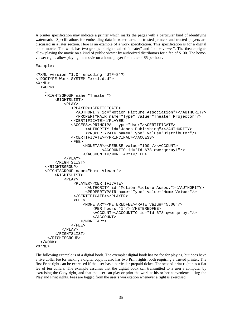A printer specification may indicate a printer which marks the pages with a particular kind of identifying watermark. Specifications for embedding data in watermarks on trusted printers and trusted players are discussed in a later section. Here is an example of a work specification. This specification is for a digital home movie. The work has two groups of rights called "theater" and "home-viewer". The theater rights allow playing the movie on a kind of public viewer by authorized distributors for a fee of \$100. The homeviewer rights allow playing the movie on a home player for a rate of \$5 per hour.

Example:

```
<?XML version="1.0" encoding="UTF-8"?>
<!DOCTYPE Work SYSTEM "xrml.dtd">
<XrML>
  <WORK>
    …
    <RIGHTSGROUP name="Theater">
        <RIGHTSLIST>
            <PLAY>
               <PLAYER><CERTIFICATE>
                 <AUTHORITY id="Motion Picture Association"></AUTHORITY>
                 <PROPERTYPAIR name="Type" value="Theater Projector"/>
               </CERTIFICATE></PLAYER>
               <ACCESS><PRINCIPAL type="User"><CERTIFICATE>
                     <AUTHORITY id="Jones Publishing"></AUTHORITY>
                     <PROPERTYPAIR name="Type" value="Distributor"/>
               </CERTIFICATE></PRINCIPAL></ACCESS>
               <FEE><MONETARY><PERUSE value="100"/><ACCOUNT>
                            <ACCOUNTTO id="Id-678-qwerqeruyt"/>
                    </ACCOUNT></MONETARY></FEE>
            </PLAY>
        </RIGHTSLIST>
    </RIGHTSGROUP>
    <RIGHTSGROUP name="Home-Viewer">
        <RIGHTSLIST>
            <PLAY><PLAYER><CERTIFICATE>
                     <AUTHORITY id="Motion Picture Assoc."></AUTHORITY>
                     <PROPERTYPAIR name="Type" value="Home-Veiwer"/>
                </CERTIFICATE></PLAYER>
                <FEE>
                    <MONETARY><METEREDFEE><RATE value="5.00"/>
                        <PER hours="1"/></METEREDFEE>
                        <ACCOUNT><ACCOUNTTO id="Id-678-qwerqeruyt"/>
                        </ACCOUNT>
                   </MONETARY>
               </FEE>
           </PLAY>
        </RIGHTSLIST>
     </RIGHTSGROUP>
  </WORK>
<XrML>
```
The following example is of a digital book. The exemplar digital book has no fee for playing, but does have a five dollar fee for making a digital copy. It also has two Print rights, both requiring a trusted printer. The first Print right can be exercised if the user has a particular prepaid ticket. The second print right has a flat fee of ten dollars. The example assumes that the digital book can transmitted to a user's computer by exercising the Copy right, and that the user can play or print the work at his or her convenience using the Play and Print rights. Fees are logged from the user's workstation whenever a right is exercised.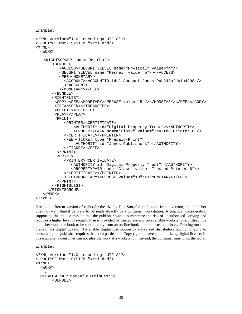```
Example:
<?XML version="1.0" encoding="UTF-8"?>
<!DOCTYPE Work SYSTEM "xrml.dtd">
<XrMT><WORK>…
    <RIGHTSGROUP name="Regular">
       <BUNDLE>
          <ACCESS><SECURITYLEVEL name="Physical" value="4"/>
          <SECURITYLEVEL name="Kernel" value="5"/></ACCESS>
          <FEE><MONETARY>
            <ACCOUNT><ACCOUNTTO id=" Account-Jones-Pub248afdoiu4398"/>
            </ACCOUNT>
          </MONETARY></FEE>
       </BUNDLE>
       <RIGHTSLIST>
        <COPY><FEE><MONETARY><PERUSE value="5"/></MONETARY></FEE></COPY>
        <TREANSFER></TREANSFER>
        <DELETE></DELETE>
        <PLAY></PLAY>
        <PRINT>
            <PRINTER><CERTIFICATE>
                <AUTHORITY id="Digital Property Trust"></AUTHORITY>
                <PROPERTYPAIR name="Class" value="Trusted Printer-6"/>
            </CERTIFICATE></PRINTER>
            <FEE><TICKET type="Prepaid-Print">
                <AUTHORITY id="Jones Publishers"></AUTHORITY>
            </TICKET></FEE>
         </PRINT>
         <PRINT>
            <PRINTER><CERTIFICATE>
               <AUTHORITY id="Digital Property Trust"></AUTHORITY>
               <PROPERTYPAIR name="Class" value="Trusted Printer-6"/>
            </CERTIFICATE></PRINTER>
            <FEE><MONETARY><PERUSE value="10"/></MONETARY></FEE>
         </PRINT>
       </RIGHTSLIST>
     </RIGHTSGROUP>
   </WORK>
</XrML>
```
Here is a different version of rights for the "Moby Dog Story" digital book. In this version, the publisher does not want digital delivery to be made directly to a consumer workstation. A practical consideration supporting this choice may be that the publisher wants to minimize the risk of unauthorized copying and requires a higher level of security than is provided by trusted systems on available workstations. Instead, the publisher wants the book to be sent directly from an on-line bookstore to a trusted printer. Printing must be prepaid via digital tickets. To enable digital distribution to authorized distributors but not directly to consumers, the publisher requires that both parties in a Copy right be have an authorizing digital license. In this example, a consumer can not play the work at a workstation. Instead, the consumer must print the work.

```
<?XML version="1.0" encoding="UTF-8"?>
<!DOCTYPE Work SYSTEM "xrml.dtd">
<XrMT>
  <WORK >…
  <RIGHTSGROUP name="Distributor">
       <BUNDLE>
```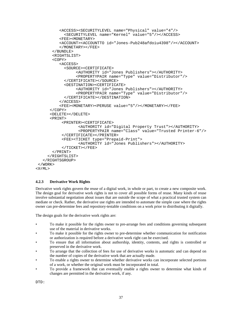```
<ACCESS><SECURITYLEVEL name="Physical" value="4"/>
            <SECURITYLEVEL name="Kernel" value="5"/></ACCESS>
          <FEE><MONETARY>
          <ACCOUNT><ACCOUNTTO id="Jones-Pub248afdoiu4398"/></ACCOUNT>
          </MONETARY></FEE>
       </BUNDLE>
       <RIGHTSLIST>
       <COPY>
          <ACCESS>
            <SOURCE><CERTIFICATE>
                 <AUTHORITY id="Jones Publishers"></AUTHORITY>
                 <PROPERTYPAIR name="Type" value="Distributor"/>
            </CERTIFICATE></SOURCE>
            <DESTINATION><CERTIFICATE>
                 <AUTHORITY id="Jones Publishers"></AUTHORITY>
                 <PROPERTYPAIR name="Type" value="Distributor"/>
            </CERTIFICATE></DESTINATION>
          </ACCESS>
          <FEE><MONETARY><PERUSE value="5"/></MONETARY></FEE>
      </COPY>
      <DELETE></DELETE>
      <PRINT>
           <PRINTER><CERTIFICATE>
                  <AUTHORITY id="Digital Property Trust"></AUTHORITY>
                  <PROPERTYPAIR name="Class" value="Trusted Printer-6"/>
           </CERTIFICATE></PRINTER>
           <FEE><TICKET type="Prepaid-Print">
                  <AUTHORITY id="Jones Publishers"></AUTHORITY>
           </TICKET></FEE>
       </PRINT>
     </RIGHTSLIST>
   </RIGHTSGROUP>
 </WORK>
<XrML>
```
# **4.2.3 Derivative Work Rights**

Derivative work rights govern the reuse of a digital work, in whole or part, to create a new composite work. The design goal for derivative work rights is not to cover all possible forms of reuse. Many kinds of reuse involve substantial negotiation about issues that are outside the scope of what a practical trusted system can mediate or check. Rather, the derivative use rights are intended to automate the simple case where the rights owner can pre-determine fees and repository-testable conditions on a work prior to distributing it digitally.

The design goals for the derivative work rights are:

- To make it possible for the rights owner to pre-arrange fees and conditions governing subsequent use of the material in derivative works.
- To make it possible for the rights owner to pre-determine whether communication for notification or authorization is required before a derivative work right can be exercised.
- To ensure that all information about authorship, identity, contents, and rights is controlled or preserved in the derivative work.
- To arrange that the collection of fees for use of derivative works is automatic and can depend on the number of copies of the derivative work that are actually made.
- To enable a rights owner to determine whether derivative works can incorporate selected portions of a work, or whether the original work must be incorporated in total.
- To provide a framework that can eventually enable a rights owner to determine what kinds of changes are permitted in the derivative work, if any.

DTD: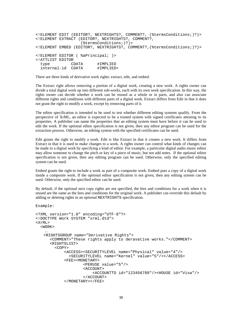```
<!ELEMENT EDIT (EDITOR?, NEXTRIGHTS?, COMMENT?, (%termsConditions;)?)>
<!ELEMENT EXTRACT (EDITOR?, NEXTRIGHTS?, COMMENT?,
                    (%termsConditions;)?)>
<!ELEMENT EMBED (EDITOR?, NEXTRIGHTS?, COMMENT?,(%termsConditions;)?)>
<!ELEMENT EDITOR ( %aPrincipal; )>
<!ATTLIST EDITOR
  type CDATA #IMPLIED<br>internal-id CDATA #IMPLIED>
  internal-id CDATA
```
There are three kinds of derivative work rights: extract, edit, and embed.

The Extract right allows removing a portion of a digital work, creating a new work. A rights owner can divide a total digital work up into different sub-works, each with its own work specification. In this way, the rights owner can decide whether a work can be reused as a whole or in parts, and also can associate different rights and conditions with different parts of a digital work. Extract differs from Edit in that it does not grant the right to modify a work, except by removing parts of it.

The editor specification is intended to be used to test whether different editing systems qualify. From the perspective of XrML, an editor is expected to be a trusted system with signed certificates attesting to its properties. A publisher can name the properties that an editing system must have before it can be used to edit the work. If the optional editor specification is not given, then any editor program can be used for the extraction process. Otherwise, an editing system with the specified certificates can be used.

Edit grants the right to modify a work. Edit is like Extract in that it creates a new work. It differs from Extract in that it is used to make changes to a work. A rights owner can control what kinds of changes can be made to a digital work by specifying a kind of editor. For example, a particular digital audio music editor may allow someone to change the pitch or key of a piece of music, but not add notes. If the optional editor specification is not given, then any editing program can be used. Otherwise, only the specified editing system can be used.

Embed grants the right to include a work as part of a composite work. Embed puts a copy of a digital work inside a composite work. If the optional editor specification is not given, then any editing system can be used. Otherwise, only the specified editor can be used.

By default, if the optional next copy rights are not specified, the fees and conditions for a work when it is reused are the same as the fees and conditions for the original work. A publisher can override this default by adding or deleting rights in an optional NEXTRIGHTS specification.

```
<?XML version="1.0" encoding="UTF-8"?>
<!DOCTYPE Work SYSTEM "xrml.dtd">
<XrMT>
  <WORK>
    …
    <RIGHTSGROUP name="Derivative Rights">
      <COMMENT>"These rights apply to deravative works."</COMMENT>
      <RIGHTSLIST>
        <COPY>
            <ACCESS><SECURITYLEVEL name="Physical" value="4"/>
              <SECURITYLEVEL name="Kernel" value="5"/></ACCESS>
            <FEE><MONETARY>
                    <PERUSE value="5"/>
                    <ACCOUNT>
                        <ACCOUNTTO id="123456789"/><HOUSE id="Visa"/>
                    </ACCOUNT>
            </MONETARY></FEE>
```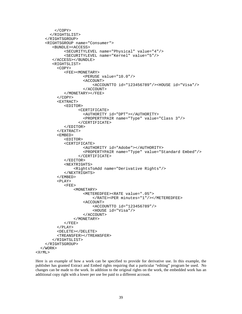```
</COPY>
      </RIGHTSLIST>
    </RIGHTSGROUP>
    <RIGHTSGROUP name="Consumer">
       <BUNDLE><ACCESS>
            <SECURITYLEVEL name="Physical" value="4"/>
            <SECURITYLEVEL name="Kernel" value="5"/>
       </ACCESS></BUNDLE>
       <RIGHTSLIST>
         <COPY>
            <FEE><MONETARY>
                    <PERUSE value="10.0"/>
                    <ACCOUNT>
                         <ACCOUNTTO id="123456789"/><HOUSE id="Visa"/>
                    </ACCOUNT>
            </MONETARY></FEE>
         </COPY>
         <EXTRACT>
            <EDITOR>
                  <CERTIFICATE>
                    <AUTHORITY id="DPT"></AUTHORITY>
                    <PROPERTYPAIR name="Type" value="Class 3"/>
                  </CERTIFICATE>
            </EDITOR>
         </EXTRACT>
         <EMBED>
            <EDITOR>
            <CERTIFICATE>
                    <AUTHORITY id="Adobe"></AUTHORITY>
                    <PROPERTYPAIR name="Type" value="Standard Embed"/>
                  </CERTIFICATE>
            </EDITOR>
            <NEXTRIGHTS>
                <RightsToAdd name="Derivative Rights"/>
            </NEXTRIGHTS>
         </EMBED>
         <PLAY>
            <FEE>
                <MONETARY>
                    <METEREDFEE><RATE value=".05">
                        </RATE><PER minutes="1"/></METEREDFEE>
                    <ACCOUNT>
                        <ACCOUNTTO id="123456789"/>
                        <HOUSE id="Visa"/>
                    </ACCOUNT>
                </MONETARY>
            </FEE>
         </PLAY>
         <DELETE></DELETE>
         <TREANSFER></TREANSFER>
       </RIGHTSLIST>
    </RIGHTSGROUP>
  </WORK>
<XrML>
```
Here is an example of how a work can be specified to provide for derivative use. In this example, the publisher has granted Extract and Embed rights requiring that a particular "editing" program be used. No changes can be made to the work. In addition to the original rights on the work, the embedded work has an additional copy right with a lower per use fee paid to a different account.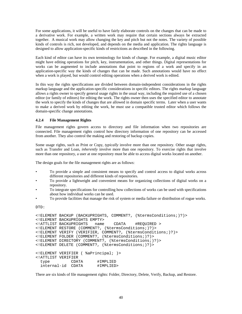For some applications, it will be useful to have fairly elaborate controls on the changes that can be made to a derivative work. For example, a written work may require that certain sections always be extracted together. A musical work may allow changing the key and pitch but not the notes. The variety of possible kinds of controls is rich, not developed, and depends on the media and application. The rights language is designed to allow application-specific kinds of restrictions as described in the following.

Each kind of editor can have its own terminology for kinds of change. For example, a digital music editor might have editing operations for pitch, key, instrumentation, and other things. Digital representations for works can be augmented to include annotations that point to regions of a work and specify in an application-specific way the kinds of changes that can be made. Such annotations would have no effect when a work is played, but would control editing operations when a derived work is edited.

In this way the rights specifications are divided between domain-independent considerations in the rights markup language and the application-specific considerations in specific editors. The rights markup language allows a rights owner to specify general usage rights in the usual way, including the required use of a chosen editor (or family of editors) for editing the work. The rights owner then uses the specified editor to annotate the work to specify the kinds of changes that are allowed in domain specific terms. Later when a user wants to make a derived work by editing the work, he must use a compatible trusted editor which follows the domain-specific change annotations.

# **4.2.4 File Management Rights**

File management rights govern access to directory and file information when two repositories are connected. File management rights control how directory information of one repository can be accessed from another. They also control the making and restoring of backup copies.

Some usage rights, such as Print or Copy, *typically* involve more than one repository. Other usage rights, such as Transfer and Loan, *inherently* involve more than one repository. To exercise rights that involve more than one repository, a user at one repository must be able to access digital works located on another.

The design goals for the file management rights are as follows:

- To provide a simple and consistent means to specify and control access to digital works across different repositories and different kinds of repositories.
- To provide a lightweight and convenient means for organizing collections of digital works on a repository.
- To integrate specifications for controlling how collections of works can be used with specifications about how individual works can be used.
- To provide facilities that manage the risk of system or media failure or distribution of rogue works.

DTD:

```
<!ELEMENT BACKUP (BACKUPRIGHTS, COMMENT?, (%termsConditions;)?)>
<!ELEMENT BACKUPRIGHTS EMPTY>
<!ATTLIST BACKUPRIGHTS name CDATA #REQUIRED >
<!ELEMENT RESTORE (COMMENT?, (%termsConditions;)?)>
<!ELEMENT VERIFY (VERIFIER, COMMENT?, (%termsConditions;)?)>
<!ELEMENT FOLDER (COMMENT?, (%termsConditions;)?)>
<!ELEMENT DIRECTORY (COMMENT?, (%termsConditions;)?)>
<!ELEMENT DELETE (COMMENT?, (%termsConditions;)?)>
<!ELEMENT VERIFIER ( %aPrincipal; )>
<!ATTLIST VERIFIER
  type CDATA #IMPLIED
  internal-id CDATA #IMPLIED>
```
There are six kinds of file management rights: Folder, Directory, Delete, Verify, Backup, and Restore.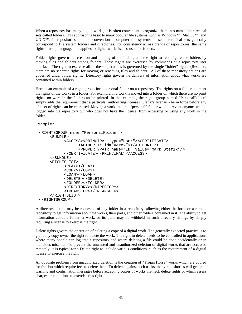When a repository has many digital works, it is often convenient to organize them into named hierarchical sets called folders. This approach is basic to many popular file systems, such as Windows™, MacOS™, and UNIX™. In repositories built on conventional computer file systems, these hierarchical sets generally correspond to file system folders and directories. For consistency across brands of repositories, the same rights markup language that applies to digital works is also used for folders.

Folder rights govern the creation and naming of subfolders, and the right to reconfigure the folders by moving files and folders among folders. These rights are exercised by commands at a repository user interface. The right to exercise all of these operations is governed by the single "folder" right. (Restated, there are no separate rights for moving or renaming files and folders. All of these repository actions are governed under folder rights.) Directory rights govern the delivery of information about what works are contained within folders.

Here is an example of a rights group for a personal folder on a repository. The rights on a folder augment the rights of the works in a folder. For example, if a work is moved into a folder on which there are no print rights, no work in the folder can be printed. In this example, the rights group named "PersonalFolder" simply adds the requirement that a particular authorizing license ("Stefik's license") be in force before any of a set of rights can be exercised. Moving a work into this "personal" folder would prevent anyone, who is logged into the repository but who does not have the license, from accessing or using any work in the folder.

Example:

```
<RIGHTSGROUP name="PersonalFolder">
    <BUNDLE>
          <ACCESS><PRINCIPAL type="User"><CERTIFICATE>
                <AUTHORITY id="Xerox"></AUTHORITY>
                 <PROPERTYPAIR name="ID" value="Mark Stefik"/>
           </CERTIFICATE></PRINCIPAL></ACCESS>
    </BUNDLE>
    <RIGHTSLIST>
          <PLAY></PLAY>
          <COPY></COPY>
          <LOAN></LOAN>
          <DELETE></DELETE>
          <FOLDER></FOLDER>
          <DIRECTORY></DIRECTORY>
          <TREANSFER></TREANSFER>
    </RIGHTSLIST>
</RIGHTSGROUP>
```
A directory listing may be requested of any folder in a repository, allowing either the local or a remote repository to get information about the works, their parts, and other folders contained in it. The ability to get information about a folder, a work, or its parts may be withheld in such directory listings by simply requiring a license to exercise the right.

Delete rights govern the operation of deleting a copy of a digital work. The generally expected practice is to grant any copy owner the right to delete the work. The right to delete needs to be controlled in applications where many people can log into a repository and where deleting a file could be done accidentally or in malicious mischief. To prevent the unwanted and unauthorized deletion of digital works that are accessed remotely, it is typical for a Delete right to include various conditions, such as the requirement of a digital license to exercise the right.

An opposite problem from unauthorized deletion is the creation of "Trojan Horse" works which are copied for free but which require fees to delete them. To defend against such tricks, many repositories will generate warning and confirmation messages before accepting copies of works that lack delete rights or which assess charges or conditions to exercise this right.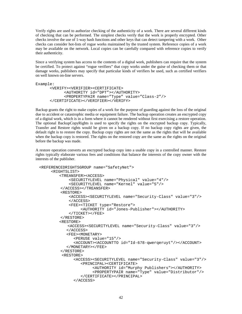Verify rights are used to authorize checking of the authenticity of a work. There are several different kinds of checking that can be performed. The simplest checks verify that the work is properly encrypted. Other checks involve the use of 1-way hash functions and other keys that can detect tampering with a work. Other checks can consider hot-lists of rogue works maintained by the trusted system. Reference copies of a work may be available on the network. Local copies can be carefully compared with reference copies to verify their authenticity.

Since a verifying system has access to the contents of a digital work, publishers can require that the system be certified. To protect against "rogue verifiers" that copy works under the guise of checking them or that damage works, publishers may specify that particular kinds of verifiers be used, such as certified verifiers on well known on-line servers.

```
Example:
      <VERIFY><VERIFIER><CERTIFICATE>
            <AUTHORITY id="DPT"></AUTHORITY>
            <PROPERTYPAIR name="Type" value="Class-2"/>
      </CERTIFICATE></VERIFIER></VERIFY>
```
Backup grants the right to make copies of a work for the purpose of guarding against the loss of the original due to accident or catastrophic media or equipment failure. The backup operation creates an encrypted copy of a digital work, which is in a form where it cannot be rendered without first exercising a restore operation. The optional BackupCopyRights is used to specify the rights on the encrypted backup copy. Typically, Transfer and Restore rights would be given on a backup copy. If no backup copy rights are given, the default right is to restore the copy. Backup copy rights are not the same as the rights that will be available when the backup copy is restored. The rights on the restored copy are the same as the rights on the original before the backup was made.

A restore operation converts an encrypted backup copy into a usable copy in a controlled manner. Restore rights typically elaborate various fees and conditions that balance the interests of the copy owner with the interests of the publisher.

```
<REFERENCEDRIGHTSGROUP name="SafetyNet">
     <RIGHTSLIST>
        <TREANSFER><ACCESS>
            <SECURITYLEVEL name="Physical" value="4"/>
            <SECURITYLEVEL name="Kernel" value="5"/>
         </ACCESS></TREANSFER>
         <RESTORE>
            <ACCESS><SECURITYLEVEL name="Security-Class" value="3"/>
            </ACCESS>
            <FEE><TICKET type="Restore">
                 <AUTHORITY id="Jones-Publisher"></AUTHORITY>
            </TICKET></FEE>
         </RESTORE>
        <RESTORE>
            <ACCESS><SECURITYLEVEL name="Security-Class" value="3"/>
           </ACCESS>
           <FEE><MONETARY>
              <PERUSE value="15"/>
              <ACCOUNT><ACCOUNTTO id="Id-678-qwerqeruyt"/></ACCOUNT>
           </MONETARY></FEE>
         </RESTORE>
         <RESTORE>
              <ACCESS><SECURITYLEVEL name="Security-Class" value="3"/>
                 <PRINCIPAL><CERTIFICATE>
                       <AUTHORITY id="Murphy Publishers"></AUTHORITY>
                       <PROPERTYPAIR name="Type" value="Distributor"/>
                  </CERTIFICATE></PRINCIPAL>
              </ACCESS>
```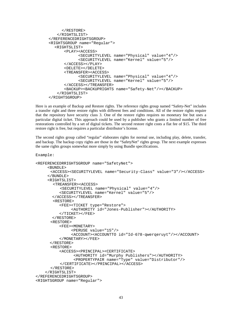```
</RESTORE>
   </RIGHTSLIST>
</REFERENCEDRIGHTSGROUP>
<RIGHTSGROUP name="Regular">
  <RIGHTSLIST>
      <PLAY><ACCESS>
            <SECURITYLEVEL name="Physical" value="4"/>
            <SECURITYLEVEL name="Kernel" value="5"/>
      </ACCESS></PLAY>
      <DELETE></DELETE>
      <TREANSFER><ACCESS>
            <SECURITYLEVEL name="Physical" value="4"/>
            <SECURITYLEVEL name="Kernel" value="5"/>
      </ACCESS></TREANSFER>
      <BACKUP><BACKUPRIGHTS name="Safety-Net"/></BACKUP>
   </RIGHTSLIST>
</RIGHTSGROUP>
```
Here is an example of Backup and Restore rights. The reference rights group named "Safety-Net" includes a transfer right and three restore rights with different fees and conditions. All of the restore rights require that the repository have security class 3. One of the restore rights requires no monetary fee but uses a particular digital ticket. This approach could be used by a publisher who grants a limited number of free restorations controlled by a set of digital tickets. The second restore right costs a flat fee of \$15. The third restore right is free, but requires a particular distributor's license.

The second rights group called "regular" elaborates rights for normal use, including play, delete, transfer, and backup. The backup copy rights are those in the "SafetyNet" rights group. The next example expresses the same rights groups somewhat more simply by using Bundle specifications.

```
<REFERENCEDRRIGHTSGROUP name="SafetyNet">
     <BUNDLE>
      <ACCESS><SECURITYLEVEL name="Security-Class" value="3"/></ACCESS>
     </BUNDLE>
     <RIGHTSLIST>
       <TREANSFER><ACCESS>
          <SECURITYLEVEL name="Physical" value="4"/>
          <SECURITYLEVEL name="Kernel" value="5"/>
       </ACCESS></TREANSFER>
       <RESTORE>
          <FEE><TICKET type="Restore">
               <AUTHORITY id="Jones-Publisher"></AUTHORITY>
          </TICKET></FEE>
       </RESTORE>
      <RESTORE>
          <FEE><MONETARY>
               <PERUSE value="15"/>
               <ACCOUNT><ACCOUNTTO id="Id-678-qwerqeruyt"/></ACCOUNT>
          </MONETARY></FEE>
      </RESTORE>
      <RESTORE>
          <ACCESS><PRINCIPAL><CERTIFICATE>
                <AUTHORITY id="Murphy Publishers"></AUTHORITY>
                <PROPERTYPAIR name="Type" value="Distributor"/>
          </CERTIFICATE></PRINCIPAL></ACCESS>
      </RESTORE>
    </RIGHTSLIST>
</REFERENCEDRIGHTSGROUP>
<RIGHTSGROUP name="Regular">
```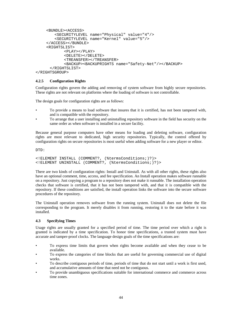```
<BUNDLE><ACCESS>
        <SECURITYLEVEL name="Physical" value="4"/>
        <SECURITYLEVEL name="Kernel" value="5"/>
    </ACCESS></BUNDLE>
    <RIGHTSLIST>
            <PLAY></PLAY>
            <DELETE></DELETE>
            <TREANSFER></TREANSFER>
            <BACKUP><BACKUPRIGHTS name="Safety-Net"/></BACKUP>
      </RIGHTSLIST>
</RIGHTSGROUP>
```
# **4.2.5 Configuration Rights**

Configuration rights govern the adding and removing of system software from highly secure repositories. These rights are not relevant on platforms where the loading of software is not controllable.

The design goals for configuration rights are as follows:

- To provide a means to load software that insures that it is certified, has not been tampered with, and is compatible with the repository.
- To arrange that a user installing and uninstalling repository software in the field has security on the same order as when software is installed in a secure facility.

Because general purpose computers have other means for loading and deleting software, configuration rights are most relevant to dedicated, high security repositories. Typically, the control offered by configuration rights on secure repositories is most useful when adding software for a new player or editor.

DTD:

```
<!ELEMENT INSTALL (COMMENT?, (%termsConditions;)?)>
<!ELEMENT UNINSTALL (COMMENT?, (%termsConditions;)?)>
```
There are two kinds of configuration rights: Install and Uninstall. As with all other rights, these rights also have an optional comment, time, access, and fee specification. An Install operation makes software runnable on a repository. Just copying a program to a repository does not make it runnable. The installation operation checks that software is certified, that it has not been tampered with, and that it is compatible with the repository. If these conditions are satisfied, the install operation links the software into the secure software procedures of the repository.

The Uninstall operation removes software from the running system. Uninstall does not delete the file corresponding to the program. It merely disables it from running, restoring it to the state before it was installed.

#### **4.3 Specifying Times**

Usage rights are usually granted for a specified period of time. The time period over which a right is granted is indicated by a time specification. To honor time specifications, a trusted system must have accurate and tamper-proof clocks. The language design goals of the time specifications are:

- To express time limits that govern when rights become available and when they cease to be available.
- To express the categories of time blocks that are useful for governing commercial use of digital works.
- To describe contiguous periods of time, periods of time that do not start until a work is first used, and accumulative amounts of time that need not be contiguous.
- To provide unambiguous specifications suitable for international commerce and commerce across time zones.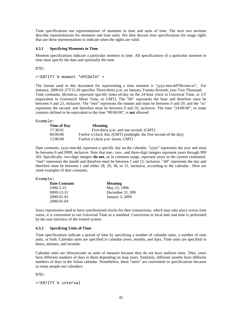Time specifications use representations of moments in time and units of time. The next two sections describe representations for moments and time units. We then discuss time specifications for usage rights that use these representations to indicate when the rights are valid.

#### **4.3.1 Specifying Moments in Time**

Moment specifications indicate a particular moment in time. All specifications of a particular moment in time must specify the date and optionally the time.

DTD:

<!ENTITY % moment "#PCDATA" >

The format used in this document for representing a time moment is "yyyy-mm-ddThh:mm:ss"; For instance, 2000-01-27T15:30 specifies Three-thirty p.m. on January Twenty-Seventh, year Two Thousand. Time constants, hh:mm:ss, represent specific times-of-day on the 24-hour clock in Universal Time, or UT (equivalent to Greenwich Mean Time, or GMT). The "hh" represents the hour and therefore must be between  $\theta$  and 23, inclusive. The "mm" represents the minute and must be between  $\theta$  and 59, and the "ss" represents the second, and therefore must be between 0 and 59, inclusive. The time "24:00:00", in some contexts defined to be equivalent to the time "00:00:00", is **not** allowed.

Example:

| Time of Day | <b>Meaning</b>                                                   |
|-------------|------------------------------------------------------------------|
| 17:30:01    | Five-thirty p.m. and one second. (GMT)                           |
| 00:00:00    | Twelve o'clock Am. (GMT) (midnight, the first second of the day) |
| 12:00:00    | Twelve o'clock p.m. (noon, GMT)                                  |

Date constants, yyyy-mm-dd, represent a specific day on the calendar. "yyyy" represents the year and must be between 0 and 9999, inclusive. Note that one-, two-, and three-digit integers represent years through 999 AD. Specifically, two-digit integers **do not**, as in common usage, represent years in the current centennial. "mm" represents the month and therefore must be between 1 and 12, inclusive. "dd" represents the day and therefore must be between 1 and either 28, 29, 30, or 31, inclusive, according to the calendar. Here are some examples of date constants.

Example:

| <b>Date Constant</b> | <b>Meaning</b>         |
|----------------------|------------------------|
| 1996-5-15            | May 15, 1996           |
| 0999-12-31           | December 31, 999       |
| $2000 - 01 - 03$     | <b>January 3, 2000</b> |
| $2000 - 01 - 04$     |                        |

Since repositories need to have synchronized clocks for their transactions, which may take place across time zones, it is convenient to use Universal Time as a standard. Conversion to local date and time is performed by the user interface of the trusted system.

### **4.3.2 Specifying Units of Time**

Time specifications indicate a period of time by specifying a number of calendar units, a number of time units, or both. Calendar units are specified in calendar years, months, and days. Time units are specified in hours, minutes, and seconds.

Calendar units are idiosyncratic as units of measure because they do not have uniform sizes. Thus, years have different numbers of days in them depending on leap years. Similarly, different months have different numbers of days in the Julian calendar. Nonetheless, these "units" are convenient in specifications because so many people use calendars.

 $DTD$ :

<!ENTITY % interval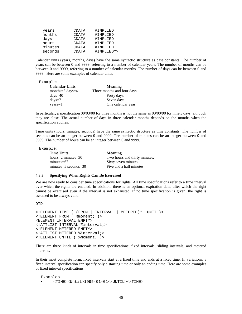| "years  | CDATA | #IMPLIED   |
|---------|-------|------------|
| months  | CDATA | #IMPLIED   |
| days    | CDATA | #IMPLIED   |
| hours   | CDATA | #IMPLIED   |
| minutes | CDATA | #IMPLIED   |
| seconds | CDATA | #TMPLTED"> |

Calendar units (years, months, days) have the same syntactic structure as date constants. The number of years can be between 0 and 9999, referring to a number of calendar years. The number of months can be between 0 and 9999, referring to a number of calendar months. The number of days can be between 0 and 9999. Here are some examples of calendar units.

#### Example:

| <b>Calendar Units</b>      | <b>Meaning</b>              |
|----------------------------|-----------------------------|
| months= $3 \text{ days}=4$ | Three months and four days. |
| $\frac{days}{40}$          | Forty days.                 |
| $\frac{days}{7}$           | Seven days                  |
| $years = 1$                | One calendar year.          |

In particular, a specification 00/03/00 for three months is not the same as 00/00/90 for ninety days, although they are close. The actual number of days in three calendar months depends on the months when the specification applies.

Time units (hours, minutes, seconds) have the same syntactic structure as time constants. The number of seconds can be an integer between 0 and 9999. The number of minutes can be an integer between 0 and 9999. The number of hours can be an integer between 0 and 9999.

Example:

| <b>Time Units</b>               | <b>Meaning</b>                |  |
|---------------------------------|-------------------------------|--|
| hours= $2 \text{ minutes} = 30$ | Two hours and thirty minutes. |  |
| $minutes=67$                    | Sixty seven minutes.          |  |
| $minutes = 5 seconds = 30$      | Five and a half minutes.      |  |

#### **4.3.3 Specifying When Rights Can Be Exercised**

We are now ready to consider time specifications for rights. All time specifications refer to a time interval over which the rights are enabled. In addition, there is an optional expiration date, after which the right cannot be exercised even if the interval is not exhausted. If no time specification is given, the right is assumed to be always valid.

DTD:

```
<!ELEMENT TIME ( (FROM | INTERVAL | METERED)?, UNTIL)>
<!ELEMENT FROM ( %moment; )>
<ELEMENT INTERVAL EMPTY>
<!ATTLIST INTERVAL %interval;>
<!ELEMENT METERED EMPTY>
<!ATTLIST METERED %interval;>
<!ELEMENT UNTIL ( %moment; )>
```
There are three kinds of intervals in time specifications: fixed intervals, sliding intervals, and metered intervals.

In their most complete form, fixed intervals start at a fixed time and ends at a fixed time. In variations, a fixed interval specification can specify only a starting time or only an ending time. Here are some examples of fixed interval specifications.

```
Examples:
     • <TIME><Until>1995-01-01</UNTIL></TIME>
```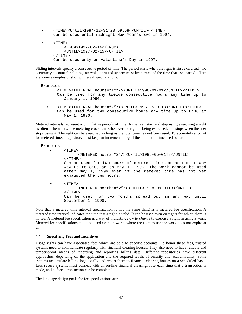• <TIME><Until>1994-12-31T23:59:59</UNTIL></TIME> Can be used until midnight New Year's Eve in 1994.  $<$ TIME $>$ <FROM>1997-02-14</FROM> <UNTIL>1997-02-15</UNTIL>  $<$ /TIME> Can be used only on Valentine's Day in 1997.

Sliding intervals specify a consecutive period of time. The period starts when the right is first exercised. To accurately account for sliding intervals, a trusted system must keep track of the time that use started. Here are some examples of sliding interval specifications.

Examples:

- <TIME><INTERVAL hours="12"/><UNTIL>1996-01-01</UNTIL></TIME> Can be used for any twelve consecutive hours any time up to January 1, 1996.
- <TIME><INTERVAL hours="2"/><UNTIL>1996-05-01T8</UNTIL></TIME> Can be used for two consecutive hours any time up to 8:00 am May 1, 1996.

Metered intervals represent accumulative periods of time. A user can start and stop using exercising a right as often as he wants. The metering clock runs whenever the right is being exercised, and stops when the user stops using it. The right can be exercised as long as the total time has not been used. To accurately account for metered time, a repository must keep an incremental log of the amount of time used so far.

```
Examples:
   • <TIME>
               <METERED hours="2"/><UNTIL>1996-05-01T8</UNTIL>
         \angle/TTMFCan be used for two hours of metered time spread out in any
         way up to 8:00 am on May 1, 1996. The work cannot be used
         after May 1, 1996 even if the metered time has not yet
         exhausted the two hours.
         <TIME><METERED months="2"/><UNTIL>1998-09-01T8</UNTIL>
         </TIME>Can be used for two months spread out in any way until
         September 1, 1998.
```
Note that a metered time interval specification is not the same thing as a metered fee specification. A metered time interval indicates the time that a right is valid. It can be used even on rights for which there is no fee. A metered fee specification is a way of indicating *how to charge* to exercise a right in using a work. Metered fee specifications could be used even on works where the right to use the work does not expire at all.

### **4.4 Specifying Fees and Incentives**

Usage rights can have associated fees which are paid to specific accounts. To honor these fees, trusted systems need to communicate regularly with financial clearing houses. They also need to have reliable and tamper-proof means of recording and reporting billing data. Different repositories have different approaches, depending on the application and the required levels of security and accountability. Some systems accumulate billing logs locally and report them to financial clearing houses on a scheduled basis. Less secure systems must connect with an on-line financial clearinghouse each time that a transaction is made, and before a transaction can be completed.

The language design goals for fee specifications are: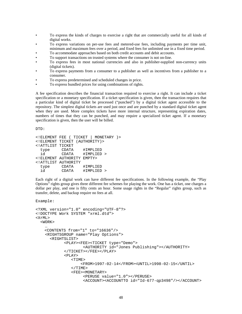- To express the kinds of charges to exercise a right that are commercially useful for all kinds of digital works.
- To express variations on per-use fees and metered-use fees, including payments per time unit, minimum and maximum fees over a period, and fixed fees for unlimited use in a fixed time period.
- To accommodate approaches based on both credit accounts and debit accounts.
- To support transactions on trusted systems where the consumer is not on-line.
- To express fees in most national currencies and also in publisher-supplied non-currency units (digital tickets).
- To express payments from a consumer to a publisher as well as incentives from a publisher to a consumer.
- To express predetermined and scheduled changes in price.
- To express bundled prices for using combinations of rights.

A fee specification describes the financial transaction required to exercise a right. It can include a ticket specification or a monetary specification. If a ticket specification is given, then the transaction requires that a particular kind of digital ticket be processed ("punched") by a digital ticket agent accessible to the repository. The simplest digital tickets are used just once and are punched by a standard digital ticket agent when they are used. More complex tickets have more internal structure, representing expiration dates, numbers of times that they can be punched, and may require a specialized ticket agent. If a monetary specification is given, then the user will be billed.

DTD:

```
<!ELEMENT FEE ( TICKET | MONETARY )>
<!ELEMENT TICKET (AUTHORITY)>
<!ATTLIST TICKET
 type CDATA #IMPLIED
 id CDATA #IMPLIED >
<!ELEMENT AUTHORITY EMPTY>
<!ATTLIST AUTHORITY
 type CDATA #IMPLIED
 id CDATA #IMPLIED >
```
Each right of a digital work can have different fee specifications. In the following example, the "Play Options" rights group gives three different fee schemes for playing the work. One has a ticket, one charges a dollar per play, and one is fifty cents an hour. Some usage rights in the "Regular" rights group, such as transfer, delete, and backup require no fees at all.

```
<?XML version="1.0" encoding="UTF-8"?>
<!DOCTYPE Work SYSTEM "xrml.dtd">
<XrML>
  <WORK>
    …
    <CONTENTS from="1" to="16636"/>
    <RIGHTSGROUP name="Play Options">
      <RIGHTSLIST>
            <PLAY><FEE><TICKET type="Demo">
                    <AUTHORITY id="Jones Publishing"></AUTHORITY>
            </TICKET></FEE></PLAY>
            <PLAY><TIME>
                   <FROM>1997-02-14</FROM><UNTIL>1998-02-15</UNTIL>
               </TIME><FEE><MONETARY>
                    <PERUSE value="1.0"></PERUSE>
                    <ACCOUNT><ACCOUNTTO id="Id-677-qp3498"/></ACCOUNT>
```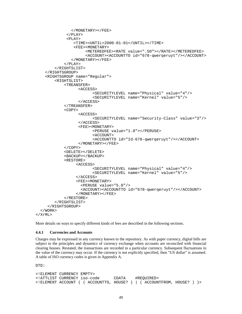```
</MONETARY></FEE>
             </PLAY>
             <PLAY><TIME><UNTIL>2000-01-01</UNTIL></TIME>
                <FEE><MONETARY>
                      <METEREDFEE><RATE value=".50"></RATE></METEREDFEE>
                      <ACCOUNT><ACCOUNTTO id="678-qwerqeruyt"/></ACCOUNT>
               </MONETARY></FEE>
            </PLAY>
        </RIGHTSLIST>
    </RIGHTSGROUP>
    <RIGHTSGROUP name="Regular">
        <RIGHTSLIST>
            <TREANSFER>
                  <ACCESS>
                         <SECURITYLEVEL name="Physical" value="4"/>
                         <SECURITYLEVEL name="Kernel" value="5"/>
                  </ACCESS>
            </TREANSFER>
            <COPY>
                  <ACCESS>
                         <SECURITYLEVEL name="Security-Class" value="3"/>
                  </ACCESS>
                  <FEE><MONETARY>
                         <PERUSE value="1.0"></PERUSE>
                         <ACCOUNT>
                         <ACCOUNTTO id="Id-678-qwerqeruyt"/></ACCOUNT>
                  </MONETARY></FEE>
            </COPY>
            <DELETE></DELETE>
            <BACKUP></BACKUP>
            <RESTORE>
                 <ACCESS>
                         <SECURITYLEVEL name="Physical" value="4"/>
                         <SECURITYLEVEL name="Kernel" value="5"/>
                 </ACCESS>
                 <FEE><MONETARY>
                    <PERUSE value="5.0"/>
                    <ACCOUNT><ACCOUNTTO id="678-qwerqeruyt"/></ACCOUNT>
                 </MONETARY></FEE>
            </RESTORE>
        </RIGHTSLIST>
     </RIGHTSGROUP>
  </WORK>
\langle / XrML\rangle
```
More details on ways to specify different kinds of fees are described in the following sections.

#### **4.4.1 Currencies and Accounts**

Charges may be expressed in any currency known to the repository. As with paper currency, digital bills are subject to the principles and dynamics of currency exchange when accounts are reconciled with financial clearing houses. Restated, the transactions are recorded in a particular currency. Subsequent fluctuations in the value of the currency may occur. If the currency is not explicitly specified, then "US dollar" is assumed. A table of ISO currency codes is given in Appendix A.

 $T$ 

```
<!ELEMENT CURRENCY EMPTY>
<!ATTLIST CURRENCY iso-code CDATA #REQUIRED>
<!ELEMENT ACCOUNT ( ( ACCOUNTTO, HOUSE?)|( ACCOUNTFROM, HOUSE? ) )>
```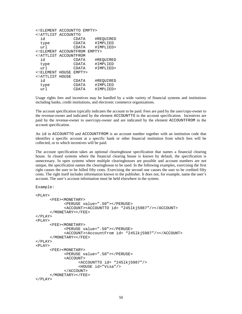| ELEMENT ACCOUNTTO EMPTY                                  |             |        |           |
|----------------------------------------------------------|-------------|--------|-----------|
| ATTLIST ACCOUNTTO</td <td></td> <td></td> <td></td>      |             |        |           |
| id                                                       |             | CDATA  | #REQUIRED |
| type                                                     |             | CDATA  | #IMPLIED  |
| url                                                      |             | CDATA  | #IMPLIED> |
| ELEMENT ACCOUNTFROM EMPTY                                |             |        |           |
| ATTLIST</td <td>ACCOUNTFROM</td> <td></td> <td></td>     | ACCOUNTFROM |        |           |
| id                                                       |             | CDATA  | #REQUIRED |
| type                                                     |             | CDATA  | #IMPLIED  |
| url                                                      |             | CDATA  | #IMPLIED> |
| ELEMENT HOUSE</td <td></td> <td>FMPTY&gt;</td> <td></td> |             | FMPTY> |           |
| ATTLIST HOUSE</td <td></td> <td></td> <td></td>          |             |        |           |
| id                                                       |             | CDATA  | #REQUIRED |
| type                                                     |             | CDATA  | #IMPLIED  |
| url                                                      |             | CDATA  | #IMPLIED> |

Usage rights fees and incentives may be handled by a wide variety of financial systems and institutions including banks, credit institutions, and electronic commerce organizations.

The account specification typically indicates the account to be paid. Fees are paid by the user/copy-owner to the revenue-owner and indicated by the element ACCOUNTTO in the account specification. Incentives are paid by the revenue-owner to user/copy-owner and are indicated by the element ACCOUNTFROM in the account specification.

An id in ACCOUNTTO and ACCOUNTFROM is an account number together with an institution code that identifies a specific account at a specific bank or other financial institution from which fees will be collected, or to which incentives will be paid.

The account specification takes an optional clearinghouse specification that names a financial clearing house. In closed systems where the financial clearing house is known by default, the specification is unnecessary. In open systems where multiple clearinghouses are possible and account numbers are not unique, the specification names the clearinghouse to be used. In the following examples, exercising the first right causes the user to be billed fifty cents. Exercising the second one causes the user to be credited fifty cents. The right itself includes information known to the publisher. It does not, for example, name the user's account. The user's account information must be held elsewhere in the system.

```
Example:
```

```
<PLAY><FEE><MONETARY>
            <PERUSE value=".50"></PERUSE>
            <ACCOUNT><ACCOUNTTO id= "245lkj5987"/></ACCOUNT>
      </MONETARY></FEE>
</PLAY>
<PLAY><FEE><MONETARY>
            <PERUSE value=".50"></PERUSE>
            <ACCOUNT><AccountFrom id= "245lkj5987"/></ACCOUNT>
      </MONETARY></FEE>
</PLAY>
<PLAY><FEE><MONETARY>
            <PERUSE value=".50"></PERUSE>
            <ACCOUNT>
                  <ACCOUNTTO id= "245lkj5987"/>
                  <HOUSE id="Visa"/>
            </ACCOUNT>
      </MONETARY></FEE>
</PLAY>
```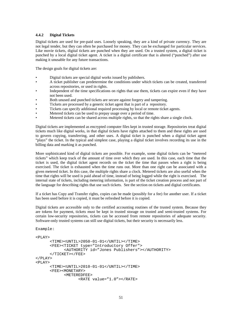# **4.4.2 Digital Tickets**

Digital tickets are used for pre-paid uses. Loosely speaking, they are a kind of private currency. They are not legal tender, but they can often be purchased for money. They can be exchanged for particular services. Like movie tickets, digital tickets are punched when they are used. On a trusted system, a digital ticket is punched by a local digital ticket agent. A ticket is a digital certificate that is altered ("punched") after use making it unusable for any future transactions.

The design goals for digital tickets are:

- Digital tickets are special digital works issued by publishers.
- A ticket publisher can predetermine the conditions under which tickets can be created, transferred across repositories, or used in rights.
- Independent of the time specifications on rights that use them, tickets can expire even if they have not been used.
- Both unused and punched tickets are secure against forgery and tampering.
- Tickets are processed by a generic ticket agent that is part of a repository.
- Tickets can specify additional required processing by local or remote ticket agents.
- Metered tickets can be used to prepay usage over a period of time.
- Metered tickets can be shared across multiple rights, so that the rights share a single clock.

Digital tickets are implemented as encrypted computer files kept in trusted storage. Repositories treat digital tickets much like digital works, in that digital tickets have rights attached to them and these rights are used to govern copying, transferring, and other uses. A digital ticket is punched when a digital ticket agent "plays" the ticket. In the typical and simplest case, playing a digital ticket involves recording its use in the billing data and marking it as punched.

More sophisticated kind of digital tickets are possible. For example, some digital tickets can be "metered tickets" which keep track of the amount of time over which they are used. In this case, each time that the ticket is used, the digital ticket agent records on the ticket the time that passes when a right is being exercised. The ticket is exhausted when the time runs out. More than one right can be associated with a given metered ticket. In this case, the multiple rights share a clock. Metered tickets are also useful when the time that rights will be used is paid ahead of time, instead of being logged while the right is exercised. The internal state of tickets, including metering information, is part of the ticket creation process and not part of the language for describing rights that use such tickets. See the section on tickets and digital certificates.

If a ticket has Copy and Transfer rights, copies can be made (possibly for a fee) for another user. If a ticket has been used before it is copied, it must be refreshed before it is copied.

Digital tickets are accessible only to the certified accounting routines of the trusted system. Because they are tokens for payment, tickets must be kept in trusted storage on trusted and semi-trusted systems. For certain low-security repositories, tickets can be accessed from remote repositories of adequate security. Software-only trusted systems can still use digital tickets, but their security is necessarily less.

```
Example:
<PLAY><TIME><UNTIL>2050-01-01</UNTIL></TIME>
      <FEE><TICKET type="Introductory Offer">
            <AUTHORITY id="Jones Publishers"></AUTHORITY>
      </TICKET></FEE>
</PLAY>
<PLAY>
      <TIME><UNTIL>2010-01-01</UNTIL></TIME>
      <FEE><MONETARY>
            <METEREDFEE>
                  <RATE value="1.0"></RATE>
```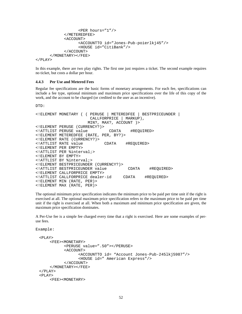```
<PER hours="1"/>
            </METEREDFEE>
            <ACCOUNT>
                  <ACCOUNTTO id="Jones-Pub-poierlkj45"/>
                  <HOUSE id="CitiBank"/>
            </ACCOUNT>
      </MONETARY></FEE>
</PLAY>
```
In this example, there are two play rights. The first one just requires a ticket. The second example requires no ticket, but costs a dollar per hour.

#### **4.4.3 Per Use and Metered Fees**

Regular fee specifications are the basic forms of monetary arrangements. For each fee, specifications can include a fee type, optional minimum and maximum price specifications over the life of this copy of the work, and the account to be charged (or credited to the user as an incentive).

 $DTD$ :

```
<!ELEMENT MONETARY ( ( PERUSE | METEREDFEE | BESTPRICEUNDER |
                     CALLFORPRICE | MARKUP),
                    MIN?, MAX?, ACCOUNT )>
<!ELEMENT PERUSE (CURRENCY?)>
<!ATTLIST PERUSE value CDATA #REQUIRED>
<!ELEMENT METEREDFEE (RATE, PER, BY?)>
<!ELEMENT RATE (CURRENCY?)>
<!ATTLIST RATE value CDATA #REQUIRED>
<!ELEMENT PER EMPTY>
<!ATTLIST PER %interval;>
<!ELEMENT BY EMPTY>
<!ATTLIST BY %interval;>
<!ELEMENT BESTPRICEUNDER (CURRENCY?)>
<!ATTLIST BESTPRICEUNDER value CDATA #REQUIRED>
<!ELEMENT CALLFORPRICE EMPTY>
<!ATTLIST CALLFORPRICE dealer-id CDATA #REQUIRED>
<!ELEMENT MIN (RATE, PER)>
<!ELEMENT MAX (RATE, PER)>
```
The optional minimum price specification indicates the minimum price to be paid per time unit if the right is exercised at all. The optional maximum price specification refers to the maximum price to be paid per time unit if the right is exercised at all. When both a maximum and minimum price specification are given, the maximum price specification dominates.

A Per-Use fee is a simple fee charged every time that a right is exercised. Here are some examples of peruse fees.

```
Example:
```

```
<PLAY><FEE><MONETARY>
          <PERUSE value=".50"></PERUSE>
          <ACCOUNT>
                <ACCOUNTTO id= "Account Jones-Pub-245lkj5987"/>
                <HOUSE id=" American Express"/>
          </ACCOUNT>
    </MONETARY></FEE>
</PLAY>
PIAY<FEE><MONETARY>
```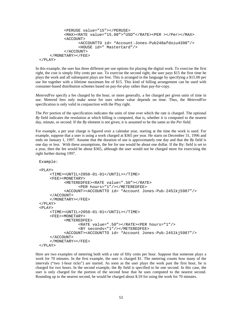```
<PERUSE value="15"></PERUSE>
          <MAX><RATE value="15.00">"USD"</RATE><PER ></Per></MAX>
          <ACCOUNT>
                 <ACCOUNTTO id= "Account-Jones-Pub248afdoiu4398"/>
                 <HOUSE id=" MasterCard"/>
          </ACCOUNT>
    </MONETARY></FEE>
</PLAY>
```
In this example, the user has three different per use options for playing the digital work. To exercise the first right, the cost is simply fifty cents per use. To exercise the second right, the user pays \$15 the first time he plays the work and all subsequent plays are free. This is arranged in the language by specifying a \$15.00 per use fee together with a lifetime maximum fee of \$15. This kind of billing arrangement can be used with consumer-based distribution schemes based on pay-for-play rather than pay-for-copy.

*MeteredFee* specify a fee charged by the hour, or more generally, a fee charged per given units of time in use. Metered fees only make sense for uses whose value depends on time. Thus, the *MeteredFee* specification is only valid in conjunction with the Play right.

The *Per* portion of the specification indicates the units of time over which the rate is charged. The optional *By* field indicates the resolution at which billing is computed, that is, whether it is computed to the nearest day, minute, or second. If the *By* element is not given, it is assumed to be the same as the *Per* field.

For example, a per year charge is figured over a calendar year, starting at the time the work is used. For example, suppose that a user is using a work charged at \$365 per year. He starts on December 31, 1996 and ends on January 1, 1997. Assume that the duration of use is approximately one day and that the *By* field is one day or less. With these assumptions, the fee for use would be about one dollar. If the By: field is set to a year, then the fee would be about \$365, although the user would not be charged more for exercising the right further during 1997.

```
Example:
<PLAY><TIME><UNTIL>2050-01-01</UNTIL></TIME>
    <FEE><MONETARY>
          <METEREDFEE><RATE value=".50"></RATE>
                <PER hours="1"/></METEREDFEE>
          <ACCOUNT><ACCOUNTTO id= "Account Jones-Pub-245lkj5987"/>
    </ACCOUNT>
    </MONETARY></FEE>
</PLAY>
PIAY<TIME><UNTIL>2050-01-01</UNTIL></TIME>
    <FEE><MONETARY>
          <METEREDFEE>
                <RATE value=".50"></RATE><PER hours="1"/>
                 <BY seconds="1"/></METEREDFEE>
          <ACCOUNT><ACCOUNTTO id= "Account Jones-Pub-245lkj5987"/>
    </ACCOUNT>
    </MONETARY></FEE>
</PLAY>
```
Here are two examples of metering both with a rate of fifty cents per hour. Suppose that someone plays a work for 70 minutes. In the first example, the user is charged \$1. The metering counts how many of the intervals ("two 1-hour ticks") are started. As soon as the user plays the work past the first hour, he is charged for two hours. In the second example, the *By* field is specified to be one second. In this case, the user is only charged for the portion of the second hour that he uses computed to the nearest second. Rounding up to the nearest second, he would be charged about \$.59 for using the work for 70 minutes.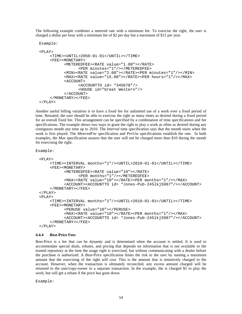The following example combines a metered rate with a minimum fee. To exercise the right, the user is charged a dollar per hour with a minimum fee of \$2 per day but a maximum of \$15 per year.

```
Example:
<PLAY><TIME><UNTIL>2050-01-01</UNTIL></TIME>
    <FEE><MONETARY>
           <METEREDFEE><RATE value="1.00"></RATE>
                 <PER minutes="1"/></METEREDFEE>
          <MIN><RATE value="2.00"></RATE><PER minutes="1"/></MIN>
          <MAX><RATE value="15.00"></RATE><PER hours="1"/></MAX>
          <ACCOUNT>
                 <ACCOUNTTO id= "345678"/>
                 <HOUSE id="Great Western"/>
           </ACCOUNT>
    </MONETARY></FEE>
```

```
</PLAY>
```
Another useful billing variation is to have a fixed fee for unlimited use of a work over a fixed period of time. Restated, the user should be able to exercise the right as many times as desired during a fixed period for an overall fixed fee. This arrangement can be specified by a combination of time specifications and fee specifications. The example shows two ways to grant the right to play a work as often as desired during any contiguous month any time up to 2010. The *Interval* time specification says that the month starts when the work is first played. The *MeteredFee* specification and *PerUse* specifications establish the rate. In both examples, the *Max* specification assures that the user will not be charged more than \$10 during the month for exercising the right.

Example:

```
<PLAY>
    <TIME><INTERVAL months="1"/><UNTIL>2010-01-01</UNTIL></TIME>
    <FEE><MONETARY>
          <METEREDFEE><RATE value="10"></RATE>
                <PER months="1"/></METEREDFEE>
          <MAX><RATE value="10"></RATE><PER months="1"/></MAX>
          <ACCOUNT><ACCOUNTTO id= "Jones-Pub-245lkj5987"/></ACCOUNT>
    </MONETARY></FEE>
</PLAY>
<PLAY><TIME><INTERVAL months="1"/><UNTIL>2010-01-01</UNTIL></TIME>
    <FEE><MONETARY>
          <PERUSE value="10"></PERUSE>
          <MAX><RATE value="10"></RATE><PER months="1"/></MAX>
          <ACCOUNT><ACCOUNTTO id= "Jones-Pub-245lkj5987"/></ACCOUNT>
    </MONETARY></FEE>
</PLAY>
```
#### **4.4.4 Best-Price Fees**

Best-Price is a fee that can be dynamic and is determined when the account is settled. It is used to accommodate special deals, rebates, and pricing that depends on information that is not available to the trusted repository at the time the usage right is exercised, but without communicating with a dealer before the purchase is authorized. A Best-Price specification limits the risk to the user by naming a maximum amount that the exercising of the right will cost. This is the amount that is tentatively charged to the account. However, when the transaction is ultimately reconciled, any excess amount charged will be returned to the user/copy-owner in a separate transaction. In the example, the is charged \$5 to play the work, but will get a rebate if the price has gone down.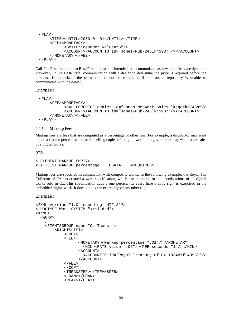```
<PLAY>
    <TIME><UNTIL>2050-01-01</UNTIL></TIME>
    <FEE><MONETARY>
          <BestPriceUnder value="5"/>
          <ACCOUNT><ACCOUNTTO id="Jones-Pub-245lkj5987"/></ACCOUNT>
    </MONETARY></FEE>
</PLAY>
```
Call-For-Price is similar to Best-Price in that it is intended to accommodate cases where prices are dynamic. However, unlike Best-Price, communication with a dealer to determine the price is required before the purchase is authorized; the transaction cannot be completed if the trusted repository is unable to communicate with the dealer.

Example:

```
<PLAY>
    <FEE><MONETARY>
          <CALLFORPRICE dealer-id="Jones-Network-Sales-lkjqerk8743h"/>
          <ACCOUNT><ACCOUNTTO id="Jones-Pub-245lkj5987"/></ACCOUNT>
    </MONETARY></FEE>
</PLAY>
```
### **4.4.5 Markup Fees**

Markup fees are fees that are computed as a percentage of other fees. For example, a distributor may want to add a flat ten percent overhead for selling copies of a digital work, or a government may want to tax sales of a digital works.

DTD:

```
<!ELEMENT MARKUP EMPTY>
<!ATTLIST MARKUP percentage CDATA #REQUIRED>
```
Markup fees are specified in conjunction with composite works. In the following example, the Royal Tax Collector of Oz has created a work specification, which can be added to the specifications of all digital works sold in Oz. This specification adds a one percent tax every time a copy right is exercised in the embedded digital work. It does not tax the exercising of any other right.

```
<?XML version="1.0" encoding="UTF-8"?>
<!DOCTYPE Work SYSTEM "xrml.dtd">
<XrML>
  <WORK>
    …
    <RIGHTSGROUP name="Oz Taxes ">
        <RIGHTSLIST>
            \epsilonCOPYS
            <FEE>
                   <MONETARY><Markup percentage=".01"/></MONETARY>
                     <MIN><RATE value=".05"/><PER seconds="1"/></MIN>
                   <ACCOUNT>
                     <ACCOUNTTO id="Royal-Treasury-of-Oz-193487fi43987"/>
                   </ACCOUNT>
            </FEE></COPY>
            <TREANSFER></TREANSFER>
            <LOAN></LOAN>
            <PLAY></PLAY>
```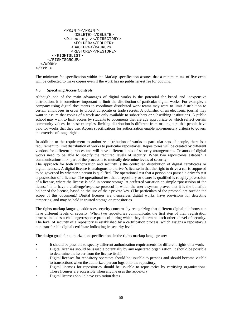```
<PRINT></PRINT>
                <DELETE></DELETE>
            <Directory ></DIRECTORY>
                <FOLDER></FOLDER>
               <BACKUP></BACKUP>
               <RESTORE></RESTORE>
       </RIGHTSLIST>
     </RIGHTSGROUP>
  </WORK>
</XrML>
```
The minimum fee specification within the Markup specification assures that a minimum tax of five cents will be collected to make copies even if the work has no publisher-set fee for copying.

### **4.5 Specifying Access Controls**

Although one of the main advantages of digital works is the potential for broad and inexpensive distribution, it is sometimes important to limit the distribution of particular digital works. For example, a company using digital documents to coordinate distributed work teams may want to limit distribution to certain employees in order to protect corporate or trade secrets. A publisher of an electronic journal may want to assure that copies of a work are only available to subscribers or subscribing institutions. A public school may want to limit access by students to documents that are age appropriate or which reflect certain community values. In these examples, limiting distribution is different from making sure that people have paid for works that they use. Access specifications for authorization enable non-monetary criteria to govern the exercise of usage rights.

In addition to the requirement to authorize distribution of works to particular sets of people, there is a requirement to limit distribution of works to particular repositories. Repositories will be created by different vendors for different purposes and will have different kinds of security arrangements. Creators of digital works need to be able to specify the required levels of security. When two repositories establish a communications link, part of the process is to mutually determine levels of security.

The approach for both authorization and security is the controlled distribution of digital certificates or digital licenses. A digital license is analogous to a driver's license in that the right to drive a car is supposed to be governed by whether a person is qualified. The operational test that a person has passed a driver's test is possession of a license. The operational test that a repository or owner is qualified is roughly possession of a license, where the license is held in secure storage. A preferred variation on simple "possession of the license" is to have a challenge/response protocol in which the user's system proves that it is the bonafide holder of the license, based on the use of their private key. (The particulars of the protocol are outside the scope of this document.) Digital licenses are themselves digital works, have provisions for detecting tampering, and may be held in trusted storage on repositories.

The rights markup language addresses security concerns by recognizing that different digital platforms can have different levels of security. When two repositories communicate, the first step of their registration process includes a challenge/response protocol during which they determine each other's level of security. The level of security of a repository is established by a certification process, which assigns a repository a non-transferable digital certificate indicating its security level.

The design goals for authorization specifications in the rights markup language are:

- It should be possible to specify different authorization requirements for different rights on a work.
- Digital licenses should be issuable potentially by any registered organization. It should be possible to determine the issuer from the license itself.
- Digital licenses for repository operators should be issuable to persons and should become visible to transactions when the authorized person logs onto the repository.
- Digital licenses for repositories should be issuable to repositories by certifying organizations. These licenses are accessible when anyone uses the repository.
- Digital licenses should have expiration dates.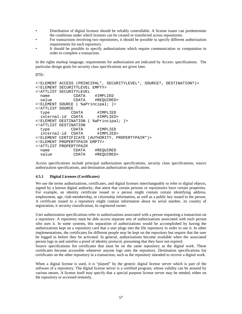- Distribution of digital licenses should be reliably controllable. A license issuer can predetermine the conditions under which licenses can be created or transferred across repositories.
- For transactions involving two repositories, it should be possible to specify different authorization requirements for each repository.
- It should be possible to specify authorizations which require communication or computation in order to complete a transaction.

In the rights markup language, requirements for authorization are indicated by Access: specifications. The particular design goals for security class specifications are given later.

DTD:

```
<!ELEMENT ACCESS (PRINCIPAL*, SECURITYLEVEL*, SOURCE?, DESTINATION?)>
<!ELEMENT SECURITYLEVEL EMPTY>
<!ATTLIST SECURITYLEVEL
 name CDATA #IMPLIED<br>value CDATA #REQUIREI
  value CDATA #REQUIRED>
<!ELEMENT SOURCE ( %aPrincipal; )>
<!ATTLIST SOURCE
  type CDATA #IMPLIED
  internal-id CDATA #IMPLIED>
<!ELEMENT DESTINATION ( %aPrincipal; )>
<!ATTLIST DESTINATION
  type CDATA #IMPLIED
  internal-id CDATA #IMPLIED>
<!ELEMENT CERTIFICATE (AUTHORITY, PROPERTYPAIR*)>
<!ELEMENT PROPERTYPAIR EMPTY>
<!ATTLIST PROPERTYPAIR
 name CDATA #REQUIRED<br>value CDATA #REQUIRED:
 value CDATA #REQUIRED>
```
Access specifications include principal authorization specifications, security class specifications, source authorization specifications, and destination authorization specifications.

### **4.5.1 Digital Licenses (Certificates)**

We use the terms authorizations, certificates, and digital licenses interchangeably to refer to digital objects, signed by a known digital authority, that attest that certain persons or repositories have certain properties. For example, an identity certificate issued to a person might contain certain identifying address, employment, age, club membership, or citizenship information, as well as a public key issued to the person. A certificate issued to a repository might contain information about its serial number, its country of registration, it security classification, its registered owner.

User authorization specifications refer to authorizations associated with a person requesting a transaction on a repository. A repository must be able access separate sets of authorizations associated with each person who uses it. In some systems, this separation of authorizations would be accomplished by having the authorizations kept on a repository card that a user plugs into the file repository in order to use it. In other implementations, the certificates for different people may be kept on the repository but require that the user be logged in before they be activated. In general, authorizations become available when the associated person logs in and satisfies a proof of identity protocol, presuming that they have not expired.

Source specifications list certificates that must be on the same repository as the digital work. These certificates become accessible whenever anyone logs onto the repository. Destination specifications list certificates on the other repository in a transaction, such as the repository intended to receive a digital work.

When a digital license is used, it is "played" by the generic digital license server which is part of the software of a repository. The digital license server is a certified program, whose validity can be assured by various means. A license itself may specify that a special purpose license server may be needed, either on the repository or accessed remotely.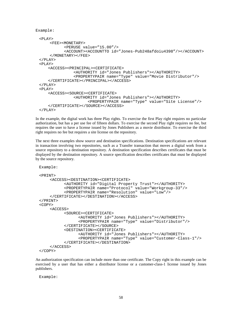```
Example:
```

```
<PLAY><FEE><MONETARY>
          <PERUSE value="15.00"/>
          <ACCOUNT><ACCOUNTTO id="Jones-Pub248afdoiu4398"/></ACCOUNT>
    </MONETARY></FEE>
</PLAY>
<PLAY><ACCESS><PRINCIPAL><CERTIFICATE>
              <AUTHORITY id="Jones Publishers"></AUTHORITY>
              <PROPERTYPAIR name="Type" value="Movie Distributor"/>
   </CERTIFICATE></PRINCIPAL></ACCESS>
</PLAY>
<PLAY><ACCESS><SOURCE><CERTIFICATE>
              <AUTHORITY id="Jones Publishers"></AUTHORITY>
                    <PROPERTYPAIR name="Type" value="Site License"/>
   </CERTIFICATE></SOURCE></ACCESS>
</PLAY>
```
In the example, the digital work has three Play rights. To exercise the first Play right requires no particular authorization, but has a per use fee of fifteen dollars. To exercise the second Play right requires no fee, but requires the user to have a license issued by Jones Publishers as a movie distributor. To exercise the third right requires no fee but requires a site license on the repository.

The next three examples show source and destination specifications. Destination specifications are relevant in transaction involving two repositories, such as a Transfer transaction that moves a digital work from a source repository to a destination repository. A destination specification describes certificates that must be displayed by the destination repository. A source specification describes certificates that must be displayed by the source repository.

```
Example:
<PRINT>
    <ACCESS><DESTINATION><CERTIFICATE>
          <AUTHORITY id="Digital Property Trust"></AUTHORITY>
          <PROPERTYPAIR name="Protocol" value="Workgroup-33"/>
           <PROPERTYPAIR name="Resolution" value="Low"/>
    </CERTIFICATE></DESTINATION></ACCESS>
</PRINT>
<COPY>
    <ACCESS>
          <SOURCE><CERTIFICATE>
                 <AUTHORITY id="Jones Publishers"></AUTHORITY>
                 <PROPERTYPAIR name="Type" value="Distributor"/>
          </CERTIFICATE></SOURCE>
           <DESTINATION><CERTIFICATE>
                 <AUTHORITY id="Jones Publishers"></AUTHORITY>
                 <PROPERTYPAIR name="Type" value="Customer-Class-1"/>
           </CERTIFICATE></DESTINATION>
    </ACCESS>
</COPY>
```
An authorization specification can include more than one certificate. The Copy right in this example can be exercised by a user that has either a distributor license or a customer-class-1 license issued by Jones publishers.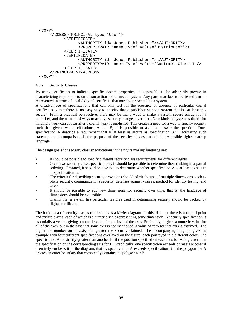```
<COPY>
    <ACCESS><PRINCIPAL type="User">
          <CERTIFICATE>
                 <AUTHORITY id="Jones Publishers"></AUTHORITY>
                 <PROPERTYPAIR name="Type" value="Distributor"/>
          </CERTIFICATE>
          <CERTIFICATE>
                 <AUTHORITY id="Jones Publishers"></AUTHORITY>
                 <PROPERTYPAIR name="Type" value="Customer-Class-1"/>
          </CERTIFICATE>
    </PRINCIPAL></ACCESS>
</COPY>
```
### **4.5.2 Security Classes**

By using certificates to indicate specific system properties, it is possible to be arbitrarily precise in characterizing requirements on a transaction for a trusted system. Any particular fact to be tested can be represented in terms of a valid digital certificate that must be presented by a system.

A disadvantage of specifications that can only test for the presence or absence of particular digital certificates is that there is no easy way to specify that a publisher wants a system that is "at least this secure". From a practical perspective, there may be many ways to make a system secure enough for a publisher, and the number of ways to achieve security changes over time. New kinds of systems suitable for holding a work can appear after a digital work is published. This creates a need for a way to specify security such that given two specifications, A and B, it is possible to ask and answer the question "Does specification A describe a requirement that is at least as secure as specification B?" Facilitating such statements and comparisons is the purpose of the security classes part of the extensible rights markup language.

The design goals for security class specifications in the rights markup language are:

- It should be possible to specify different security class requirements for different rights.
- Given two security class specifications, it should be possible to determine their ranking in a partial ordering. Restated, it should be possible to determine whether specification A is at least as secure as specification B.
- The criteria for describing security provisions should admit the use of multiple dimensions, such as phyla security, communications security, defenses against viruses, method for identity testing, and so on.
- It should be possible to add new dimensions for security over time, that is, the language of dimensions should be extensible.
- Claims that a system has particular features used in determining security should be backed by digital certificates.

The basic idea of security class specifications is a kiwiet diagram. In this diagram, there is a central point and multiple axes, each of which is a numeric scale representing some dimension. A security specification is essentially a vector, giving a numeric value for a subset of the axes. Preferably, it gives a numeric value for all of the axes, but in the case that some axis is not mentioned, a value of zero for that axis is assumed. The higher the number on an axis, the greater the security claimed. The accompanying diagram gives an example with four different specifications overlayed on the figure, each portrayed in a different color. One specification A, is strictly greater than another B, if the position specified on each axis for A is greater than the specification on the corresponding axis for B. Graphically, one specification exceeds or meets another if it entirely encloses it in the diagram, that is, specification A exceeds specification B if the polygon for A creates an outer boundary that completely contains the polygon for B.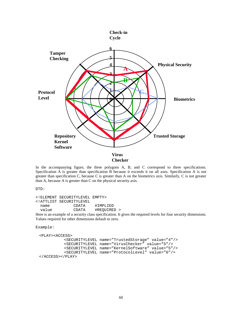

In the accompanying figure, the three polygons A, B, and C correspond to three specifications. Specification A is greater than specification B because it exceeds it on all axes. Specification A is not greater than specification C, because C is greater than A on the biometrics axis. Similarly, C is not greater than A, because A is greater than C on the physical security axis.

DTD:

```
<!ELEMENT SECURITYLEVEL EMPTY>
<!ATTLIST SECURITYLEVEL
  name CDATA #IMPLIED<br>value CDATA #REQUIREI
                            #REQUIRED >
```
Here is an example of a security class specification. It gives the required levels for four security dimensions. Values required for other dimensions default to zero.

```
Example:
```

```
<PLAY><ACCESS>
          <SECURITYLEVEL name="TrustedStorage" value="4"/>
          <SECURITYLEVEL name="VirusChecker" value="5"/>
          <SECURITYLEVEL name="KernelSoftware" value="5"/>
          <SECURITYLEVEL name="ProtocolLevel" value="6"/>
</ACCESS></PLAY>
```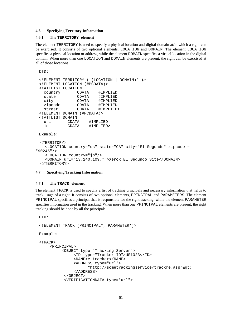# **4.6 Specifying Territory Information**

#### **4.6.1 The TERRITORY element**

The element TERRITORY is used to specify a physical location and digital domain at/in which a right can be exercised. It consists of two optional elements, LOCATION and DOMAIN. The element LOCATION specifies a physical location or address, while the element DOMAIN specifies a virtual location in the digital domain. When more than one LOCATION and DOMAIN elements are present, the right can be exercised at all of those locations.

```
DTD:
 <!ELEMENT TERRITORY ( (LOCATION | DOMAIN)* )>
 <!ELEMENT LOCATION (#PCDATA)>
 <!ATTLIST LOCATION
   country CDATA #IMPLIED
   state CDATA #IMPLIED<br>city CDATA #IMPLIED
                CDATA #IMPLIED<br>CDATA #IMPLIED
   zipcode CDATA<br>street CDATA
   street CDATA #IMPLIED>
 <!ELEMENT DOMAIN (#PCDATA)>
 <!ATTLIST DOMAIN
   url CDATA #IMPLIED
   id CDATA #IMPLIED>
 Example:
 <TERRITORY>
   <LOCATION country="us" state="CA" city="El Segundo" zipcode =
"90245"/>
   <LOCATION country="jp"/>
   <DOMAIN url="13.240.109.*">Xerox El Segundo Site</DOMAIN>
```

```
</TERRITORY>
```
#### **4.7 Specifying Tracking Information**

### **4.7.1 The TRACK element**

The element TRACK is used to specify a list of tracking principals and necessary information that helps to track usage of a right. It consists of two optional elements, PRINCIPAL and PARAMETERS. The element PRINCIPAL specifies a principal that is responsible for the right tracking, while the element PARAMETER specifies information used in the tracking. When more than one PRINCIPAL elements are present, the right tracking should be done by all the principals.

```
DTD:
```

```
<!ELEMENT TRACK (PRINCIPAL*, PARAMETER*)>
Example:
<TRACK>
    <PRINCIPAL>
         <OBJECT type="Tracking Server">
              <ID type="Tracker ID">US1023</ID>
              <NAME>e-tracker</NAME>
              <ADDRESS type="url">
                     "http://sometrackingservice/trackme.argv"></ADDRESS>
          </OBJECT>
          <VERIFICATIONDATA type="url">
```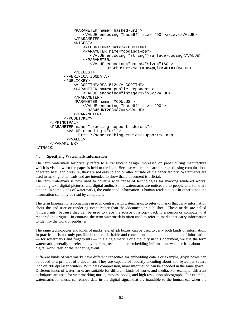```
<PARAMETER name="hashed-url">
              <VALUE encoding="base64" size="90">xxzzy</VALUE>
          </PARAMETER>
          <DIGEST>
              <ALGORITHM>SHA1</ALGORITHM>
              <PARAMETER name="codingtype">
                 <VALUE encoding="string">surface-coding</VALUE>
              </PARAMETER>
                 <VALUE encoding="base64"size="160">
                        OtSrhD5GrzxMeFEm8q4pQlCKWHI=</VALUE>
          </DIGEST>
      </VERIFICATIONDATA>
      <PUBLICKEY>
          <ALGORITHM>RSA-512</ALGORITHM>
          <PARAMETER name="public exponent">
              <VALUE encoding="integer32">3</VALUE>
          </PARAMETER>
          <PARAMETER name="MODULUS">
              <VALUE encoding="base64" size="90">
                33845URT203987==</VALUE>
          </PARAMETER>
      </PUBLICKEY>
</PRINCIPAL>
<PARAMETER name="tracking support address">
       <VALUE encoding ="url">
            http://sometrackingservice/supportme.asp
       </VALUE>
</PARAMETER>
```

```
</TRACK>
```
# **4.8 Specifying Watermark Information**

The term watermark historically refers to a translucent design impressed on paper during manufacture which is visible when the paper is held to the light. Because watermarks are impressed using combinations of water, heat, and pressure, they are not easy to add or alter outside of the paper factory. Watermarks are used in making letterheads and are intended to show that a document is official.

The term watermark is now used to cover a wide range of technologies for marking rendered works, including text, digital pictures, and digital audio. Some watermarks are noticeable to people and some are hidden. In some kinds of watermarks, the embedded information is human readable, but in other kinds the information can only be read by computers.

The term fingerprint is sometimes used in contrast with watermarks, to refer to marks that carry information about the end user or rendering event rather than the document or publisher. These marks are called "fingerprints" because they can be used to trace the source of a copy back to a person or computer that rendered the original. In contrast, the term watermark is often used to refer to marks that carry information to identify the work or publisher.

The same technologies and kinds of marks, e.g. glyph boxes, can be used to carry both kinds of information. In practice, it is not only possible but often desirable and convenient to combine both kinds of information — for watermarks and fingerprints — in a single mark. For simplicity in this document, we use the term watermark generally to refer to any marking technique for embedding information, whether it is about the digital work itself or the rendering event.

Different kinds of watermarks have different capacities for embedding data. For example, glyph boxes can be added to a printout of a document. They are capable of robustly encoding about 300 bytes per square inch on 300 dpi laser printers. With data compression, more information can be encoded in the same space. Different kinds of watermarks are suitable for different kinds of works and media. For example, different techniques are used for watermarking music, movies, books, and high resolution photographs. For example, watermarks for music can embed data in the digital signal that are inaudible to the human ear when the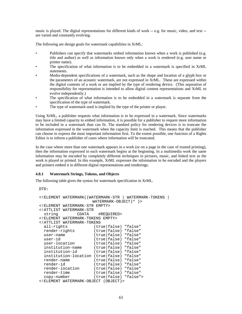music is played. The digital representations for different kinds of work -- e.g. for music, video, and text - are varied and constantly evolving.

The following are design goals for watermark capabilities in XrML:

- Publishers can specify that watermarks embed information known when a work is published (e.g. title and author) as well as information known only when a work is rendered (e.g. user name or printer name).
- The specification of what information is to be embedded in a watermark is specified in XrML statements.
- Media-dependent specifications of a watermark, such as the shape and location of a glyph box or the parameters of an acoustic watermark, are not expressed in XrML. These are expressed within the digital contents of a work or are implied by the type of rendering device. (This separation of responsibility for representation is intended to allow digital content representations and XrML to evolve independently.)
- The specification of what information is to be embedded in a watermark is separate from the specification of the type of watermark.
- The type of watermark used is implied by the type of the printer or player.

Using XrML, a publisher requests what information is to be expressed in a watermark. Since watermarks may have a limited capacity to embed information, it is possible for a publisher to request more information to be included in a watermark than can fit. The standard policy for rendering devices is to truncate the information expressed in the watermark when the capacity limit is reached. This means that the publisher can choose to express the most important information first. To the extent possible, one function of a Rights Editor is to inform a publisher of cases where information will be truncated.

In the case where more than one watermark appears in a work (or on a page in the case of trusted printing), then the information expressed in each watermark begins at the beginning. In a multimedia work the same information may be encoded by completely different techniques in pictures, music, and linked text as the work is played or printed. In this example, XrML expresses the information to be encoded and the players and printers embed it in different digital representations and renderings.

# **4.8.1 Watermark Strings, Tokens, and Objects**

The following table gives the syntax for watermark specification in XrML.

```
DTD:
```

```
<!ELEMENT WATERMARK((WATERMARK-STR | WATERMARK-TOKENS |
                          WATERMARK-OBJECT)* )>
<!ELEMENT WATERMARK-STR EMPTY>
<!ATTLIST WATERMARK-STR
                 CDATA #REQUIRED>
<!ELEMENT WATERMARK-TOKENS EMPTY>
<!ATTLIST WATERMARK-TOKENS
  all-rights (true|false) "false"<br>render-rights (true|false) "false"
                         (true|false) "false"
  user-name (true|false) "false"
  user-id (true|false) "false"
  user-location (true|false) "false"
  institution-name (true|false) "false"<br>institution-id (true|false) "false"
                         (true|false) "false"
  institution-location (true|false) "false"
  render-name (true false) "false"<br>render-id (true false) "false"
  render-id (true false) "false"<br>render-location (true false) "false"
  render-location (true false) "false"<br>render-time (true false) "false"
  render-time (true false) "false"<br>copy-number (true false) "false"
                           (true|false) "false">
<!ELEMENT WATERMARK-OBJECT (OBJECT)>
```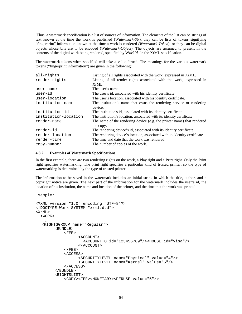Thus, a watermark specification is a list of sources of information. The elements of the list can be strings of text known at the time the work is published (W*atermark-Str*), they can be lists of tokens signifying "fingerprint" information known at the time a work is rendered *(Watermark-Token*), or they can be digital objects whose bits are to be encoded (W*atermark-Object*). The objects are assumed to present in the contents of the digital work being rendered, specified by W*orkId*s in the XrML specification.

The watermark tokens when specified will take a value "true". The meanings for the various watermark tokens ("fingerprint information") are given in the following:

| all-rights           | Listing of all rights associated with the work, expressed in XrML.             |
|----------------------|--------------------------------------------------------------------------------|
| render-rights        | Listing of all render rights associated with the work, expressed in            |
|                      | XrML.                                                                          |
| user-name            | The user's name.                                                               |
| user-id              | The user's id, associated with his identity certificate.                       |
| user-location        | The user's location, associated with his identity certificate.                 |
| institution-name     | The institution's name that owns the rendering service or rendering<br>device. |
| institution-id       | The institution's id, associated with its identity certificate.                |
| institution-location | The institution's location, associated with its identity certificate.          |
| render-name          | The name of the rendering device (e.g. the printer name) that rendered         |
|                      | the copy.                                                                      |
| render-id            | The rendering device's id, associated with its identity certificate.           |
| render-location      | The rendering device's location, associated with its identity certificate.     |
| render-time          | The time and date that the work was rendered.                                  |
| copy-number          | The number of copies of the work.                                              |
|                      |                                                                                |

## **4.8.2 Examples of Watermark Specifications**

In the first example, there are two rendering rights on the work, a Play right and a Print right. Only the Print right specifies watermarking. The print right specifies a particular kind of trusted printer, so the type of watermarking is determined by the type of trusted printer.

The information to be saved in the watermark includes an initial string in which the title, author, and a copyright notice are given. The next part of the information for the watermark includes the user's id, the location of his institution, the name and location of the printer, and the time that the work was printed.

```
<?XML version="1.0" encoding="UTF-8"?>
<!DOCTYPE Work SYSTEM "xrml.dtd">
<XrML>
  <WORK>
    …
   <RIGHTSGROUP name="Regular">
        <BUNDLE>
            \timesFEE><ACCOUNT>
                     <ACCOUNTTO id="123456789"/><HOUSE id="Visa"/>
                   </ACCOUNT>
            </FEE>
            <ACCESS>
                   <SECURITYLEVEL name="Physical" value="4"/>
                   <SECURITYLEVEL name="Kernel" value="5"/>
            </ACCESS>
        </BUNDLE>
        <RIGHTSLIST>
            <COPY><FEE><MONETARY><PERUSE value="5"/>
```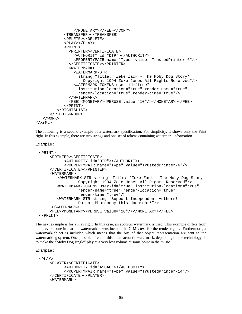```
</MONETARY></FEE></COPY>
            <TREANSFER></TREANSFER>
            <DELETE></DELETE>
            <PLAY></PLAY>
            <PRINT>
              <PRINTER><CERTIFICATE>
                <AUTHORITY id="DTP"></AUTHORITY>
                <PROPERTYPAIR name="Type" value="TrustedPrinter-6"/>
              </CERTIFICATE></PRINTER>
              <WATERMARK>
                <WATERMARK-STR
                  string="Title: 'Zeke Zack - The Moby Dog Story'
                    Copyright 1994 Zeke Jones All Rights Reserved"/>
                <WATERMARK-TOKENS user-id="true"
                  institution-location="true" render-name="true"
                  render-location="true" render-time="true"/>
              </WATERMARK>
              <FEE><MONETARY><PERUSE value="10"/></MONETARY></FEE>
            </PRINT>
         </RIGHTSLIST>
      </RIGHTSGROUP>
   </WORK>
</XrML>
```
The following is a second example of a watermark specification. For simplicity, it shows only the Print right. In this example, there are two strings and one set of tokens containing watermark information.

```
Example:
```

```
<PRINT>
    <PRINTER><CERTIFICATE>
          <AUTHORITY id="DTP"></AUTHORITY>
          <PROPERTYPAIR name="Type" value="TrustedPrinter-6"/>
    </CERTIFICATE></PRINTER>
    <WATERMARK>
        <WATERMARK-STR string="Title: 'Zeke Zack - The Moby Dog Story'
                Copyright 1994 Zeke Jones All Rights Reserved"/>
       <WATERMARK-TOKENS user-id="true" institution-location="true"
                render-name="true" render-location="true"
                render-time="true"/>
       <WATERMARK-STR string="Support Independent Authors!
                Do not Photocopy this document!"/>
     </WATERMARK>
    <FEE><MONETARY><PERUSE value="10"/></MONETARY></FEE>
</PRINT>
```
The next example is for a Play right. In this case, an acoustic watermark is used. This example differs from the previous one in that the watermark tokens include the XrML text for the render rights. Furthermore, a watermark-object is included which means that the bits of that object representation are sent to the watermarking system. One possible effect of this on an acoustic watermark, depending on the technology, is to make the "Moby Dog Jingle" play at a very low volume at some point in the music.

```
<PLAY><PLAYER><CERTIFICATE>
          <AUTHORITY id="ASCAP"></AUTHORITY>
          <PROPERTYPAIR name="Type" value="TrustedPrinter-14"/>
    </CERTIFICATE></PLAYER>
    <WATERMARK>
```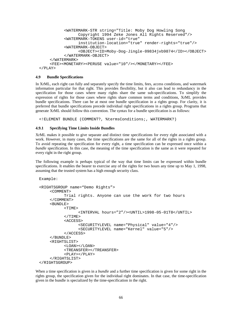```
<WATERMARK-STR string="Title: Moby Dog Howling Song
                Copyright 1994 Zeke Jones All Rights Reserved"/>
          <WATERMARK-TOKENS user-id="true"
                institution-location="true" render-rights="true"/>
          <WATERMARK-OBJECT>
                <OBJECT><ID>Moby-Dog-Jingle-09834jvb9874</ID></OBJECT>
          </WATERMARK-OBJECT>
    </WATERMARK>
    <FEE><MONETARY><PERUSE value="10"/></MONETARY></FEE>
</PLAY>
```
## **4.9 Bundle Specifications**

In XrML, each right can fully and separately specify the time limits, fees, access conditions, and watermark information particular for that right. This provides flexibility, but it also can lead to redundancy in the specification for those cases where many rights share the same sub-specifications. To simplify the expression of rights for those cases where rights share common terms and conditions, XrML provides bundle specifications. There can be at most one bundle specification in a rights group. For clarity, it is preferred that bundle specifications precede individual right specifications in a rights group. Programs that generate XrML should follow this convention. The syntax for a bundle specification is as follows:

<!ELEMENT BUNDLE (COMMENT?, %termsConditions;, WATERMARK?)

### **4.9.1 Specifying Time Limits Inside Bundles**

XrML makes it possible to give separate and distinct time specifications for every right associated with a work. However, in many cases, the time specifications are the same for all of the rights in a rights group. To avoid repeating the specification for every right, a time specification can be expressed once within a *bundle* specification. In this case, the meaning of the time specification is the same as it were repeated for every right in the right group.

The following example is perhaps typical of the way that time limits can be expressed within bundle specifications. It enables the bearer to exercise any of the rights for two hours any time up to May 1, 1998, assuming that the trusted system has a high enough security class.

Example:

```
<RIGHTSGROUP name="Demo Rights">
    <COMMENT>
          Trial rights. Anyone can use the work for two hours
    </COMMENT>
    <BUNDLE>
          <TIME>
                 <INTERVAL hours="2"/><UNTIL>1998-05-01T8</UNTIL>
          </TIME><ACCESS>
                 <SECURITYLEVEL name="Physical" value="4"/>
                 <SECURITYLEVEL name="Kernel" value="5"/>
          </ACCESS>
    </BUNDLE>
    <RIGHTSLIST>
          <LOAN></LOAN>
          <TREANSFER></TREANSFER>
          <PLAY></PLAY>
    </RIGHTSLIST>
</RIGHTSGROUP>
```
When a time specification is given in a *bundle* and a further time specification is given for some right in the rights group, the specification given for the individual right dominates. In that case, the time-specification given in the bundle is specialized by the time-specification in the right.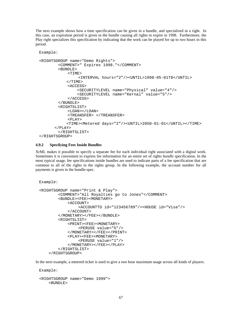The next example shows how a time specification can be given in a bundle, and specialized in a right. In this case, an expiration period is given in the bundle causing all rights to expire in 1998. Furthermore, the Play right specializes this specification by indicating that the work can be played for up to two hours in this period.

```
Example:
<RIGHTSGROUP name="Demo Rights">
        <COMMENT>" Expires 1998."</COMMENT>
        <BUNDLE>
            <TIME><INTERVAL hours="2"/><UNTIL>1998-05-01T8</UNTIL>
            </TIME><ACCESS>
                <SECURITYLEVEL name="Physical" value="4"/>
                <SECURITYLEVEL name="Kernal" value="5"/>
            </ACCESS>
        </BUNDLE>
        <RIGHTSLIST>
            <LOAN></LOAN>
            <TREANSFER> </TREANSFER>
            <PLAY><TIME><Metered days="2"/><UNTIL>2050-01-01</UNTIL></TIME>
      </PLAY>
        </RIGHTSLIST>
</RIGHTSGROUP>
```
# **4.9.2 Specifying Fees Inside Bundles**

XrML makes it possible to specify a separate fee for each individual right associated with a digital work. Sometimes it is convenient to express fee information for an entire set of rights *bundle* specification. In the most typical usage, fee specifications inside bundles are used to indicate parts of a fee specification that are common to all of the rights in the rights group. In the following example, the account number for all payments is given in the bundle-spec.

```
Example:
<RIGHTSGROUP name="Print & Play">
        <COMMENT>"All Royalties go to Jones"</COMMENT>
        <BUNDLE><FEE><MONETARY>
            <ACCOUNT>
                 <ACCOUNTTO id="123456789"/><HOUSE id="Visa"/>
            </ACCOUNT>
        </MONETARY></FEE></BUNDLE>
        <RIGHTSLIST>
            <PRINT><FEE><MONETARY>
                 <PERUSE value="5"/>
            </MONETARY></FEE></PRINT>
            <PLAY><FEE><MONETARY>
                 <PERUSE value="1"/>
            </MONETARY></FEE></PLAY>
        </RIGHTSLIST>
    </RIGHTSGROUP>
```
In the next example, a metered ticket is used to give a two hour maximum usage across all kinds of players.

Example: <RIGHTSGROUP name="Demo 1999"> <BUNDLE>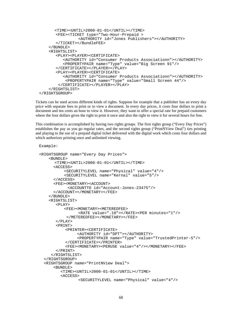```
<TIME><UNTIL>2000-01-01</UNTIL></TIME>
       <FEE><TICKET type="Two-Hour-Prepaid >
                 <AUTHORITY id="Jones Publishers"></AUTHORITY>
       </TICKET></BundleFEE>
    \langle / BUNDLE>
    <RIGHTSLIST>
       <PLAY><PLAYER><CERTIFICATE>
          <AUTHORITY id="Consumer Products Associationn"></AUTHORITY>
          <PROPERTYPAIR name="Type" value="Big Screen 91"/>
       </CERTIFICATE></PLAYER></PLAY>
       <PLAY><PLAYER><CERTIFICATE>
          <AUTHORITY id="Consumer Products Associationn"></AUTHORITY>
           <PROPERTYPAIR name="Type" value="Small Screen 44"/>
        </CERTIFICATE></PLAYER></PLAY>
    </RIGHTSLIST>
</RIGHTSGROUP>
```
Tickets can be used across different kinds of rights. Suppose for example that a publisher has an every day price with separate fees to print or to view a document. In every day prices, it costs four dollars to print a document and ten cents an hour to view it. However, they want to offer a special rate for prepaid customers where the four dollars gives the right to print it once and also the right to view it for several hours for free.

This combination is accomplished by having two rights groups. The first rights group ("Every Day Prices") establishes the pay as you go regular rates, and the second rights group ("PrintNView Deal") ties printing and playing to the use of a prepaid digital ticket delivered with the digital work which costs four dollars and which authorizes printing once and unlimited viewing.

Example:

```
<RIGHTSGROUP name="Every Day Prices">
    \epsilonRUNDLES
      <TIME><UNTIL>2000-01-01</UNTIL></TIME>
      <ACCESS>
          <SECURITYLEVEL name="Physical" value="4"/>
          <SECURITYLEVEL name="Kernal" value="5"/>
      </ACCESS>
      <FEE><MONETARY><ACCOUNT>
            <ACCOUNTTO id="Account-Jones-23475"/>
      </ACCOUNT></MONETARY></FEE>
    </BUNDLE>
    <RIGHTSLIST>
       <PLAY>
          <FEE><MONETARY><METEREDFEE>
                <RATE value=".10"></RATE><PER minutes="1"/>
           </METEREDFEE></MONETARY></FEE>
       </PLAY>
       <PRINT>
           <PRINTER><CERTIFICATE>
                <AUTHORITY id="DPT"></AUTHORITY>
                <PROPERTYPAIR name="Type" value="TrustedPrinter-5"/>
           </CERTIFICATE></PRINTER>
           <FEE><MONETARY><PERUSE value="4"/></MONETARY></FEE>
       </PRINT>
     </RIGHTSLIST>
  </RIGHTSGROUP>
  <RIGHTSGROUP name="PrintNView Deal">
      <BUNDLE>
         <TIME><UNTIL>2000-01-01</UNTIL></TIME>
         <ACCESS>
                 <SECURITYLEVEL name="Physical" value="4"/>
```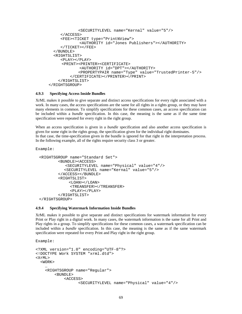```
<SECURITYLEVEL name="Kernal" value="5"/>
     </ACCESS>
     <FEE><TICKET type="PrintNView">
             <AUTHORITY id="Jones Publishers"></AUTHORITY>
     </TICKET></FEE>
 </BUNDLE>
 <RIGHTSLIST>
    <PLAY></PLAY>
     <PRINT><PRINTER><CERTIFICATE>
             <AUTHORITY id="DPT"></AUTHORITY>
            <PROPERTYPAIR name="Type" value="TrustedPrinter-5"/>
         </CERTIFICATE></PRINTER></PRINT>
    </RIGHTSLIST>
</RIGHTSGROUP>
```
## **4.9.3 Specifying Access Inside Bundles**

XrML makes it possible to give separate and distinct access specifications for every right associated with a work. In many cases, the access specifications are the same for all rights in a rights group, or they may have many elements in common. To simplify specifications for these common cases, an access specification can be included within a *bundle* specification. In this case, the meaning is the same as if the same time specification were repeated for every right in the right group.

When an access specification is given in a *bundle* specification and also another access specification is given for some right in the rights group, the specification given for the individual right dominates. In that case, the time-specification given in the bundle is ignored for that right in the interpretation process. In the following example, all of the rights require security class 3 or greater.

Example:

```
<RIGHTSGROUP name="Standard Set">
        <BUNDLE><ACCESS>
           <SECURITYLEVEL name="Physical" value="4"/>
           <SECURITYLEVEL name="Kernal" value="5"/>
        </ACCESS></BUNDLE>
        <RIGHTSLIST>
            <LOAN></LOAN>
             <TREANSFER></TREANSFER>
             <PLAY></PLAY>
        </RIGHTSLIST>
</RIGHTSGROUP>
```
#### **4.9.4 Specifying Watermark Information Inside Bundles**

XrML makes it possible to give separate and distinct specifications for watermark information for every Print or Play right in a digital work. In many cases, the watermark information is the same for all Print and Play rights in a group. To simplify specifications for these common cases, a watermark specification can be included within a *bundle* specification. In this case, the meaning is the same as if the same watermark specification were repeated for every Print and Play right in the right group.

Example:

```
<?XML version="1.0" encoding="UTF-8"?>
<!DOCTYPE Work SYSTEM "xrml.dtd">
<XrML>
  <WORK>
    …
    <RIGHTSGROUP name="Regular">
        <BUNDLE>
            <ACCESS>
                  <SECURITYLEVEL name="Physical" value="4"/>
```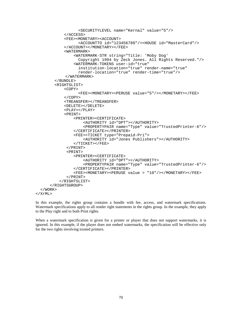```
<SECURITYLEVEL name="Kernal" value="5"/>
            </ACCESS>
            <FEE><MONETARY><ACCOUNT>
                  <ACCOUNTTO id="123456789"/><HOUSE id="MasterCard"/>
            </ACCOUNT></MONETARY></FEE>
            <WATERMARK>
                <WATERMARK-STR string="Title: 'Moby Dog'
                  Copyright 1994 by Zeck Jones. All Rights Reserved."/>
                <WATERMARK-TOKENS user-id="true"
                  institution-location="true" render-name="true"
                  render-location="true" render-time="true"/>
             </WATERMARK>
        </BUNDLE>
        <RIGHTSLIST>
            <COPY>
                  <FEE><MONETARY><PERUSE value="5"/></MONETARY></FEE>
            </COPY>
            <TREANSFER></TREANSFER>
            <DELETE></DELETE>
            <PLAY></PLAY>
            <PRINT>
                <PRINTER><CERTIFICATE>
                    <AUTHORITY id="DPT"></AUTHORITY>
                    <PROPERTYPAIR name="Type" value="TrustedPrinter-6"/>
                </CERTIFICATE></PRINTER>
                <FEE><TICKET type="Prepaid-Pri">
                    <AUTHORITY id="Jones Publishers"></AUTHORITY>
                </TICKET></FEE>
             </PRINT>
             <PRINT>
                <PRINTER><CERTIFICATE>
                    <AUTHORITY id="DPT"></AUTHORITY>
                    <PROPERTYPAIR name="Type" value="TrustedPrinter-6"/>
                </CERTIFICATE></PRINTER>
                <FEE><MONETARY><PERUSE value = "10"/></MONETARY></FEE>
             \,<\,/\, {\rm PRINT} \,</RIGHTSLIST>
      </RIGHTSGROUP>
  </WORK>
</XrML>
```
In this example, the rights group contains a bundle with fee, access, and watermark specifications. Watermark specifications apply to all render right statements in the rights group. In the example, they apply to the Play right and to both Print rights.

When a watermark specification is given for a printer or player that does not support watermarks, it is ignored. In this example, if the player does not embed watermarks, the specification will be effective only for the two rights involving trusted printers.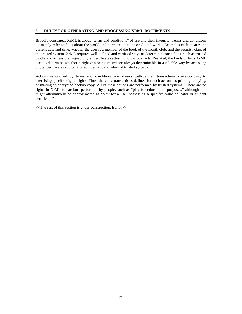# **5 RULES FOR GENERATING AND PROCESSING XRML DOCUMENTS**

Broadly construed, XrML is about "terms and conditions" of use and their integrity. Terms and conditions ultimately refer to facts about the world and permitted actions on digital works. Examples of facts are: the current date and time, whether the user is a member of the book of the month club, and the security class of the trusted system. XrML requires well-defined and certified ways of determining such facts, such as trusted clocks and accessible, signed digital certificates attesting to various facts. Restated, the kinds of facts XrML uses to determine whether a right can be exercised are always determinable in a reliable way by accessing digital certificates and controlled internal parameters of trusted systems.

Actions sanctioned by terms and conditions are always well-defined transactions corresponding to exercising specific digital rights. Thus, there are transactions defined for such actions as printing, copying, or making an encrypted backup copy. All of these actions are performed by trusted systems. There are no rights in XrML for actions performed by people, such as "play for educational purposes," although this might alternatively be approximated as "play for a user possessing a specific, valid educator or student certificate."

<<The rest of this section is under construction. Editor>>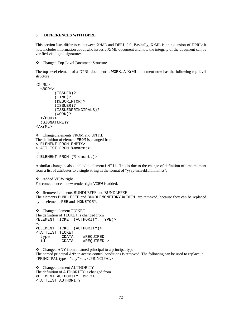#### **6 DIFFERENCES WITH DPRL**

This section lists differences between XrML and DPRL 2.0. Basically, XrML is an extension of DPRL; it now includes information about who issues a XrML document and how the integrity of the document can be verified via digital signatures.

Changed Top-Level Document Structure

The top-level element of a DPRL document is WORK. A XrML document now has the following top-level structure:

```
<XrML>
  <BODY>
        (ISSUED)?
        (TIME)?
        (DESCRIPTOR)?
        (ISSUER)?
        (ISSUEDPRINCIPALS)?
        (WORK)?
  </BODY>
  (SIGNATURE)?
</XrML>
```

```
 Changed elements FROM and UNTIL
The definition of element FROM is changed from
<!ELEMENT FROM EMPTY>
<!ATTLIST FROM %moment>
to
<!ELEMENT FROM (%moment;)>
```
A similar change is also applied to element UNTIL. This is due to the change of definition of time moment from a list of attributes to a single string in the format of "yyyy-mm-ddThh:mm:ss".

```
❖ Added VIEW right
For convenience, a new render right VIEW is added.
```
❖ Removed elements BUNDLEFEE and BUNDLEFEE

The elements BUNDLEFEE and BUNDLEMONETORY in DPRL are removed, because they can be replaced by the elements FEE and MONETORY.

```
 Changed element TICKET
The definition of TICKET is changed from
<ELEMENT TICKET (AUTHORITY, TYPE)>
to
<ELEMENT TICKET (AUTHORITY)>
<!ATTLIST TICKET
  type CDATA #REQUIRED
  id CDATA #REQUIRED >
```
• Changed ANY from a named principal to a principal type The named principal ANY in access control conditions is removed. The following can be used to replace it.  $\langle$ PRINCIPAL type = "any"> ...  $\langle$ /PRINCIPAL>

 Changed element AUTHORITY The definition of AUTHORITY is changed from <ELEMENT AUTHORITY EMPTY> <!ATTLIST AUTHORITY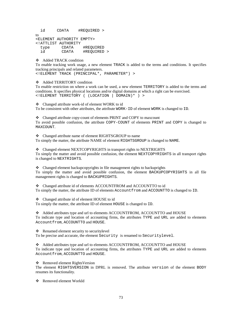id CDATA #REQUIRED > to <ELEMENT AUTHORITY EMPTY> <!ATTLIST AUTHORITY type CDATA #REQUIRED id CDATA #REQUIRED >

Added TRACK condition

To enable tracking work usage, a new element TRACK is added to the terms and conditions. It specifies tracking principals and related parameters.

<!ELEMENT TRACK (PRINCIPAL\*, PARAMETER\*) >

Added TERRITORY condition

To enable restriction on where a work can be used, a new element TERRITORY is added to the terms and conditions. It specifies physical locations and/or digital domains at which a right can be exercised. <!ELEMENT TERRITORY ( (LOCATION | DOMAIN)\* ) >

Changed attribute work-id of element WORK to id

To be consistent with other attributes, the attribute WORK-ID of element WORK is changed to ID.

 Changed attribute copy-count of elements PRINT and COPY to maxcount To avoid possible confusion, the attribute COPY-COUNT of elements PRINT and COPY is changed to MAXCOUNT.

 Changed attribute name of element RIGHTSGROUP to name To simply the matter, the attribute NAME of element RIGHTSGROUP is changed to NAME.

 Changed element NEXTCOPYRIGHTS in transport rights to NEXTRIGHTS To simply the matter and avoid possible confusion, the element NEXTCOPYRIGHTS in all transport rights is changed to NEXTRIGHTS.

 $\triangleleft$  Changed element backupcopyrights in file management rights to backuprights To simply the matter and avoid possible confusion, the element BACKUPCOPYRIGHTS in all file management rights is changed to BACKUPRIGHTS.

 Changed attribute id of elements ACCOUNTFROM and ACCOUNTTO to id To simply the matter, the attribute ID of elements Accountfrom and ACCOUNTTO is changed to ID.

Changed attribute id of element HOUSE to id

To simply the matter, the attribute ID of element HOUSE is changed to ID.

 Added attributes type and url to elements ACCOUNTFROM, ACCOUNTTO and HOUSE To indicate type and location of accounting firms, the attributes TYPE and URL are added to elements Accountfrom, ACCOUNTTO and HOUSE.

Renamed element security to securitylevel

To be precise and accurate, the element Security is renamed to Securitylevel.

 Added attributes type and url to elements ACCOUNTFROM, ACCOUNTTO and HOUSE To indicate type and location of accounting firms, the attributes TYPE and URL are added to elements Accountfrom, ACCOUNTTO and HOUSE.

Removed element RightsVersion

The element RIGHTSVERSION in DPRL is removed. The attribute version of the element BODY resumes its functionality.

Removed element WorkId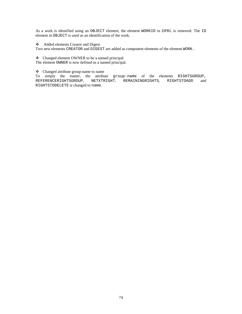As a work is identified using an OBJECT element, the element WORKID in DPRL is removed. The ID element in OBJECT is used as an identification of the work.

Added elements Creator and Digest

Two new elements CREATOR and DIGEST are added as component elements of the element WORK.

Changed element OWNER to be a named principal

The element OWNER is now defined as a named principal.

# Changed attribute group-name to name

To simply the matter, the attribute group-name of the elements RIGHTSGROUP, REFERENCERIGHTSGROUP, NETXTRIGHT, REMAININGRIGHTS, RIGHTSTOADD and RIGHTSTODELETE is changed to name.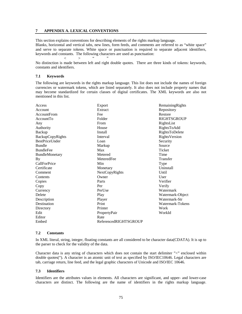## **7 APPENDIX A. LEXICAL CONVENTIONS**

 $<$   $>$  " "

This section explains conventions for describing elements of the rights markup language.

Blanks, horizontal and vertical tabs, new lines, form feeds, and comments are referred to as "white space" and serve to separate tokens. White space or punctuation is required to separate adjacent identifiers, keywords and constants. The following characters are used as punctuation:

No distinction is made between left and right double quotes. There are three kinds of tokens: keywords, constants and identifiers.

#### **7.1 Keywords**

The following are keywords in the rights markup language. This list does not include the names of foreign currencies or watermark tokens, which are listed separately. It also does not include property names that may become standardized for certain classes of digital certificates. The XML keywords are also not mentioned in this list.

| Access                | Export                | RemainingRights      |
|-----------------------|-----------------------|----------------------|
| Account               | Extract               | Repository           |
| AccountFrom           | Fee                   | Restore              |
| AccountTo             | Folder                | <b>RIGHTSGROUP</b>   |
| Any                   | From                  | RightsList           |
| Authority             | House                 | RightsToAdd          |
| Backup                | <b>Install</b>        | RightsToDelete       |
| BackupCopyRights      | Interval              | <b>RightsVersion</b> |
| <b>BestPriceUnder</b> | Loan                  | Security             |
| <b>Bundle</b>         | Markup                | Source               |
| <b>BundleFee</b>      | Max                   | Ticket               |
| BundleMonetary        | Metered               | Time                 |
| By                    | MeteredFee            | Transfer             |
| <b>CallForPrice</b>   | Min                   | <b>Type</b>          |
| Certificate           | Monetary              | Uninstall            |
| Comment               | NextCopyRights        | Until                |
| Contents              | Owner                 | User                 |
| Copies                | Parts                 | Verifier             |
| Copy                  | Per                   | Verify               |
| Currency              | PerUse                | Watermark            |
| Delete                | Play                  | Watermark-Object     |
| Description           | Player                | Watermark-Str        |
| Destination           | Print                 | Watermark-Tokens     |
| Directory             | Printer               | Work                 |
| Edit                  | PropertyPair          | WorkId               |
| Editor                | Rate                  |                      |
| Embed                 | ReferencedRIGHTSGROUP |                      |

## **7.2 Constants**

In XML literal, string, integer, floating constants are all considered to be character data(CDATA). It is up to the parser to check for the validity of the data.

Character data is any string of characters which does not contain the start delimiter "<" enclosed within double quotes("). A character is an atomic unit of text as specified by ISO/IEC10646. Legal characters are tab, carriage return, line feed, and the legal graphic characters of Unicode and ISO/IEC 10646.

#### **7.3 Identifiers**

Identifiers are the attributes values in elements. All characters are significant, and upper- and lower-case characters are distinct. The following are the name of identifiers in the rights markup language.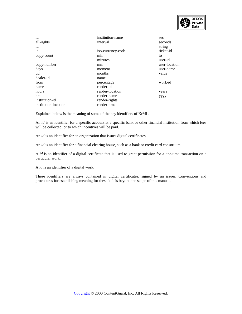

| id                   | institution-name  | sec           |
|----------------------|-------------------|---------------|
| all-rights           | interval          | seconds       |
| id                   |                   | string        |
| id                   | iso-currency-code | ticket-id     |
| copy-count           | min               | to            |
|                      | minutes           | user-id       |
| copy-number          | mm                | user-location |
| days                 | moment            | user-name     |
| dd                   | months            | value         |
| dealer-id            | name              |               |
| from                 | percentage        | work-id       |
| name                 | render-id         |               |
| hours                | render-location   | years         |
| hrs                  | render-name       | уууу          |
| institution-id       | render-rights     |               |
| institution-location | render-time       |               |

Explained below is the meaning of some of the key identifiers of XrML.

An *id* is an identifier for a specific account at a specific bank or other financial institution from which fees will be collected, or to which incentives will be paid.

An *id* is an identifier for an organization that issues digital certificates.

An *id* is an identifier for a financial clearing house, such as a bank or credit card consortium.

A *id* is an identifier of a digital certificate that is used to grant permission for a one-time transaction on a particular work.

A *id* is an identifier of a digital work.

These identifiers are always contained in digital certificates, signed by an issuer. Conventions and procedures for establishing meaning for these id's is beyond the scope of this manual.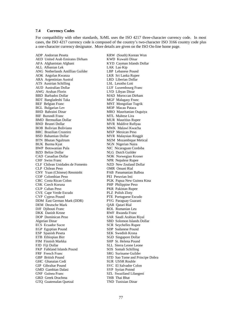## **7.4 Currency Codes**

For compatibility with other standards, XrML uses the ISO 4217 three-character currency code. In most cases, the ISO 4217 currency code is composed of the country's two-character ISO 3166 country code plus a one-character currency designator. More details are given on the ISO On-line home page.

AED United Arab Emirates Dirham AFA Afghanistan Afghani KYD Cayman Islands Dollar ALL Albanian Lek LAK Lao Kip ANG Netherlands Antillian Guilder LBP Lebanese Pound AOK Angolan Kwanza LKR Sri Lanka Rupee ARA Argentinian Austral LRD Liberian Dollar ATS Austrian Schilling LSL Lesotho Loti AUD Australian Dollar LUF Luxembourg Franc AWG Aruban Florin LYD Libyan Dinar BDT Bangladeshi Taka MGF Malagasy Franc BEF Belgian Franc MNT Mongolian Tugrik BGL Bulgarian Lev MOP Macau Pataca BHD Bahraini Dinar MRO Mauritanian Ouguiya BIF Burundi Franc<br>
BMD Bermudian Dollar<br>
MUR Mauritius Ru BND Brunei Dollar MVR Maldive Rufiyaa BOB Bolivian Boliviano MWK Malawi Kwacha BRC Brazilian Cruzeiro MXP Mexican Peso BSD Bahamian Dollar MYR Malaysian Ringgit BTN Bhutan Ngultrum MZM Mozambique Metical BUK Burma Kyat NGN Nigerian Naira BWP Botswanian Pula NIC Nicaraguan Cordoba BZD Belize Dollar NLG Dutch Guilder CAD Canadian Dollar NOK Norwegian Kroner CHF Swiss Franc NPR Nepalese Rupee CLF Chilean Unidades de Fomento NZD New Zealand Dollar CLP Chilean Peso OMR Omani Rial CNY Yuan (Chinese) Renminbi PAB Panamanian Balboa COP Colombian Peso<br>CRC Costa Rican Colon CSK Czech Koruna PHP Philippine Peso CUP Cuban Peso PKR Pakistan Rupee CVE Cape Verde Escudo PLZ Polish Zloty<br>
CYP Cyprus Pound PTE Portuguese I DDM East German Mark (DDR) PYG Paraguay Guarani DEM Deutsche Mark **QAR Qatari Rial** DJF Djibouti Franc ROL Romanian Leu DKK Danish Krone RWF Rwanda Franc DOP Dominican Peso SAR Saudi Arabian Riyal Algerian Dinar SBD Solomon Islands Dollar ECS Ecuador Sucre SCR Seychelles Rupee EGP Egyptian Pound SDP Sudanese Pound ESP Spanish Peseta SEK Swedish Krona ETB Ethiopian Birr SGD Singapore Dollar<br>
EIM Finnish Markka<br>
SHP St. Helena Pound FIM Finnish Markka FJD Fiji Dollar<br>
FKP Falkland Islands Pound<br>
SOS Somali Schilling FKP Falkland Islands Pound FRF French Franc SRG Suriname Guilder GBP British Pound STD Sao Tome and Principe Dobra GHC Ghanaian Cedi SUR USSR Rouble GIP Gibraltar Pound SVC El Salvador Colon GMD Gambian Dalasi SYP Syrian Potmd GNF Guinea Franc SZL Swaziland Lilangeni GRD Greek Drachma THB Thai Bhat GTO Guatemalan Ouetzal

ADP Andorran Peseta **KRW** (South) Korean Won<br>
AED United Arab Emirates Dirham **KWD** Kuwaiti Dinar MAD Moroccan Dirham **MUR Mauritius Rupee** PGK Papua New Guinea Kina PTE Portuguese Escudo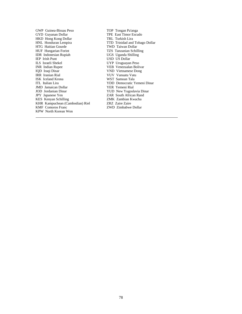GWP Guinea-Bissau Peso TOP Tongan Pa'anga<br>GYD Guyanan Dollar TPE East Timor Escudo GYD Guyanan Dollar HKD Hong Kong Dollar TRL Turkish Lira<br>HNL Honduran Lempira TTD Trinidad and HTG Haitian Gourde<br>HUF Hungarian Forint IDR Indonesian Rupiah<br>IEP Irish Punt IEP Irish Punt USD US Dollar INR Indian Rupee VEB Venezualan Bolivar IQD Iraqi Dinar VND Vietnamese Dong IRR Iranian Rial VUV Vanuatu Vatu ISK Iceland Krona WST Samoan Tala<br>ITL Italian Lira YDD Democratic Y JMD Jamaican Dollar<br>JOD Jordanian Dinar JPY Japanese Yen ZAR South African Rand KES Kenyan Schilling ZMK Zambian Kwacha KHR Kampuchean (Cambodian) Riel 2RZ Zaire Zaire ZME Comoros Franc 2WD Zimbabwe KPW North Korean Won

l

TTD Trinidad and Tobago Dollar<br>TWD Taiwan Dollar TZS Tanzanian Schilling<br>UGS Uganda Shilling UYP Uruguayan Peso YDD Democratic Yemeni Dinar<br>YER Yemeni Rial YUD New Yugoslavia Dinar ZWD Zimbabwe Dollar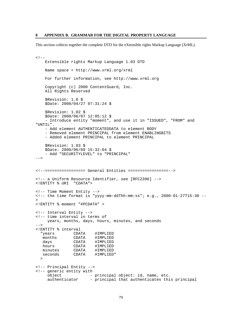This section collects together the complete DTD for the eXtensible rights Markup Language (XrML).

```
<! -Extensible rights Markup Language 1.03 DTD
   Name space = http://www.xrml.org/xrml
   For further information, see http://www.xrml.org
   Copyright (c) 2000 ContentGuard, Inc.
   All Rights Reserved
   $Revision: 1.0 $
   $Date: 2000/04/27 07:31:24 $
   $Revision: 1.02 $
   $Date: 2000/06/07 12:05:12 $
    - Introduce entity "moment", and use it in "ISSUED", "FROM" and
"UNTIL".
    - Add element AUTHENTICATEDDATA to element BODY
    - Removed element PRINCIPAL from element ENABLINGBITS
    - Added element PRINCIPAL to element PRINCIPAL
   $Revision: 1.03 $
   $Date: 2000/06/09 15:32:04 $
   - Add "SECURITYLEVEL" to "PRINCIPAL"
--&><!--================= General Entities =================-->
<!-- a Uniform Resource Identifier, see [RFC2396] -->
<!ENTITY % URI "CDATA">
<!-- Time Moment Entity -->
<!-- the time format is "yyyy-mm-ddThh:mm:ss"; e.g., 2000-01-27T15:30 --
\mathbf{r}<!ENTITY % moment "#PCDATA" >
<!-- Interval Entity -->
<!-- time interval in terms of
    years, months, days, hours, minutes, and seconds
-->
<!ENTITY % interval
  "years CDATA #IMPLIED
  months CDATA #IMPLIED
  days CDATA #IMPLIED
  hours CDATA #IMPLIED
  minutes CDATA #IMPLIED
  seconds CDATA #IMPLIED"
 \rightarrow<!-- Principal Entity -->
<!-- generic entity with
    object - principal object: id, name, etc.
    authenticator - principal that authenticates this principal
```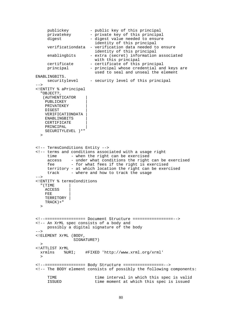```
publickey - public key of this principal<br>privatekey - private key of this principal
                        - private key of this principal
     digest - digest value needed to ensure
                         identity of this principal
     verificationdata - verification data needed to ensure
                         identity of this principal
     enablingbits - extra (secret) information associated
                         with this principal
     certificate - certificate of this principal
     principal - principal whose credential and keys are
                         used to seal and unseal the element
ENABLINGBITS.<br>securitylevel
                     - security level of this principal
-<!ENTITY % aPrincipal
  "OBJECT?,
   (AUTHENTICATOR |
   PUBLICKEY |
   PRIVATEKEY |
   DIGEST |
   VERIFICATIONDATA |
   ENABLINGBITS |
   CERTIFICATE
   PRINCIPAL |
   SECURITYLEVEL )*"
  \overline{\phantom{a}}<!-- TermsConditions Entity -->
<!-- terms and conditions associated with a usage right
     time - when the right can be exercised
     access - under what conditions the right can be exercised
     fee - for what fees if the right is exercised
     territory - at which location the right can be exercised
     track - where and how to track the usage
--&><!ENTITY % termsConditions
  "(TIME |
   ACCESS |
   FEE |
   TERRITORY |
   TRACK)+"
  >
<!--================= Document Structure =================-->
<!-- An XrML spec consists of a body and
     possibly a digital signature of the body
-->
<!ELEMENT XrML (BODY,
                SIGNATURE?)
 \geq<!ATTLIST XrML
 xrmlns %URI; #FIXED 'http://www.xrml.org/xrml'
 >
<!--================= Body Structure =================-->
<!-- The BODY element consists of possibly the following components:
     TIME time interval in which this spec is valid<br>ISSUED time moment at which this spec is issued
                          time moment at which this spec is issued
```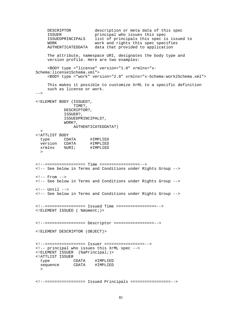```
DESCRIPTOR description or meta data of this spec
    ISSUER principal who issues this spec
    ISSUEDPRINCIPALS list of principals this spec is issued to
    WORK work and rights this spec specifies
    AUTHENTICATEDDATA data that provided to application
    The attribute, namespace URI, designates the body type and
    version profile. Here are two examples:
    <BODY type ="license" version="1.0" xrmlns="x-
Schema:license1Schema.xml">
    <BODY type ="work" version="2.0" xrmlns="x-Schema:work2Schema.xml">
    This makes it possible to customize XrML to a specific definition
    such as license or work.
--&><!ELEMENT BODY (ISSUED?,
               TIME?,
           DESCRIPTOR?,
           ISSUER?,
           ISSUEDPRINCIPALS?,
           WORK?,
               AUTHENTICATEDDATA?)
 \geq<!ATTLIST BODY
 type CDATA #IMPLIED
 version CDATA #IMPLIED
 xrmlns %URI; #IMPLIED
 >
<!--================= Time =================-->
<!-- See below in Terms and Conditions under Rights Group -->
\leftarrow \leftarrow From \leftarrow<!-- See below in Terms and Conditions under Rights Group -->
\left\{ -1 \right\} = Until \left\{ -2 \right\}<!-- See below in Terms and Conditions under Rights Group -->
<!--================= Issued Time =================-->
<!ELEMENT ISSUED ( %moment;)>
<!--================= Descriptor =================-->
<!ELEMENT DESCRIPTOR (OBJECT)>
<!--================= Issuer =================-->
<!-- principal who issues this XrML spec -->
<!ELEMENT ISSUER (%aPrincipal;)>
<!ATTLIST ISSUER
 type CDATA #IMPLIED
 sequence CDATA #IMPLIED
  >
<!--================= Issued Principals =================-->
```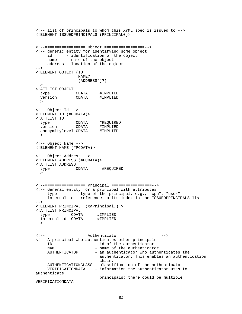```
<!-- list of principals to whom this XrML spec is issued to -->
<!ELEMENT ISSUEDPRINCIPALS (PRINCIPAL+)>
<!--================= Object =================-->
<!-- generic entity for identifying some object
    id - identification of the object
    name - name of the object
    address - location of the object
--<!ELEMENT OBJECT (ID,
                 NAME?,
                 (ADDRESS*)?)
 \rightarrow<!ATTLIST OBJECT
 type CDATA #IMPLIED
 version CDATA #IMPLIED
 \rightarrow<!-- Object Id -->
<!ELEMENT ID (#PCDATA)>
<!ATTLIST ID
 type CDATA #REQUIRED
 version CDATA #IMPLIED<br>anonymitylevel CDATA #IMPLIED
 anonymitylevel CDATA
 >
<!-- Object Name -->
<!ELEMENT NAME (#PCDATA)>
<!-- Object Address -->
<!ELEMENT ADDRESS (#PCDATA)>
<!ATTLIST ADDRESS
 type CDATA #REQUIRED
 >
<!--================= Principal =================-->
<!-- General entity for a principal with attributes
     type - type of the principal, e.g., "cpu", "user"
     internal-id - reference to its index in the ISSUEDPRINCIPALS list
--&><!ELEMENT PRINCIPAL (%aPrincipal;) >
<!ATTLIST PRINCIPAL
 type CDATA #IMPLIED
 internal-id CDATA #IMPLIED
  >
<!--================= Authenticator =================-->
<!-- A principal who authenticates other principals
                        - id of the authenticator
    NAME - name of the authenticator
    AUTHENTICATOR - an authenticator who authenticates the
                         authenticator; This enables an authentication
                         chain.
    AUTHENTICATIONCLASS - classification of the authenticator
    VERIFICATIONDATA - information the authenticator uses to
authenticate
                         principals; there could be multiple
VERIFICATIONDATA
```

```
82
```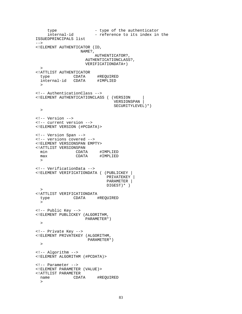```
type - type of the authenticator<br>internal-id - reference to its index in
                      - reference to its index in the
ISSUEDPRINCIPALS list
--&><!ELEMENT AUTHENTICATOR (ID,
                   NAME?,
                        AUTHENTICATOR?,
                     AUTHENTICATIONCLASS?,
                     VERIFICATIONDATA+)
  >
<!ATTLIST AUTHENTICATOR
  type CDATA #REQUIRED
  internal-id CDATA #IMPLIED
  \sim<!-- AuthenticationClass -->
<!ELEMENT AUTHENTICATIONCLASS ( (VERSION |
                                 VERSIONSPAN |
                                 SECURITYLEVEL)*)
 \rightarrow<!-- Version -->
<!-- current version -->
<!ELEMENT VERSION (#PCDATA)>
<!-- Version Span -->
<!-- versions covered -->
<!ELEMENT VERSIONSPAN EMPTY>
<!ATTLIST VERSIONSPAN
 min CDATA #IMPLIED
 max CDATA #IMPLIED
 >
<!-- VerificationData -->
<!ELEMENT VERIFICATIONDATA ( (PUBLICKEY |
                              PRIVATEKEY |
                              PARAMETER |
                              DIGEST)* )
 \rightarrow<!ATTLIST VERIFICATIONDATA
 type CDATA #REQUIRED
 \geq<!-- Public Key -->
<!ELEMENT PUBLICKEY (ALGORITHM,
                    PARAMETER*)
 >
<!-- Private Key -->
<!ELEMENT PRIVATEKEY (ALGORITHM,
                      PARAMETER*)
 \rightarrow<!-- Algorithm -->
<!ELEMENT ALGORITHM (#PCDATA)>
<!-- Parameter -->
<!ELEMENT PARAMETER (VALUE)>
<!ATTLIST PARAMETER
              CDATA #REQUIRED
  >
```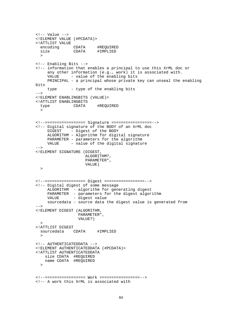```
\leftarrow!-- Value -->
<!ELEMENT VALUE (#PCDATA)>
<!ATTLIST VALUE
 encoding CDATA #REQUIRED
 size CDATA #IMPLIED
  >
<!-- Enabling Bits -->
<!-- information that enables a principal to use this XrML doc or
    any other information (e.g., work) it is associated with.
    VALUE - value of the enabling bits
    PRINCIPAL - a principal whose private key can unseal the enabling
bits
    type - type of the enabling bits
--&><!ELEMENT ENABLINGBITS (VALUE)>
<!ATTLIST ENABLINGBITS
 type CDATA #REQUIRED
 \geq<!--================= Signature =================-->
<!-- Digital signature of the BODY of an XrML doc
            - Digest of the BODY
    ALGORITHM - Algorithm for digital signature
    PARAMETER - parameters for the algorithm
    VALUE - value of the digital signature
--&><!ELEMENT SIGNATURE (DIGEST,
                    ALGORITHM?,
                    PARAMETER*,
                    VALUE)
 \, ><!--================= Digest =================-->
<!-- Digital digest of some message
    ALGORITHM - algorithm for generating digest
    PARAMETER - parameters for the digest algorithm
    VALUE - digest value
    sourcedata - source data the digest value is generated from
--&><!ELEMENT DIGEST (ALGORITHM,
                 PARAMETER*,
                 VALUE?)
 >
<!ATTLIST DIGEST
 sourcedata CDATA #IMPLIED
 \rightarrow<!-- AUTHENTICATEDDATA -->
<!ELEMENT AUTHENTICATEDDATA (#PCDATA)>
<!ATTLIST AUTHENTICATEDDATA
   size CDATA #REQUIRED
   name CDATA #REQUIRED
 >
<!--================= Work =================-->
<!-- A work this XrML is associated with
```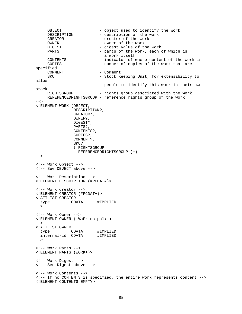```
OBJECT - object used to identify the work<br>DESCRIPTION - description of the work
                        - description of the work
    CREATOR - creator of the work
    OWNER - owner of the work
    DIGEST - digest value of the work
    PARTS - parts of the work, each of which is
                            a work itself
     CONTENTS - indicator of where content of the work is
    COPIES - number of copies of the work that are
specified<br>COMMENT
                         COMMENT - Comment
    SKU - Stock Keeping Unit, for extensibility to
allow
                           people to identify this work in their own
stock.
    RIGHTSGROUP - rights group associated with the work
    REFERENCEDRIGHTSGROUP - reference rights group of the work
--<!ELEMENT WORK (OBJECT,
               DESCRIPTION?,
               CREATOR*,
               OWNER?,
               DIGEST*,
               PARTS?,
               CONTENTS?,
               COPIES?,
               COMMENT?,
               SKU?,
               ( RIGHTSGROUP |
                REFERENCEDRIGHTSGROUP )+)
 >
<!-- Work Object -->
<!-- See OBJECT above -->
<!-- Work Description -->
<!ELEMENT DESCRIPTION (#PCDATA)>
<!-- Work Creator -->
<!ELEMENT CREATOR (#PCDATA)>
<!ATTLIST CREATOR
 type CDATA #IMPLIED
 \geq<!-- Work Owner -->
<!ELEMENT OWNER ( %aPrincipal; )
 \geq<!ATTLIST OWNER
 type CDATA #IMPLIED<br>internal-id CDATA #IMPLIED
 internal-id CDATA
 \sim<!-- Work Parts -->
<!ELEMENT PARTS (WORK+)>
<!-- Work Digest -->
<!-- See Digest above -->
<!-- Work Contents -->
<!-- If no CONTENTS is specified, the entire work represents content -->
<!ELEMENT CONTENTS EMPTY>
```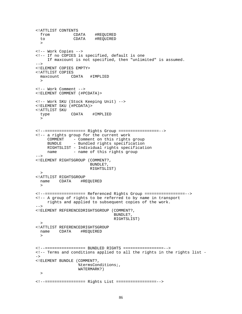```
<!ATTLIST CONTENTS
 from CDATA #REQUIRED
 to CDATA #REQUIRED
 \rightarrow<!-- Work Copies -->
<!-- If no COPIES is specified, default is one
    If maxcount is not specified, then "unlimited" is assumed.
--<!ELEMENT COPIES EMPTY>
<!ATTLIST COPIES
 maxcount CDATA #IMPLIED
 \rightarrow<!-- Work Comment -->
<!ELEMENT COMMENT (#PCDATA)>
<!-- Work SKU (Stock Keeping Unit) -->
<!ELEMENT SKU (#PCDATA)>
<!ATTLIST SKU
 type CDATA #IMPLIED
 \rightarrow<!--================= Rights Group =================-->
<!-- a rights group for the current work
     COMMENT - Comment on this rights group
     BUNDLE - Bundled rights specification
    RIGHTSLIST - Individual rights specification
    name - name of this rights group
--<!ELEMENT RIGHTSGROUP (COMMENT?,
                      BUNDLE?,
                      RIGHTSLIST)
 >
<!ATTLIST RIGHTSGROUP
 name CDATA
 \rightarrow<!--================= Referenced Rights Group =================-->
<!-- A group of rights to be referred to by name in transport
    rights and applied to subsequent copies of the work.
--&><!ELEMENT REFERENCEDRIGHTSGROUP (COMMENT?,
                                BUNDLE?,
                                RIGHTSLIST)
 >
<!ATTLIST REFERENCEDRIGHTSGROUP
 name CDATA #REQUIRED
 \rightarrow<!--================= BUNDLED RIGHTS =================-->
<!-- Terms and conditions applied to all the rights in the rights list -
\rightarrow<!ELEMENT BUNDLE (COMMENT?,
                 %termsConditions;,
                 WATERMARK?)
 >
<!--================= Rights List =================-->
```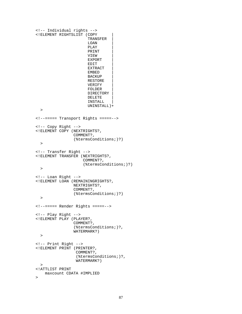```
<!-- Individual rights -->
<!ELEMENT RIGHTSLIST (COPY |
                       TRANSFER |
                       LOAN |
                       PLAY |
                       PRINT |
                       VIEW |
                       EXPORT |
                       EDIT |
                       EXTRACT |
                       EMBED |
                       BACKUP |
                       RESTORE |
                       VERIFY |
                       FOLDER |
                       DIRECTORY |
                       DELETE |
                       INSTALL |
                       UNINSTALL)+
  >
<!--===== Transport Rights =====-->
<!-- Copy Right -->
<!ELEMENT COPY (NEXTRIGHTS?,
                 COMMENT?,
                 (%termsConditions;)?)
  >
<!-- Transfer Right -->
<!ELEMENT TRANSFER (NEXTRIGHTS?,
                     COMMENT?,
                     (%termsConditions;)?)
 >
<!-- Loan Right -->
<!ELEMENT LOAN (REMAININGRIGHTS?,
                 NEXTRIGHTS?,
                 COMMENT?,
                 (%termsConditions;)?)
  >
<!--===== Render Rights =====-->
<!-- Play Right -->
<!ELEMENT PLAY (PLAYER?,
                 COMMENT?,
                 (%termsConditions;)?,
                 WATERMARK?)
  >
<!-- Print Right -->
<!ELEMENT PRINT (PRINTER?,
                  COMMENT?,
                  (%termsConditions;)?,
                  WATERMARK?)
 >
<!ATTLIST PRINT
   maxcount CDATA #IMPLIED
>
```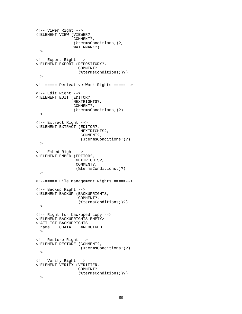```
<!-- Viwer Right -->
<!ELEMENT VIEW (VIEWER?,
                COMMENT?,
                (%termsConditions;)?,
                WATERMARK?)
 >
<!-- Export Right -->
<!ELEMENT EXPORT (REPOSITORY?,
                  COMMENT?,
                  (%termsConditions;)?)
 >
<!--===== Derivative Work Rights =====-->
<!-- Edit Right -->
<!ELEMENT EDIT (EDITOR?,
                NEXTRIGHTS?,
                COMMENT?,
                (%termsConditions;)?)
 >
<!-- Extract Right -->
<!ELEMENT EXTRACT (EDITOR?,
                   NEXTRIGHTS?,
                   COMMENT?,
                   (%termsConditions;)?)
 >
<!-- Embed Right -->
<!ELEMENT EMBED (EDITOR?,
                 NEXTRIGHTS?,
                 COMMENT?,
                 (%termsConditions;)?)
 >
<!--===== File Management Rights =====-->
<!-- Backup Right -->
<!ELEMENT BACKUP (BACKUPRIGHTS,
                 COMMENT?,
                  (%termsConditions;)?)
 >
<!-- Right for backuped copy -->
<!ELEMENT BACKUPRIGHTS EMPTY>
<!ATTLIST BACKUPRIGHTS
 name CDATA
 >
<!-- Restore Right -->
<!ELEMENT RESTORE (COMMENT?,
                   (%termsConditions;)?)
 >
<!-- Verify Right -->
<!ELEMENT VERIFY (VERIFIER,
                  COMMENT?,
                  (%termsConditions;)?)
 >
```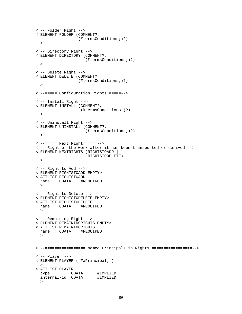```
<!-- Folder Right -->
<!ELEMENT FOLDER (COMMENT?,
                  (%termsConditions;)?)
 >
<!-- Directory Right -->
<!ELEMENT DIRECTORY (COMMENT?,
                      (%termsConditions;)?)
 >
<!-- Delete Right -->
<!ELEMENT DELETE (COMMENT?,
                  (%termsConditions;)?)
 \rightarrow<!--===== Configuration Rights =====-->
<!-- Install Right -->
<!ELEMENT INSTALL (COMMENT?,
                   (%termsConditions;)?)
 >
<!-- Uninstall Right -->
<!ELEMENT UNINSTALL (COMMENT?,
                     (%termsConditions;)?)
 \rightarrow<!--===== Next Right =====-->
<!-- Right of the work after it has been transported or derived -->
<!ELEMENT NEXTRIGHTS (RIGHTSTOADD |
                      RIGHTSTODELETE)
\rightarrow<!-- Right to Add -->
<!ELEMENT RIGHTSTOADD EMPTY>
<!ATTLIST RIGHTSTOADD
 name CDATA
 \rightarrow<!-- Right to Delete -->
<!ELEMENT RIGHTSTODELETE EMPTY>
<!ATTLIST RIGHTSTODELETE
 name CDATA #REQUIRED
 >
<!-- Remaining Right -->
<!ELEMENT REMAININGRIGHTS EMPTY>
<!ATTLIST REMAININGRIGHTS
 name CDATA
 \rightarrow<!--================= Named Principals in Rights =================-->
<!-- Player -->
<!ELEMENT PLAYER ( %aPrincipal; )
 >
<!ATTLIST PLAYER
 type CDATA #IMPLIED<br>internal-id CDATA #IMPLIED
 internal-id CDATA
 >
```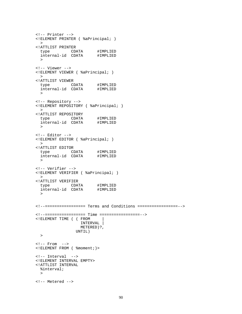```
<!-- Printer -->
<!ELEMENT PRINTER ( %aPrincipal; )
 >
<!ATTLIST PRINTER
  type CDATA #IMPLIED
  internal-id CDATA #IMPLIED
 >
<!-- Viewer -->
<!ELEMENT VIEWER ( %aPrincipal; )
 \rightarrow<!ATTLIST VIEWER
  type CDATA #IMPLIED
  internal-id CDATA #IMPLIED
 >
<!-- Repository -->
<!ELEMENT REPOSITORY ( %aPrincipal; )
 >
<!ATTLIST REPOSITORY
  type CDATA #IMPLIED
  internal-id CDATA #IMPLIED
 >
<!-- Editor -->
<!ELEMENT EDITOR ( %aPrincipal; )
 \geq<!ATTLIST EDITOR
  type CDATA #IMPLIED
  internal-id CDATA #IMPLIED
 >
<!-- Verifier -->
<!ELEMENT VERIFIER ( %aPrincipal; )
 \rightarrow<!ATTLIST VERIFIER
  type CDATA #IMPLIED
  internal-id CDATA #IMPLIED
  >
<!--================= Terms and Conditions =================-->
<!--================= Time =================-->
<!ELEMENT TIME ( ( FROM |
                 INTERVAL |
                 METERED)?,
                UNTIL)
 \rightarrow\langle!-- From -->
<!ELEMENT FROM ( %moment;)>
<!-- Interval -->
<!ELEMENT INTERVAL EMPTY>
<!ATTLIST INTERVAL
 %interval;
 >
<!-- Metered -->
```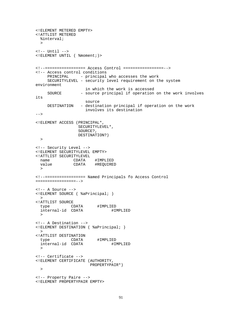```
<!ELEMENT METERED EMPTY>
<!ATTLIST METERED
 %interval;
 >
\left\langle -\right\rangle -- Until \left\langle -\right\rangle<!ELEMENT UNTIL ( %moment;)>
<!--================= Access Control =================-->
<!-- Access control conditions
    PRINCIPAL - principal who accesses the work
    SECURITYLEVEL - security level requirement on the system
environment
                    in which the work is accessed
    SOURCE - source principal if operation on the work involves
its
                   source
   DESTINATION - destination principal if operation on the work
                    involves its destination
-->
<!ELEMENT ACCESS (PRINCIPAL*,
                 SECURITYLEVEL*,
                 SOURCE?,
                 DESTINATION?)
 \geq<!-- Security Level -->
<!ELEMENT SECURITYLEVEL EMPTY>
<!ATTLIST SECURITYLEVEL
 name CDATA #IMPLIED
              CDATA #REQUIRED
 >
<!--================= Named Principals fo Access Control
=================-->
\langle -- A Source -->
<!ELEMENT SOURCE ( %aPrincipal; )
 ><!ATTLIST SOURCE
 type CDATA #IMPLIED
 internal-id CDATA #IMPLIED
  >
<!-- A Destination -->
<!ELEMENT DESTINATION ( %aPrincipal; )
 >
<!ATTLIST DESTINATION
 type CDATA #IMPLIED
 internal-id CDATA
  >
<!-- Certificate -->
<!ELEMENT CERTIFICATE (AUTHORITY,
                      PROPERTYPAIR*)
\rightarrow<!-- Property Paire -->
<!ELEMENT PROPERTYPAIR EMPTY>
```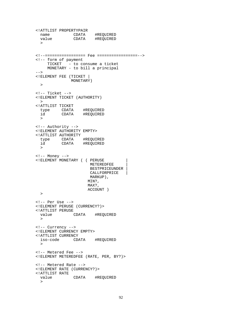```
<!ATTLIST PROPERTYPAIR
  name CDATA #REQUIRED
  value CDATA #REQUIRED
  \geq<!--================= Fee =================-->
<!-- form of payment
    TICKET - to consume a ticket
    MONETARY - to bill a principal
--<!ELEMENT FEE (TICKET |
              MONETARY)
 \rightarrow<!-- Ticket -->
<!ELEMENT TICKET (AUTHORITY)
 \rightarrow<!ATTLIST TICKET
 type CDATA #REQUIRED
         CDATA #REQUIRED
 >
<!-- Authority -->
<!ELEMENT AUTHORITY EMPTY>
<!ATTLIST AUTHORITY
 type CDATA #REQUIRED<br>id CDATA #REQUIRED
         CDATA #REQUIRED
 >
\leftarrow! -- Money -->
<!ELEMENT MONETARY ( ( PERUSE |
                       METEREDFEE |
                       BESTPRICEUNDER |
                      CALLFORPRICE
                      MARKUP),
                      MIN?,
                      MAX?,
                      ACCOUNT )
 >
<!-- Per Use -->
<!ELEMENT PERUSE (CURRENCY?)>
<!ATTLIST PERUSE
 value CDATA #REQUIRED
 >
<!-- Currency -->
<!ELEMENT CURRENCY EMPTY>
<!ATTLIST CURRENCY
 iso-code CDATA #REQUIRED
 \rightarrow<!-- Metered Fee -->
<!ELEMENT METEREDFEE (RATE, PER, BY?)>
<!-- Metered Rate -->
<!ELEMENT RATE (CURRENCY?)>
<!ATTLIST RATE
             CDATA #REQUIRED
  >
```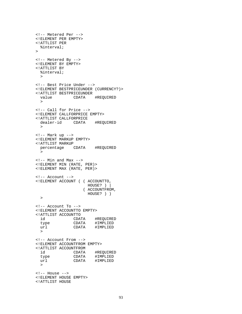```
<!-- Metered Per -->
<!ELEMENT PER EMPTY>
<!ATTLIST PER
 %interval;
>
<!-- Metered By -->
<!ELEMENT BY EMPTY>
<!ATTLIST BY
 %interval;
 \rightarrow<!-- Best Price Under -->
<!ELEMENT BESTPRICEUNDER (CURRENCY?)>
<!ATTLIST BESTPRICEUNDER
 value CDATA #REQUIRED
 >
<!-- Call for Price -->
<!ELEMENT CALLFORPRICE EMPTY>
<!ATTLIST CALLFORPRICE
 dealer-id CDATA #REQUIRED
 >
\langle !-- Mark up -->
<!ELEMENT MARKUP EMPTY>
<!ATTLIST MARKUP
 percentage CDATA #REQUIRED
 >
\langle !-- Min and Max -->
<!ELEMENT MIN (RATE, PER)>
<!ELEMENT MAX (RATE, PER)>
<!-- Account -->
<!ELEMENT ACCOUNT ( ( ACCOUNTTO,
                     HOUSE? ) |
                   ( ACCOUNTFROM,
                    HOUSE? ) )
  >
<!-- Account To -->
<!ELEMENT ACCOUNTTO EMPTY>
<!ATTLIST ACCOUNTTO
  id CDATA #REQUIRED
  type CDATA #IMPLIED
  url CDATA #IMPLIED
 >
<!-- Account From -->
<!ELEMENT ACCOUNTFROM EMPTY>
<!ATTLIST ACCOUNTFROM
  id CDATA #REQUIRED
  type CDATA #IMPLIED
  url CDATA #IMPLIED
 >
\leftarrow \leftarrow House \leftarrow<!ELEMENT HOUSE EMPTY>
<!ATTLIST HOUSE
```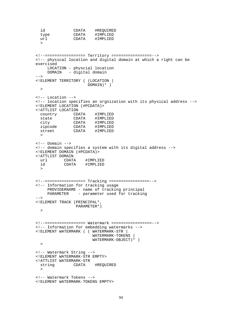```
id CDATA #REQUIRED<br>type CDATA #IMPLIED
              CDATA #IMPLIED
 url CDATA #IMPLIED
  \rightarrow<!--================= Territory =================-->
<!-- physical location and digital domain at which a right can be
exercised
    LOCATION - physcial location
    DOMAIN - digital domain
-<!ELEMENT TERRITORY ( (LOCATION |
                     DOMAIN)* )
 \geq<!-- Location -->
<!-- location specifies an orgnization with its physical address -->
<!ELEMENT LOCATION (#PCDATA)>
<!ATTLIST LOCATION
 country CDATA #IMPLIED
 state CDATA #IMPLIED
 city CDATA #IMPLIED
 zipcode CDATA #IMPLIED<br>street CDATA #IMPLIED
              CDATA #IMPLIED
 \sim\leftarrow! -- Domain -->
<!-- domain specifies a system with its digital address -->
<!ELEMENT DOMAIN (#PCDATA)>
<!ATTLIST DOMAIN
  url CDATA #IMPLIED
  id CDATA #IMPLIED
 >
<!--================= Tracking =================-->
<!-- Information for tracking usage
    PROVIDERNAME - name of tracking principal
    PARAMETER - parameter used for tracking
--<!ELEMENT TRACK (PRINCIPAL*,
                PARAMETER*)
 \geq<!--================= Watermark =================-->
<!-- Information for embedding watermarks -->
<!ELEMENT WATERMARK ( ( WATERMARK-STR |
                       WATERMARK-TOKENS |
                       WATERMARK-OBJECT)* )
 \rightarrow<!-- Watermark String -->
<!ELEMENT WATERMARK-STR EMPTY>
<!ATTLIST WATERMARK-STR
 string CDATA #REQUIRED
 >
<!-- Watermark Tokens -->
<!ELEMENT WATERMARK-TOKENS EMPTY>
```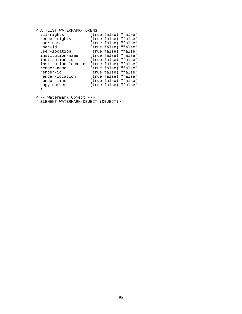| ATTLIST WATERMARK-TOKENS</th <th></th> <th></th> <th></th> |        |              |         |
|------------------------------------------------------------|--------|--------------|---------|
| all-rights                                                 |        | (true false) | "false" |
| render-rights                                              |        | (true false) | "false" |
| user-name                                                  | (true) | false)       | "false" |
| $user-id$                                                  |        | (true false) | "false" |
| user-location                                              | (true) | false)       | "false" |
| institution-name                                           |        | (true false) | "false" |
| institution-id                                             | (true) | false)       | "false" |
| institution-location                                       |        | (true false) | "false" |
| render-name                                                | (true) | false)       | "false" |
| render-id                                                  | (true) | false)       | "false" |
| render-location                                            | (true) | false)       | "false" |
| render-time                                                | (true) | false)       | "false" |
| copy-number                                                |        | (true false) | "false" |
| >                                                          |        |              |         |

<!-- Watermark Object -->

<!ELEMENT WATERMARK-OBJECT (OBJECT)>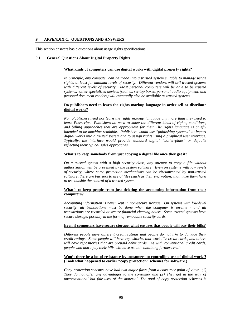## *9* **APPENDIX C. QUESTIONS AND ANSWERS**

This section answers basic questions about usage rights specifications.

#### **9.1 General Questions About Digital Property Rights**

#### **What kinds of computers can use digital works with digital property rights?**

*In principle, any computer can be made into a trusted system suitable to manage usage rights, at least for minimal levels of security. Different vendors will sell trusted systems with different levels of security. Most personal computers will be able to be trusted systems; other specialized devices (such as set-top boxes, personal audio equipment, and personal document readers) will eventually also be available as trusted systems.*

## **Do publishers need to learn the rights markup language in order sell or distribute digital works?**

*No. Publishers need not learn the rights markup language any more than they need to learn Postscript. Publishers do need to know the different kinds of rights, conditions, and billing approaches that are appropriate for their The rights language is chiefly intended to be machine readable. Publishers would use "publishing systems" to import digital works into a trusted system and to assign rights using a graphical user interface. Typically, the interface would provide standard digital "boiler-plate" or defaults reflecting their typical sales approaches.*

#### **What's to keep somebody from just copying a digital file once they get it?**

*On a trusted system with a high security class, any attempt to copy a file without authorization will be prevented by the system software. Even on systems with low levels of security, where some protection mechanisms can be circumvented by non-trusted software, there are barriers to use of files (such as their encryption) that make them hard to use outside the control of a trusted system.*

## **What's to keep people from just deleting the accounting information from their computers?**

*Accounting information is never kept in non-secure storage. On systems with low-level security, all transactions must be done when the computer is on-line - and all transactions are recorded at secure financial clearing house. Some trusted systems have secure storage, possibly in the form of removable security cards.*

#### **Even if computers have secure storage, what ensures that people will pay their bills?**

*Different people have different credit ratings and people do not like to damage their credit ratings. Some people will have repositories that work like credit cards, and others will have repositories that are prepaid debit cards. As with conventional credit cards, people who don't pay their bills will have trouble obtaining further credit.*

## **Won't there be a lot of resistance by consumers to controlling use of digital works? (Look what happened to earlier "copy protection" schemes for software.)**

*Copy protection schemes have had two major flaws from a consumer point of view: (1) They do not offer any advantages to the consumer and (2) They get in the way of unconventional but fair uses of the material. The goal of copy protection schemes is*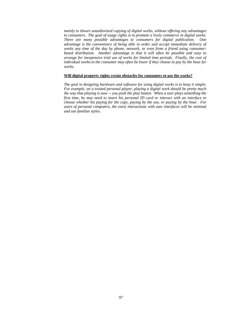*mainly to thwart unauthorized copying of digital works, without offering any advantages to consumers. The goal of usage rights is to promote a lively commerce in digital works. There are many possible advantages to consumers for digital publication. One advantage is the convenience of being able to order and accept immediate delivery of works any time of the day by phone, network, or even from a friend using consumerbased distribution. Another advantage is that it will often be possible and easy to arrange for inexpensive trial use of works for limited time periods. Finally, the cost of individual works to the consumer may often be lower if they choose to pay by the hour for works.*

#### **Will digital property rights create obstacles for consumers to use the works?**

*The goal in designing hardware and software for using digital works is to keep it simple. For example, on a trusted personal player, playing a digital work should be pretty much the way that playing is now -- you push the play button. When a user plays something the first time, he may need to insert his personal ID card or interact with an interface to choose whether his paying for the copy, paying by the use, or paying by the hour. For users of personal computers, the extra interactions with user interfaces will be minimal and use familiar styles.*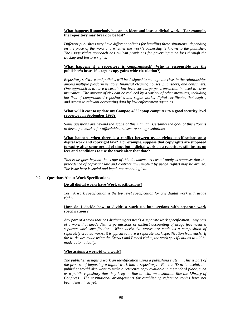# **What happens if somebody has an accident and loses a digital work. (For example, the repository may break or be lost? )**

*Different publishers may have different policies for handling these situations., depending on the price of the work and whether the work's ownership is known to the publisher. The usage rights approach has built-in provisions for governing such loss through the Backup and Restore rights.*

# **What happens if a repository is compromised? (Who is responsible for the publisher's losses if a rogue copy gains wide circulation?)**

*Repository software and policies will be designed to manage the risks in the relationships among multiple platform vendors, financial clearing houses, publishers, and consumers. One approach is to have a certain low-level surcharge per transaction be used to cover insurance. The amount of risk can be reduced by a variety of other measures, including hot lists of compromised repositories and rogue works, digital certificates that expire, and access to relevant accounting data by law enforcement agencies.*

## **What will it cost to update my Compaq 486 laptop computer to a good security level repository in September 1998?**

*Some questions are beyond the scope of this manual. Certainly the goal of this effort is to develop a market for affordable and secure enough solutions.*

## **What happens when there is a conflict between usage rights specifications on a digital work and copyright law? For example, suppose that copyrights are supposed to expire after some period of time, but a digital work on a repository still insists on fees and conditions to use the work after that date?**

*This issue goes beyond the scope of this document. A casual analysis suggests that the precedence of copyright law and contract law (implied by usage rights) may be argued. The issue here is social and legal, not technological.*

## **9.2 Questions About Work Specifications**

## **Do all digital works have Work specifications?**

*Yes. A work specification is the top level specification for any digital work with usage rights.*

## **How do I decide how to divide a work up into sections with separate work specifications?**

*Any part of a work that has distinct rights needs a separate work specification. Any part of a work that needs distinct permissions or distinct accounting of usage fees needs a separate work specification. When derivative works are made as a composition of separately created works, it is typical to have a separate work specification from each. If the works are made using the Extract and Embed rights, the work specifications would be made automatically.*

## **Who assigns a work-id to a work?**

*The publisher assigns a work an identification using a publishing system. This is part of the process of importing a digital work into a repository. For the ID to be useful, the publisher would also want to make a reference copy available in a standard place, such as a public repository that they keep on-line or with an institution like the Library of Congress. The institutional arrangements for establishing reference copies have not been determined yet.*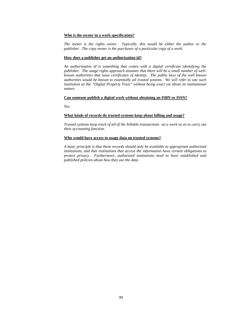## **Who is the owner in a work specification?**

*The owner is the rights owner. Typically, this would be either the author or the publisher. The copy owner is the purchaser of a particular copy of a work.*

#### **How does a publisher get an authorization id?**

*An authorization id is something that comes with a digital certificate identifying the publisher. The usage rights approach assumes that there will be a small number of wellknown authorities that issue certificates of identity. The public keys of the well known authorities would be known to essentially all trusted systems. We will refer to one such institution as the "Digital Property Trust" without being exact yet about its institutional nature.*

## **Can someone publish a digital work without obtaining an ISBN or ISSN?**

*Yes.*

## **What kinds of records do trusted systems keep about billing and usage?**

*Trusted systems keep track of all of the billable transactions on a work so as to carry out their accounting function.*

#### **Who would have access to usage data on trusted systems?**

*A basic principle is that these records should only be available to appropriate authorized institutions, and that institutions that access the information have certain obligations to protect privacy. Furthermore, authorized institutions need to have established and published policies about how they use the data.*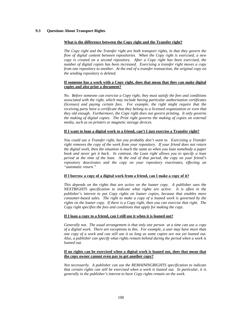# **9.3 Questions About Transport Rights**

## **What is the difference between the Copy right and the Transfer right?**

*The Copy right and the Transfer right are both transport rights, in that they govern the flow of digital content between repositories. When the Copy right is exercised, a new copy is created on a second repository. After a Copy right has been exercised, the number of digital copies has been increased. Exercising a transfer right moves a copy from one repository to another. At the end of a transfer transaction, the original copy on the sending repository is deleted.* 

# **If someone has a work with a Copy right, does that mean that they can make digital copies and also print a document?**

*No. Before someone can exercise a Copy right, they must satisfy the fees and conditions associated with the right, which may include having particular authorization certificates (licenses) and paying certain fees. For example, the right might require that the receiving party have a certificate that they belong to a licensed organization or even that they old enough. Furthermore, the Copy right does not govern printing. It only governs the making of digital copies. The Print right governs the making of copies on external media, such as on printers or magnetic storage devices.*

## **If I want to loan a digital work to a friend, can't I just exercise a Transfer right?**

*You could use a Transfer right, but you probably don't want to. Exercising a Transfer right removes the copy of the work from your repository. If your friend does not return the digital work, then the situation is much the same as when you loan somebody a paper book and never get it back. In contrast, the Loan right allows you to specify a loan period at the time of the loan. At the end of that period, the copy on your friend's repository deactivates and the copy on your repository reactivates, effecting an "automatic return."*

## **If I borrow a copy of a digital work from a friend, can I make a copy of it?**

*This depends on the rights that are active on the loaner copy. A publisher uses the NEXTRIGHTS specification to indicate what rights are active. It is often in the publisher's interest to put Copy rights on loaner copies, because that enables more consumer-based sales. The right to make a copy of a loaned work is governed by the rights on the loaner copy. If there is a Copy right, then you can exercise that right. The Copy right specifies the fees and conditions that apply for making the copy.*

# **If I loan a copy to a friend, can I still use it when it is loaned out?**

*Generally not. The usual arrangement is that only one person at a time can use a copy of a digital work. There are exceptions to this. For example, a user may have more than one copy of a work and can still use it as long as some copies are not yet loaned out. Also, a publisher can specify what rights remain behind during the period when a work is loaned out.*

# **If no rights can be exercised when a digital work is loaned out, does that mean that the copy owner cannot even pay to get another copy?**

*Not necessarily. A publisher can use the REMAININGRIGHTS specification to indicate that certain rights can still be exercised when a work is loaned out. In particular, it is generally in the publisher's interest to have Copy rights remain on the work.*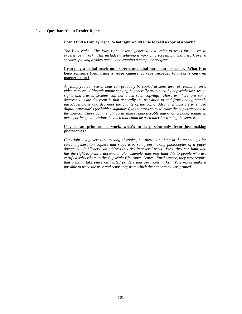# **9.4 Questions About Render Rights**

## **I can't find a Display right. What right would I use to read a copy of a work?**

*The Play right. The Play right is used generically to refer to ways for a user to experience a work. This includes displaying a work on a screen, playing a work over a speaker, playing a video game, and running a computer program.*

## **I can play a digital movie on a screen, or digital music out a speaker. What is to keep someone from using a video camera or tape recorder to make a copy on magnetic tape?**

*Anything you can see or hear can probably be copied at some level of resolution on a video camera. Although unfair copying is generally prohibited by copyright law, usage rights and trusted systems can not block such copying. However, there are some deterrents. One deterrent is that generally the transition to and from analog signals introduces noise and degrades the quality of the copy. Also, it is possible to embed digital watermarks (or hidden signatures) in the work so as to make the copy traceable to the source. These could show up as almost unnoticeable marks on a page, sounds in music, or image alterations in video that could be used later for tracing the source.*

## **If you can print out a work, what's to keep somebody from just making photocopies?**

*Copyright law governs the making of copies, but there is nothing in the technology for current generation copiers that stops a person from making photocopies of a paper document. Publishers can address this risk in several ways. First, they can limit who has the right to print a document. For example, they may limit this to people who are certified subscribers to the Copyright Clearance Center. Furthermore, they may require that printing take place on trusted printers that use watermarks. Watermarks make it possible to trace the user and repository from which the paper copy was printed.*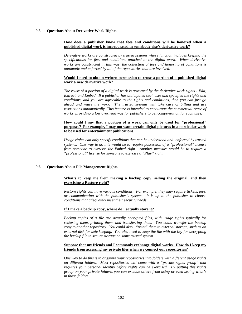## **9.5 Questions About Derivative Work Rights**

## **How does a publisher know that fees and conditions will be honored when a published digital work is incorporated in somebody else's derivative work?**

*Derivative works are constructed by trusted systems whose function includes keeping the specifications for fees and conditions attached to the digital work. When derivative works are constructed in this way, the collection of fees and honoring of conditions is automatic and enforced by all of the repositories that are involved.* 

## **Would I need to obtain written permission to reuse a portion of a published digital work a new derivative work?**

*The reuse of a portion of a digital work is governed by the derivative work rights - Edit, Extract, and Embed. If a publisher has anticipated such uses and specified the rights and conditions, and you are agreeable to the rights and conditions, then you can just go ahead and reuse the work. The trusted systems will take care of billing and use restrictions automatically. This feature is intended to encourage the commercial reuse of works, providing a low overhead way for publishers to get compensation for such uses.* 

#### **How could I say that a portion of a work can only be used for "professional" purposes? For example, I may not want certain digital pictures in a particular work to be used for entertainment publications.**

*Usage rights can only specify conditions that can be understood and enforced by trusted systems. One way to do this would be to require possession of a "professional" license from someone to exercise the Embed right. Another measure would be to require a "professional" license for someone to exercise a "Play" right.*

## **9.6 Questions About File Management Rights**

# **What's to keep me from making a backup copy, selling the original, and then exercising a Restore right?**

*Restore rights can have various conditions. For example, they may require tickets, fees, or communicating with the publisher's system. It is up to the publisher to choose conditions that adequately meet their security needs.*

#### **If I make a backup copy, where do I actually store it?**

*Backup copies of a file are actually encrypted files, with usage rights typically for restoring them, printing them, and transferring them. You could transfer the backup copy to another repository. You could also "print" them to external storage, such as an external disk for safe keeping. You also need to keep the file with the key for decrypting the backup file in secure storage on some trusted system.*

## **Suppose that my friends and I commonly exchange digital works. How do I keep my friends from accessing my private files when we connect our repositories?**

*One way to do this is to organize your repositories into folders with different usage rights on different folders. Most repositories will come with a "private rights group" that requires your personal identity before rights can be exercised. By putting this rights group on your private folders, you can exclude others from using or even seeing what's in those folders.*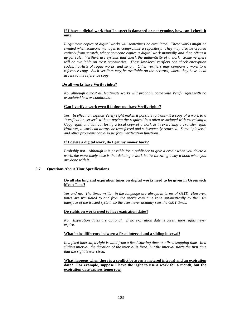## **If I have a digital work that I suspect is damaged or not genuine, how can I check it out?**

*Illegitimate copies of digital works will sometimes be circulated. These works might be created when someone manages to compromise a repository. They may also be created entirely from scratch, where someone copies a digital work manually and then offers it up for sale. Verifiers are systems that check the authenticity of a work. Some verifiers will be available on most repositories. These low-level verifiers can check encryption codes, hot-lists of rogue works, and so on. Other verifiers may compare a work to a reference copy. Such verifiers may be available on the network, where they have local access to the reference copy.*

## **Do all works have Verify rights?**

*No, although almost all legitimate works will probably come with Verify rights with no associated fees or conditions.*

## **Can I verify a work even if it does not have Verify rights?**

*Yes. In effect, an explicit Verify right makes it possible to transmit a copy of a work to a "verification server" without paying the required fees often associated with exercising a Copy right, and without losing a local copy of a work as in exercising a Transfer right. However, a work can always be transferred and subsequently returned. Some "players" and other programs can also perform verification functions.*

## **If I delete a digital work, do I get my money back?**

*Probably not. Although it is possible for a publisher to give a credit when you delete a work, the more likely case is that deleting a work is like throwing away a book when you are done with it..*

## **9.7 Questions About Time Specifications**

## **Do all starting and expiration times on digital works need to be given in Greenwich Mean Time?**

*Yes and no. The times written in the language are always in terms of GMT. However, times are translated to and from the user's own time zone automatically by the user interface of the trusted system, so the user never actually sees the GMT times.*

## **Do rights on works need to have expiration dates?**

*No. Expiration dates are optional. If no expiration date is given, then rights never expire.*

## **What's the difference between a fixed interval and a sliding interval?**

*In a fixed interval, a right is valid from a fixed starting time to a fixed stopping time. In a sliding interval, the duration of the interval is fixed, but the interval starts the first time that the right is exercised.*

### **What happens when there is a conflict between a metered interval and an expiration date? For example, suppose I have the right to use a work for a month, but the expiration date expires tomorrow.**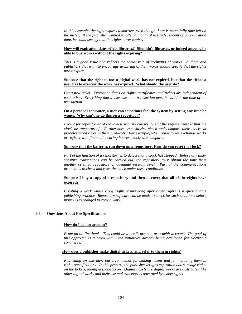*In this example, the right expires tomorrow, even though there is potentially time left on the meter. If the publisher wanted to offer a month of use independent of an expiration date, he could specify that the rights never expire.*

### **How will expiration dates effect libraries? Shouldn't libraries, or indeed anyone, be able to buy works without the rights expiring?**

*This is a good issue and reflects the social role of archiving of works. Authors and publishers that want to encourage archiving of their works should specify that the rights never expire.*

### **Suppose that the right to use a digital work has not expired, but that the ticket a user has to exercise the work has expired. What should the user do?**

*Get a new ticket. Expiration dates on rights, certificates, and tickets are independent of each other. Everything that a user uses in a transaction must be valid at the time of the transaction.*

#### **On a personal computer, a user can sometimes fool the system by setting any time he wants. Why can't he do this on a repository?**

*Except for repositories of the lowest security classes, one of the requirements is that the clock be tamperproof. Furthermore, repositories check and compare their clocks at predetermined times in their protocols. For example, when repositories exchange works or register with financial clearing houses, clocks are compared.*

#### **Suppose that the batteries run down on a repository. How do you reset the clock?**

*Part of the function of a repository is to detect that a clock has stopped. Before any timesensitive transactions can be carried out, the repository must obtain the time from another certified repository of adequate security level. Part of the communications protocol is to check and reset the clock under these conditions.*

## **Suppose I buy a copy of a repository and then discover that all of the rights have expired?**

*Creating a work whose Copy rights expire long after other rights is a questionable publishing practice. Repository software can be made to check for such situations before money is exchanged to copy a work.*

## **9.8 Questions About Fee Specifications**

#### **How do I get an account?**

*From an on-line bank. This could be a credit account or a debit account. The goal of this approach is to work within the initiatives already being developed for electronic commerce.*

#### **How does a publisher make digital tickets, and refer to them in rights?**

*Publishing systems have basic commands for making tickets and for including them in rights specifications. In this process, the publisher assigns expiration dates, usage rights on the tickets, identifiers, and so on. Digital tickets are digital works are distributed like other digital works and their use and transport is governed by usage rights.*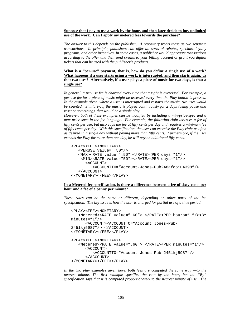#### **Suppose that I pay to use a work by the hour, and then later decide to buy unlimited use of the work. Can I apply my metered fees towards the purchase?**

*The answer to this depends on the publisher. A repository treats these as two separate transactions. In principle, publishers can offer all sorts of rebates, specials, loyalty programs, and other incentives In some cases, a publisher would aggregate transactions according to the offer and then send credits to your billing account or grant you digital tickets that can be used with the publisher's products.*

### **What is a "per-use" payment, that is, how do you define a single use of a work? What happens if a user starts using a work, is interrupted, and then starts again. Is that two uses? Alternatively, if a user plays a piece of music for two days, is that a single use?**

*In general, a per-use fee is charged every time that a right is exercised. For example, a per-use fee for a piece of music might be assessed every time the Play button is pressed. In the example given, where a user is interrupted and restarts the music, two uses would be counted. Similarly, if the music is played continuously for 2 days (using pause and reset or something), that would be a single play.*

*However, both of these examples can be modified by including a min-price-spec and a max-price-spec in the fee language. For example, the following right assesses a fee of fifty cents per use, but also caps the fee at fifty cents per day and requires a minimum fee of fifty cents per day. With this specification, the user can exercise the Play right as often as desired in a single day without paying more than fifty cents. Furthermore, if the user extends the Play for more than one day, he will pay an additional fifty cents.*

```
<PLAY><FEE><MONETARY>
   <PERUSE value=".50"/>
   <MAX><RATE value=".50"></RATE><PER days="1"/>
    <MIN><RATE value="50"></RATE><PER days="1"/>
      <ACCOUNT>
         <ACCOUNTTO="Account-Jones-Pub248afdoiu4398"/>
   </ACCOUNT>
</MONETARY></FEE></PLAY>
```
### **In a Metered fee specification, is there a difference between a fee of sixty cents per hour and a fee of a penny per minute?**

*These rates can be the same or different, depending on other parts of the fee specification. The key issue is how the user is charged for partial use of a time period.*

```
<PLAY><FEE><MONETARY>
   <Metered><RATE value=".60"> </RATE><PER hours="1"/><BY
minutes="1"/>
      <ACCOUNT><ACCOUNTTO="Account Jones-Pub-
245lkj5987"/> </ACCOUNT>
</MONETARY></FEE></PLAY>
<PLAY><FEE><MONETARY>
   <Metered><RATE value=".60"> </RATE><PER minutes="1"/>
      <ACCOUNT>
         <ACCOUNTTO="Account Jones-Pub-245lkj5987"/>
      </ACCOUNT>
</MONETARY></FEE></PLAY>
```
*In the two play examples given here, both fees are computed the same way —to the nearest minute. The first example specifies the rate by the hour, but the "By" specification says that it is computed proportionately to the nearest minute of use. The*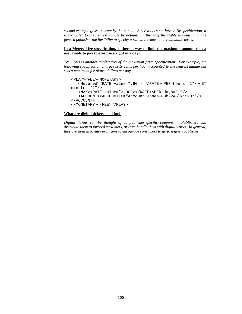*second example gives the rate by the minute. Since it does not have a By specification, it is computed to the nearest minute by default. In this way the rights markup language gives a publisher the flexibility to specify a rate in the most understandable terms.* 

#### **In a Metered fee specification, is there a way to limit the maximum amount that a user needs to pay to exercise a right in a day?**

*Yes. This is another application of the maximum price specification. For example, the following specification charges sixty cents per hour accounted to the nearest minute but sets a maximum fee of two dollars per day.*

```
<PLAY><FEE><MONETARY>
   <Metered><RATE value=".60"> </RATE><PER hours="1"/><BY
minutes="1"/>
   <MAX><RATE value="2.00"></RATE><PER days="1"/>
   <ACCOUNT><ACCOUNTTO="Account Jones-Pub-245lkj5987"/>
</ACCOUNT>
</MONETARY></FEE></PLAY>
```
#### **What are digital tickets good for?**

*Digital tickets can be thought of as publisher-specific coupons. Publishers can distribute them to favored customers, or even bundle them with digital works. In general, they are used in loyalty programs to encourage consumers to go to a given publisher.*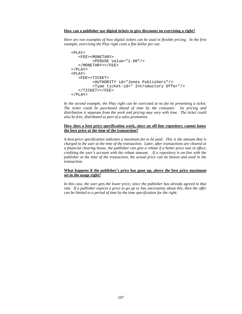### **How can a publisher use digital tickets to give discounts on exercising a right?**

*Here are two examples of how digital tickets can be used in flexible pricing. In the first example, exercising the Play right costs a flat dollar per use.*

```
<PLAY>
   <FEE><MONETARY>
         <PERUSE value="1.00"/>
   </MONETARY></FEE>
\langle/PLAY>
<PLAY><FEE><TICKET>
         <AUTHORITY id="Jones Publishers"/>
         <Type ticket-id=" Introductory Offer"/>
   </TICKET></FEE>
</PLAY>
```
*In the second example, the Play right can be exercised at no fee by presenting a ticket. The ticket could be purchased ahead of time by the consumer. Its pricing and distribution is separate from the work and pricing may vary with time. The ticket could also be free, distributed as part of a sales promotion.*

#### **How does a best price specification work, since an off-line repository cannot know the best price at the time of the transaction?**

*A best-price specification indicates a maximum fee to be paid. This is the amount that is charged to the user at the time of the transaction. Later, after transactions are cleared at a financial clearing house, the publisher can give a rebate if a better price was in effect, crediting the user's account with the rebate amount. If a repository is on-line with the publisher at the time of the transaction, the actual price can be known and used in the transaction.*

#### **What happens if the publisher's price has gone up, above the best price maximum set in the usage right?**

*In this case, the user gets the lower price, since the publisher has already agreed to that rate. If a publisher expects a price to go up or has uncertainty about this, then the offer can be limited to a period of time by the time specification for the right.*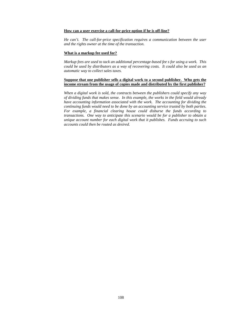#### **How can a user exercise a call-for-price option if he is off-line?**

*He can't. The call-for-price specification requires a communication between the user and the rights owner at the time of the transaction.*

#### **What is a markup fee used for?**

*Markup fees are used to tack an additional percentage-based fee s for using a work. This could be used by distributors as a way of recovering costs. It could also be used as an automatic way to collect sales taxes.*

### **Suppose that one publisher sells a digital work to a second publisher. Who gets the income stream from the usage of copies made and distributed by the first publisher?**

*When a digital work is sold, the contracts between the publishers could specify any way of dividing funds that makes sense. In this example, the works in the field would already have accounting information associated with the work. The accounting for dividing the continuing funds would need to be done by an accounting service trusted by both parties. For example, a financial clearing house could disburse the funds according to transactions. One way to anticipate this scenario would be for a publisher to obtain a unique account number for each digital work that it publishes. Funds accruing to such accounts could then be routed as desired.*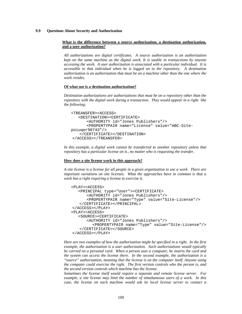### **9.9 Questions About Security and Authorization**

#### **What is the difference between a source authorization, a destination authorization, and a user authorization?**

*All authorizations are digital certificates. A source authorization is an authorization kept on the same machine as the digital work. It is usable in transactions by anyone accessing the work. A user authorization is associated with a particular individual. It is accessible to that individual when he is logged on to the repository. A destination authorization is an authorization that must be on a machine other than the one where the work resides.*

#### **Of what use is a destination authorization?**

*Destination authorizations are authorizations that must be on a repository other than the repository with the digital work during a transaction. They would appear in a right like the following:*

```
<TREANSFER><ACCESS>
   <DESTINATION><CERTIFICATE>
      <AUTHORITY id="Jones Publishers"/>
      <PROPERTYPAIR name="License" value="ABC-Site-
poiuqer98743"/>
   </CERTIFICATE></DESTINATION>
</ACCESS></TREANSFER>
```
*In this example, a digital work cannot be transferred to another repository unless that repository has a particular license on it., no matter who is requesting the transfer.*

#### **How does a site license work in this approach?**

*A site license is a license for all people in a given organization to use a work. There are important variations on site licenses. What the approaches have in common is that a work has a right requiring a license to exercise it.*

```
<PLAY><ACCESS>
   <PRINCIPAL type="User"><CERTIFICATE>
      <AUTHORITY id="Jones Publishers"/>
      <PROPERTYPAIR name="Type" value="Site-License"/>
   </CERTIFICATE></PRINCIPAL>
</ACCESS></PLAY>
<PLAY><ACCESS>
   <SOURCE><CERTIFICATE>
      <AUTHORITY id="Jones Publishers"/>
         <PROPERTYPAIR name="Type" value="Site-License"/>
   </CERTIFICATE></SOURCE>
</ACCESS></PLAY>
```
*Here are two examples of how the authorization might be specified in a right. In the first example, the authorization is a user authorization. Such authorizations would typically be carried on a personal card. When a person uses a computer, he inserts the card and the system can access the license there. In the second example, the authorization is a "source" authorization, meaning that the license is on the computer itself. Anyone using the computer could exercise the right. The first version controls who the person is, and the second version controls which machine has the license.*

*Sometimes the license itself would require a separate and remote license server. For example, a site license may limit the number of simultaneous users of a work. In this case, the license on each machine would ask its local license server to contact a*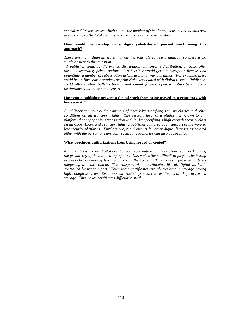*centralized license server which counts the number of simultaneous users and admits new uses as long as the total count is less than some authorized number.*

### **How would membership to a digitally-distributed journal work using this approach?**

*There are many different ways that on-line journals can be organized, so there is no single answer to this question.*

 *A publisher could bundle printed distribution with on-line distribution, or could offer these as separately-priced options. A subscriber would get a subscription license, and potentially a number of subscription tickets useful for various things. For example, there could be on-line search services or print rights associated with digital tickets. Publishers could offer on-line bulletin boards and e-mail forums, open to subscribers. Some institutions could have site licenses.*

### **How can a publisher prevent a digital work from being moved to a repository with low security?**

*A publisher can control the transport of a work by specifying security classes and other conditions on all transport rights. The security level of a platform is known to any platform that engages in a transaction with it. By specifying a high enough security class on all Copy, Loan, and Transfer rights, a publisher can preclude transport of the work to low security platforms. Furthermore, requirements for other digital licenses associated either with the person or physically secured repositories can also be specified.*

#### **What precludes authorizations from being forged or copied?**

*Authorizations are all digital certificates. To create an authorization requires knowing the private key of the authorizing agency. This makes them difficult to forge. The testing process checks one-way hash functions on the content. This makes it possible to detect tampering with the content. The transport of the certificates, like all digital works, is controlled by usage rights. Thus, these certificates are always kept in storage having high enough security. Even on semi-trusted systems, the certificates are kept in trusted storage. This makes certificates difficult to steal.*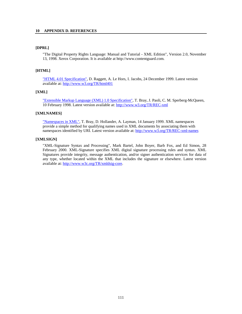## **[DPRL]**

"The Digital Property Rights Language: Manual and Tutorial - XML Edition", Version 2.0, November 13, 1998. Xerox Corporation. It is available at http://www.contentguard.com.

#### **[HTML]**

["HTML 4.01 Specification",](http://www.w3.org/TR/1999/REC-html401-19991224) D. Raggett, A. Le Hors, I. Jacobs, 24 December 1999. Latest version available at:<http://www.w3.org/TR/html401>

### **[XML]**

["Extensible Markup Language \(XML\) 1.0 Specification",](http://www.w3.org/TR/1998/REC-xml-19980210) T. Bray, J. Paoli, C. M. Sperberg-McQueen, 10 February 1998. Latest version available at:<http://www.w3.org/TR/REC-xml>

## **[XMLNAMES]**

["Namespaces in XML",](http://www.w3.org/TR/1999/REC-xml-names-19990114) T. Bray, D. Hollander, A. Layman, 14 January 1999. XML namespaces provide a simple method for qualifying names used in XML documents by associating them with namespaces identified by URI. Latest version available at:<http://www.w3.org/TR/REC-xml-names>

### **[XMLSIGN]**

"[XML-Signature Syntax and Processing"](http://www.w3.org/TR/xmldsig-core/), Mark Bartel, John Boyer, Barb Fox, and Ed Simon, 28 February 2000. XML-Signature specifies XML digital signature processing rules and syntax. XML Signatures provide integrity, message authentication, and/or signer authentication services for data of any type, whether located within the XML that includes the signature or elsewhere. Latest version available at: [http://www.w3c.org/TR/xmldsig-core.](http://www.w3c.org/TR/xmldsig-core)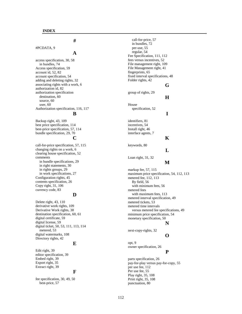#### #PCDATA, 9

## **A**

**#**

access specification, 30, 58 in bundles, 74 Access specification, 59 account id, 52, 82 account specification, 54 adding and deleting rights, 32 associating rights with a work, 6 authorization id, 82 authorization specification destination, 60 source, 60 user, 60 Authorization specification, 116, 117

#### **B**

Backup right, 43, 109 best price specification, 114 best-price specification, 57, 114 bundle specification, 29, 70

## **C**

call-for-price specification, 57, 115 changing rights on a work, 6 clearing house specification, 52 comments in bundle specifications, 29 in right statements, 30 in rights groups, 29 in work specifications, 27 Configuration rights, 45 contents specification, 26 Copy right, 31, 106 currency code, 83

# **D**

Delete right, 43, 110 derivative work rights, 109 Derivative Work rights, 38 destination specification, 60, 61 digital certificate, 59 digital license, 59 digital ticket, 50, 53, 111, 113, 114 metered, 53 digital watermarks, 108 Directory rights, 42

## **E**

Edit right, 39 editor specification, 39 Embed right, 39 Export right, 35 Extract right, 39

## **F**

fee specification, 30, 49, 50 best-price, 57

call-for-price, 57 in bundles, 72 per-use, 55 regular, 54 Fee Specification, 111, 112 fees versus incentives, 52 File management right, 109 File Management right, 41 fingerprints, 65 fixed interval specifications, 48 Folder rights, 42 **G** group of rights, 29 **H** House specification, 52 **I** identifiers, 81 incentives, 54 Install right, 46 interface agents, 7 **K** keywords, 80 **L** Loan right, 31, 32 **M** markup fee, 57, 115

maximum price specification, 54, 112, 113 metered fee, 112, 113 By field, 56 with minimum fees, 56 metered fees with maximum fees, 113 metered interval specification, 49 metered tickets, 53 metered time intervals versus metered fee specifications, 49 minimum price specification, 54 monetary specification, 50

## **N**

next-copy-rights, 32

# **O**

opt, 9 owner specification, 26

# **P**

parts specification, 26 pay-for-play versus pay-for-copy, 55 per use fee, 112 Per use fee, 55 Play right, 35, 108 Print right, 35, 108 punctuation, 80